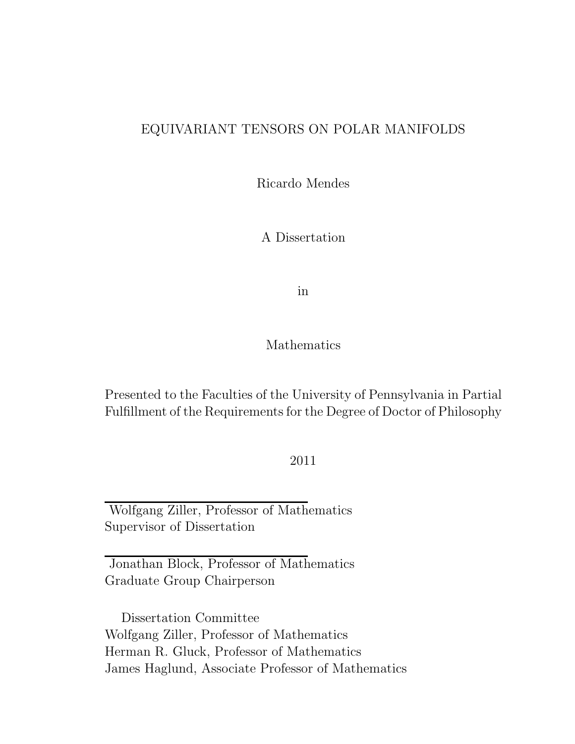### EQUIVARIANT TENSORS ON POLAR MANIFOLDS

Ricardo Mendes

A Dissertation

in

Mathematics

Presented to the Faculties of the University of Pennsylvania in Partial Fulfillment of the Requirements for the Degree of Doctor of Philosophy

2011

Wolfgang Ziller, Professor of Mathematics Supervisor of Dissertation

Jonathan Block, Professor of Mathematics Graduate Group Chairperson

Dissertation Committee Wolfgang Ziller, Professor of Mathematics Herman R. Gluck, Professor of Mathematics James Haglund, Associate Professor of Mathematics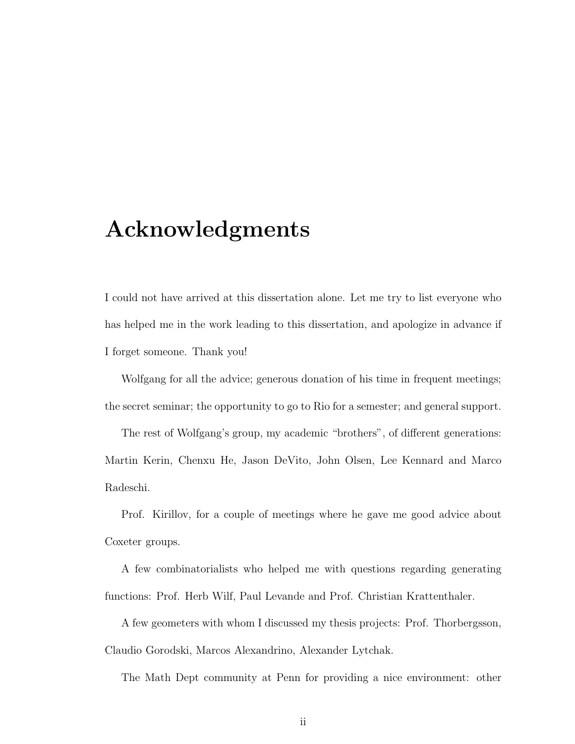## Acknowledgments

I could not have arrived at this dissertation alone. Let me try to list everyone who has helped me in the work leading to this dissertation, and apologize in advance if I forget someone. Thank you!

Wolfgang for all the advice; generous donation of his time in frequent meetings; the secret seminar; the opportunity to go to Rio for a semester; and general support.

The rest of Wolfgang's group, my academic "brothers", of different generations: Martin Kerin, Chenxu He, Jason DeVito, John Olsen, Lee Kennard and Marco Radeschi.

Prof. Kirillov, for a couple of meetings where he gave me good advice about Coxeter groups.

A few combinatorialists who helped me with questions regarding generating functions: Prof. Herb Wilf, Paul Levande and Prof. Christian Krattenthaler.

A few geometers with whom I discussed my thesis projects: Prof. Thorbergsson, Claudio Gorodski, Marcos Alexandrino, Alexander Lytchak.

The Math Dept community at Penn for providing a nice environment: other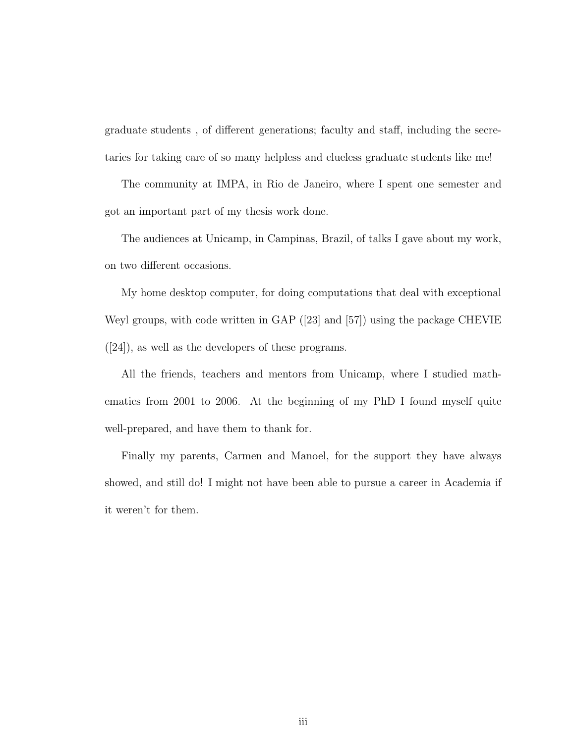graduate students , of different generations; faculty and staff, including the secretaries for taking care of so many helpless and clueless graduate students like me!

The community at IMPA, in Rio de Janeiro, where I spent one semester and got an important part of my thesis work done.

The audiences at Unicamp, in Campinas, Brazil, of talks I gave about my work, on two different occasions.

My home desktop computer, for doing computations that deal with exceptional Weyl groups, with code written in GAP ([\[23\]](#page-70-0) and [\[57\]](#page-73-0)) using the package CHEVIE ([\[24\]](#page-71-0)), as well as the developers of these programs.

All the friends, teachers and mentors from Unicamp, where I studied mathematics from 2001 to 2006. At the beginning of my PhD I found myself quite well-prepared, and have them to thank for.

Finally my parents, Carmen and Manoel, for the support they have always showed, and still do! I might not have been able to pursue a career in Academia if it weren't for them.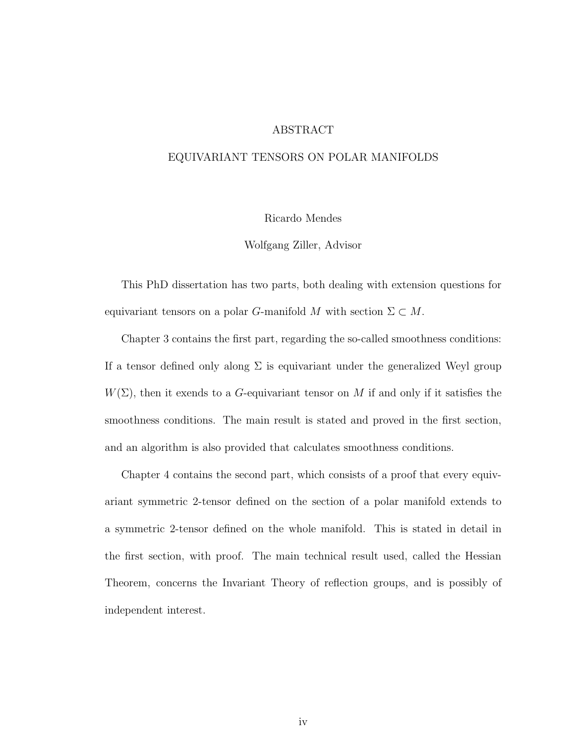#### ABSTRACT

#### EQUIVARIANT TENSORS ON POLAR MANIFOLDS

#### Ricardo Mendes

Wolfgang Ziller, Advisor

This PhD dissertation has two parts, both dealing with extension questions for equivariant tensors on a polar G-manifold M with section  $\Sigma \subset M$ .

Chapter [3](#page-23-0) contains the first part, regarding the so-called smoothness conditions: If a tensor defined only along  $\Sigma$  is equivariant under the generalized Weyl group  $W(\Sigma)$ , then it exends to a G-equivariant tensor on M if and only if it satisfies the smoothness conditions. The main result is stated and proved in the first section, and an algorithm is also provided that calculates smoothness conditions.

Chapter [4](#page-43-0) contains the second part, which consists of a proof that every equivariant symmetric 2-tensor defined on the section of a polar manifold extends to a symmetric 2-tensor defined on the whole manifold. This is stated in detail in the first section, with proof. The main technical result used, called the Hessian Theorem, concerns the Invariant Theory of reflection groups, and is possibly of independent interest.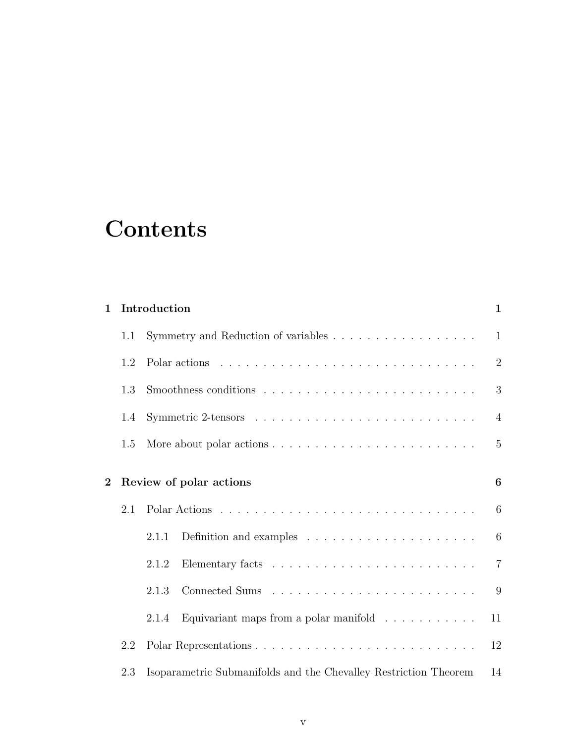# **Contents**

| $\mathbf{1}$ |     | Introduction<br>$\mathbf{1}$                                                 |                |  |  |
|--------------|-----|------------------------------------------------------------------------------|----------------|--|--|
|              | 1.1 |                                                                              | $\mathbf{1}$   |  |  |
|              | 1.2 |                                                                              | $\overline{2}$ |  |  |
|              | 1.3 |                                                                              | 3              |  |  |
|              | 1.4 |                                                                              | $\overline{4}$ |  |  |
|              | 1.5 |                                                                              | $\overline{5}$ |  |  |
| $\bf{2}$     |     | Review of polar actions                                                      | 6              |  |  |
|              | 2.1 |                                                                              | 6              |  |  |
|              |     | Definition and examples $\dots \dots \dots \dots \dots \dots \dots$<br>2.1.1 | 6              |  |  |
|              |     | 2.1.2                                                                        | $\overline{7}$ |  |  |
|              |     | 2.1.3                                                                        | 9              |  |  |
|              |     | Equivariant maps from a polar manifold $\ldots \ldots \ldots$<br>2.1.4       | 11             |  |  |
|              | 2.2 |                                                                              | 12             |  |  |
|              | 2.3 | Isoparametric Submanifolds and the Chevalley Restriction Theorem             | 14             |  |  |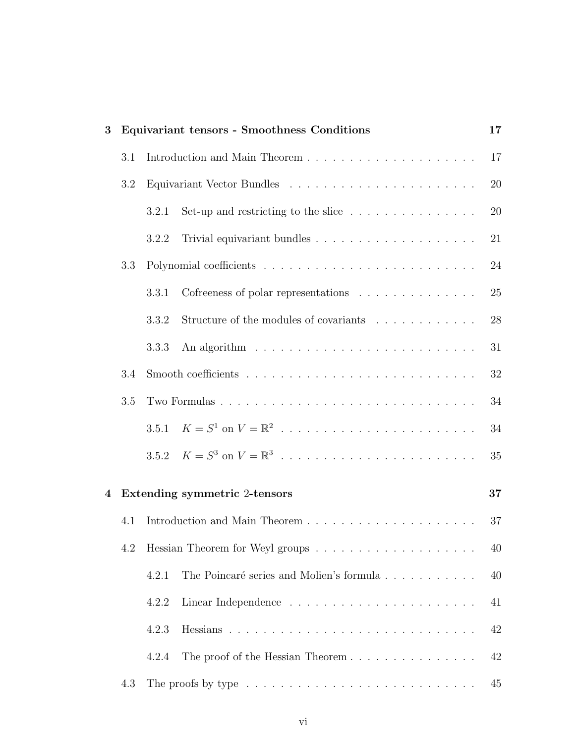| 3 |     |       | Equivariant tensors - Smoothness Conditions                                            | 17 |
|---|-----|-------|----------------------------------------------------------------------------------------|----|
|   | 3.1 |       |                                                                                        | 17 |
|   | 3.2 |       |                                                                                        | 20 |
|   |     | 3.2.1 | Set-up and restricting to the slice $\dots \dots \dots \dots \dots$                    | 20 |
|   |     | 3.2.2 |                                                                                        | 21 |
|   | 3.3 |       |                                                                                        | 24 |
|   |     | 3.3.1 | Cofreeness of polar representations                                                    | 25 |
|   |     | 3.3.2 | Structure of the modules of covariants                                                 | 28 |
|   |     | 3.3.3 |                                                                                        | 31 |
|   | 3.4 |       |                                                                                        | 32 |
|   | 3.5 |       |                                                                                        | 34 |
|   |     | 3.5.1 |                                                                                        | 34 |
|   |     | 3.5.2 |                                                                                        | 35 |
| 4 |     |       | Extending symmetric 2-tensors                                                          | 37 |
|   | 4.1 |       |                                                                                        | 37 |
|   |     |       |                                                                                        | 40 |
|   |     | 4.2.1 | The Poincaré series and Molien's formula                                               | 40 |
|   |     | 4.2.2 |                                                                                        | 41 |
|   |     | 4.2.3 |                                                                                        | 42 |
|   |     | 4.2.4 | The proof of the Hessian Theorem                                                       | 42 |
|   | 4.3 |       | The proofs by type $\dots \dots \dots \dots \dots \dots \dots \dots \dots \dots \dots$ | 45 |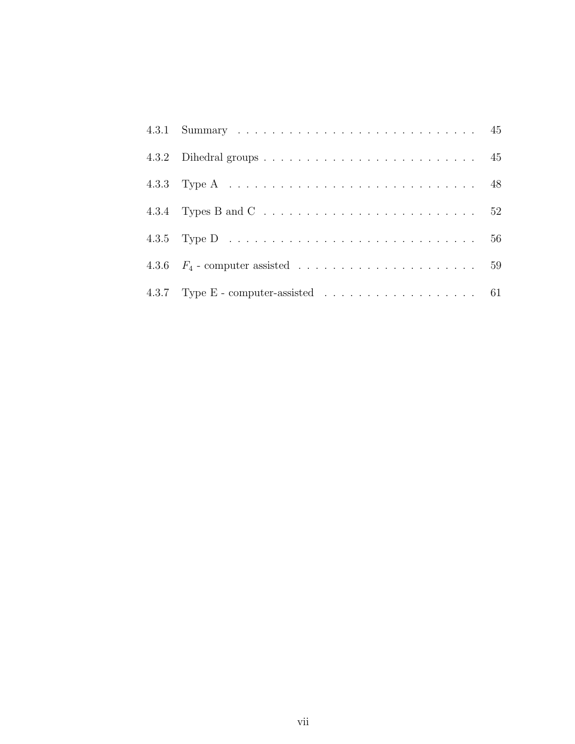| 4.3.4 Types B and C $\ldots \ldots \ldots \ldots \ldots \ldots \ldots \ldots \ldots 52$ |  |
|-----------------------------------------------------------------------------------------|--|
|                                                                                         |  |
|                                                                                         |  |
| 4.3.7 Type E - computer-assisted $\ldots \ldots \ldots \ldots \ldots \ldots$ 61         |  |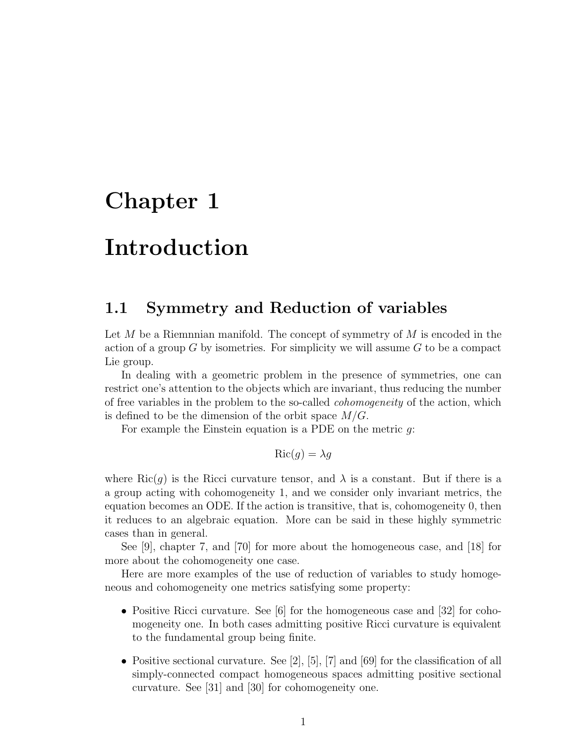## <span id="page-7-0"></span>Chapter 1

## Introduction

### <span id="page-7-1"></span>1.1 Symmetry and Reduction of variables

Let  $M$  be a Riemnnian manifold. The concept of symmetry of  $M$  is encoded in the action of a group  $G$  by isometries. For simplicity we will assume  $G$  to be a compact Lie group.

In dealing with a geometric problem in the presence of symmetries, one can restrict one's attention to the objects which are invariant, thus reducing the number of free variables in the problem to the so-called cohomogeneity of the action, which is defined to be the dimension of the orbit space  $M/G$ .

For example the Einstein equation is a PDE on the metric  $q$ :

$$
\operatorname{Ric}(g)=\lambda g
$$

where Ric(g) is the Ricci curvature tensor, and  $\lambda$  is a constant. But if there is a a group acting with cohomogeneity 1, and we consider only invariant metrics, the equation becomes an ODE. If the action is transitive, that is, cohomogeneity 0, then it reduces to an algebraic equation. More can be said in these highly symmetric cases than in general.

See [\[9\]](#page-69-0), chapter 7, and [\[70\]](#page-74-0) for more about the homogeneous case, and [\[18\]](#page-70-1) for more about the cohomogeneity one case.

Here are more examples of the use of reduction of variables to study homogeneous and cohomogeneity one metrics satisfying some property:

- Positive Ricci curvature. See [\[6\]](#page-69-1) for the homogeneous case and [\[32\]](#page-71-1) for cohomogeneity one. In both cases admitting positive Ricci curvature is equivalent to the fundamental group being finite.
- Positive sectional curvature. See  $[2]$ ,  $[5]$ ,  $[7]$  and  $[69]$  for the classification of all simply-connected compact homogeneous spaces admitting positive sectional curvature. See [\[31\]](#page-71-2) and [\[30\]](#page-71-3) for cohomogeneity one.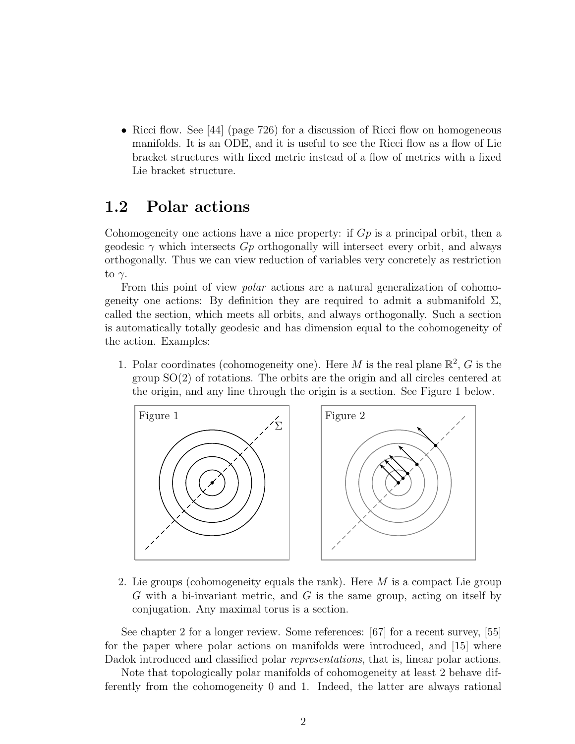• Ricci flow. See [\[44\]](#page-72-0) (page 726) for a discussion of Ricci flow on homogeneous manifolds. It is an ODE, and it is useful to see the Ricci flow as a flow of Lie bracket structures with fixed metric instead of a flow of metrics with a fixed Lie bracket structure.

## <span id="page-8-0"></span>1.2 Polar actions

Cohomogeneity one actions have a nice property: if  $G_p$  is a principal orbit, then a geodesic  $\gamma$  which intersects  $G_p$  orthogonally will intersect every orbit, and always orthogonally. Thus we can view reduction of variables very concretely as restriction to  $\gamma$ .

From this point of view *polar* actions are a natural generalization of cohomogeneity one actions: By definition they are required to admit a submanifold  $\Sigma$ , called the section, which meets all orbits, and always orthogonally. Such a section is automatically totally geodesic and has dimension equal to the cohomogeneity of the action. Examples:

1. Polar coordinates (cohomogeneity one). Here M is the real plane  $\mathbb{R}^2$ , G is the group SO(2) of rotations. The orbits are the origin and all circles centered at the origin, and any line through the origin is a section. See Figure 1 below.



2. Lie groups (cohomogeneity equals the rank). Here  $M$  is a compact Lie group G with a bi-invariant metric, and G is the same group, acting on itself by conjugation. Any maximal torus is a section.

See chapter [2](#page-12-0) for a longer review. Some references: [\[67\]](#page-73-1) for a recent survey, [\[55\]](#page-73-2) for the paper where polar actions on manifolds were introduced, and [\[15\]](#page-70-2) where Dadok introduced and classified polar *representations*, that is, linear polar actions.

Note that topologically polar manifolds of cohomogeneity at least 2 behave differently from the cohomogeneity 0 and 1. Indeed, the latter are always rational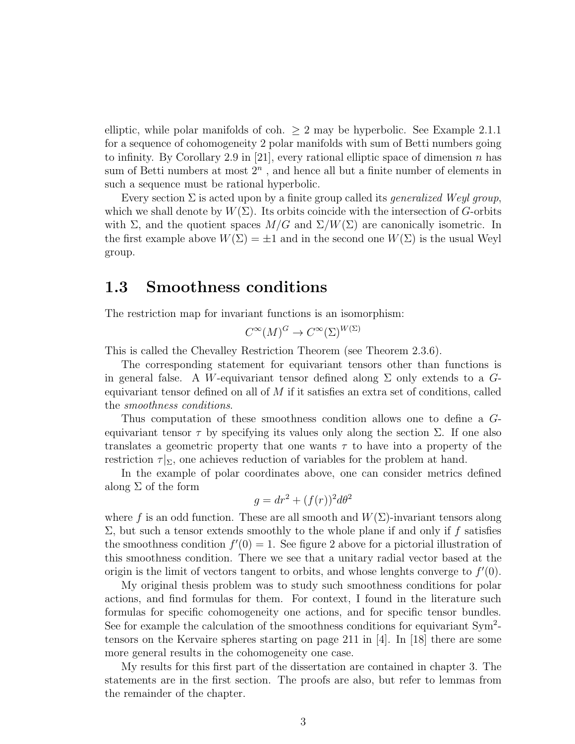elliptic, while polar manifolds of coh.  $\geq 2$  may be hyperbolic. See Example [2.1.1](#page-16-0) for a sequence of cohomogeneity 2 polar manifolds with sum of Betti numbers going to infinity. By Corollary 2.9 in [\[21\]](#page-70-3), every rational elliptic space of dimension n has sum of Betti numbers at most  $2<sup>n</sup>$ , and hence all but a finite number of elements in such a sequence must be rational hyperbolic.

Every section  $\Sigma$  is acted upon by a finite group called its *generalized Weyl group*, which we shall denote by  $W(\Sigma)$ . Its orbits coincide with the intersection of G-orbits with  $\Sigma$ , and the quotient spaces  $M/G$  and  $\Sigma/W(\Sigma)$  are canonically isometric. In the first example above  $W(\Sigma) = \pm 1$  and in the second one  $W(\Sigma)$  is the usual Weyl group.

### <span id="page-9-0"></span>1.3 Smoothness conditions

The restriction map for invariant functions is an isomorphism:

$$
C^{\infty}(M)^G \to C^{\infty}(\Sigma)^{W(\Sigma)}
$$

This is called the Chevalley Restriction Theorem (see Theorem [2.3.6\)](#page-21-0).

The corresponding statement for equivariant tensors other than functions is in general false. A W-equivariant tensor defined along  $\Sigma$  only extends to a Gequivariant tensor defined on all of  $M$  if it satisfies an extra set of conditions, called the smoothness conditions.

Thus computation of these smoothness condition allows one to define a Gequivariant tensor  $\tau$  by specifying its values only along the section  $\Sigma$ . If one also translates a geometric property that one wants  $\tau$  to have into a property of the restriction  $\tau|_{\Sigma}$ , one achieves reduction of variables for the problem at hand.

In the example of polar coordinates above, one can consider metrics defined along  $\Sigma$  of the form

$$
g = dr^2 + (f(r))^2 d\theta^2
$$

where f is an odd function. These are all smooth and  $W(\Sigma)$ -invariant tensors along  $\Sigma$ , but such a tensor extends smoothly to the whole plane if and only if f satisfies the smoothness condition  $f'(0) = 1$ . See figure 2 above for a pictorial illustration of this smoothness condition. There we see that a unitary radial vector based at the origin is the limit of vectors tangent to orbits, and whose lenghts converge to  $f'(0)$ .

My original thesis problem was to study such smoothness conditions for polar actions, and find formulas for them. For context, I found in the literature such formulas for specific cohomogeneity one actions, and for specific tensor bundles. See for example the calculation of the smoothness conditions for equivariant Sym<sup>2</sup>tensors on the Kervaire spheres starting on page 211 in [\[4\]](#page-69-5). In [\[18\]](#page-70-1) there are some more general results in the cohomogeneity one case.

My results for this first part of the dissertation are contained in chapter [3.](#page-23-0) The statements are in the first section. The proofs are also, but refer to lemmas from the remainder of the chapter.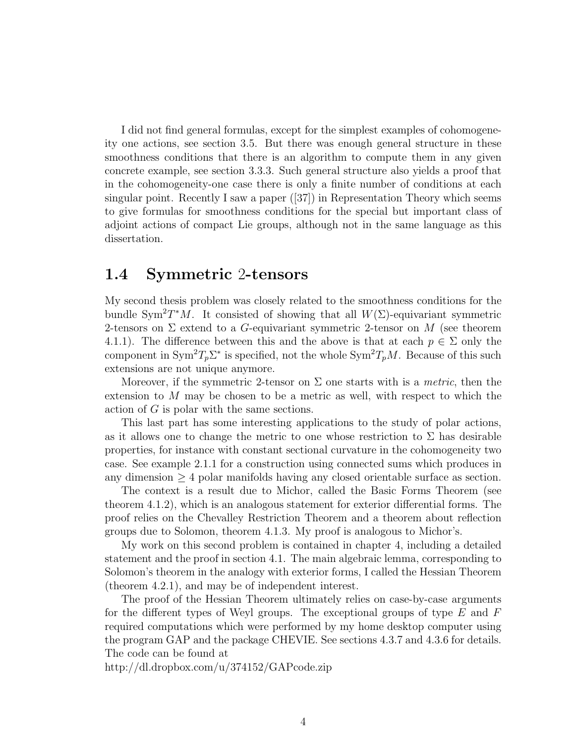I did not find general formulas, except for the simplest examples of cohomogeneity one actions, see section [3.5.](#page-40-0) But there was enough general structure in these smoothness conditions that there is an algorithm to compute them in any given concrete example, see section [3.3.3.](#page-37-0) Such general structure also yields a proof that in the cohomogeneity-one case there is only a finite number of conditions at each singular point. Recently I saw a paper  $([37])$  $([37])$  $([37])$  in Representation Theory which seems to give formulas for smoothness conditions for the special but important class of adjoint actions of compact Lie groups, although not in the same language as this dissertation.

### <span id="page-10-0"></span>1.4 Symmetric 2-tensors

My second thesis problem was closely related to the smoothness conditions for the bundle Sym<sup>2</sup>T<sup>\*</sup>M. It consisted of showing that all  $W(\Sigma)$ -equivariant symmetric 2-tensors on  $\Sigma$  extend to a G-equivariant symmetric 2-tensor on M (see theorem [4.1.1\)](#page-43-2). The difference between this and the above is that at each  $p \in \Sigma$  only the component in  $\text{Sym}^2 T_p \Sigma^*$  is specified, not the whole  $\text{Sym}^2 T_p M$ . Because of this such extensions are not unique anymore.

Moreover, if the symmetric 2-tensor on  $\Sigma$  one starts with is a *metric*, then the extension to M may be chosen to be a metric as well, with respect to which the action of G is polar with the same sections.

This last part has some interesting applications to the study of polar actions, as it allows one to change the metric to one whose restriction to  $\Sigma$  has desirable properties, for instance with constant sectional curvature in the cohomogeneity two case. See example [2.1.1](#page-16-0) for a construction using connected sums which produces in any dimension  $\geq 4$  polar manifolds having any closed orientable surface as section.

The context is a result due to Michor, called the Basic Forms Theorem (see theorem [4.1.2\)](#page-43-3), which is an analogous statement for exterior differential forms. The proof relies on the Chevalley Restriction Theorem and a theorem about reflection groups due to Solomon, theorem [4.1.3.](#page-43-4) My proof is analogous to Michor's.

My work on this second problem is contained in chapter [4,](#page-43-0) including a detailed statement and the proof in section [4.1.](#page-43-1) The main algebraic lemma, corresponding to Solomon's theorem in the analogy with exterior forms, I called the Hessian Theorem (theorem [4.2.1\)](#page-46-2), and may be of independent interest.

The proof of the Hessian Theorem ultimately relies on case-by-case arguments for the different types of Weyl groups. The exceptional groups of type  $E$  and  $F$ required computations which were performed by my home desktop computer using the program GAP and the package CHEVIE. See sections [4.3.7](#page-67-0) and [4.3.6](#page-65-0) for details. The code can be found at

<http://dl.dropbox.com/u/374152/GAPcode.zip>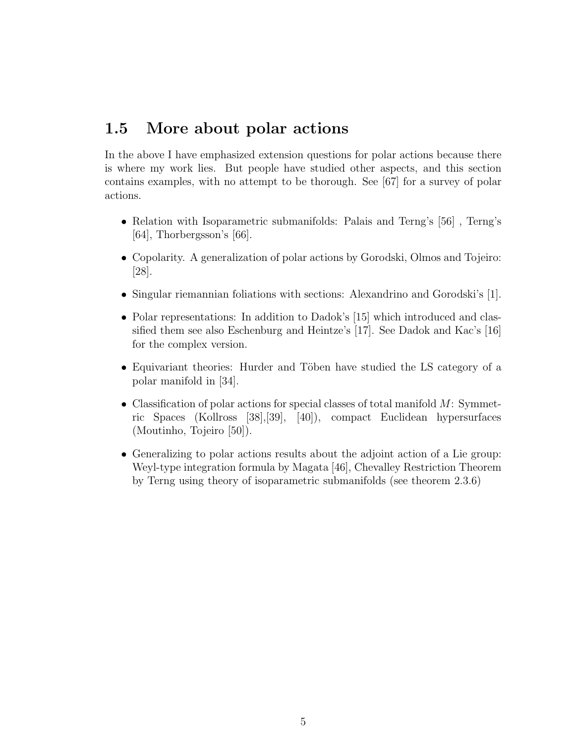## <span id="page-11-0"></span>1.5 More about polar actions

In the above I have emphasized extension questions for polar actions because there is where my work lies. But people have studied other aspects, and this section contains examples, with no attempt to be thorough. See [\[67\]](#page-73-1) for a survey of polar actions.

- Relation with Isoparametric submanifolds: Palais and Terng's [\[56\]](#page-73-3) , Terng's [\[64\]](#page-73-4), Thorbergsson's [\[66\]](#page-73-5).
- Copolarity. A generalization of polar actions by Gorodski, Olmos and Tojeiro: [\[28\]](#page-71-4).
- Singular riemannian foliations with sections: Alexandrino and Gorodski's [\[1\]](#page-69-6).
- Polar representations: In addition to Dadok's [\[15\]](#page-70-2) which introduced and classified them see also Eschenburg and Heintze's [\[17\]](#page-70-4). See Dadok and Kac's [\[16\]](#page-70-5) for the complex version.
- Equivariant theories: Hurder and Töben have studied the LS category of a polar manifold in [\[34\]](#page-71-5).
- Classification of polar actions for special classes of total manifold  $M$ : Symmetric Spaces (Kollross [\[38\]](#page-72-2),[\[39\]](#page-72-3), [\[40\]](#page-72-4)), compact Euclidean hypersurfaces (Moutinho, Tojeiro [\[50\]](#page-72-5)).
- Generalizing to polar actions results about the adjoint action of a Lie group: Weyl-type integration formula by Magata [\[46\]](#page-72-6), Chevalley Restriction Theorem by Terng using theory of isoparametric submanifolds (see theorem [2.3.6\)](#page-21-0)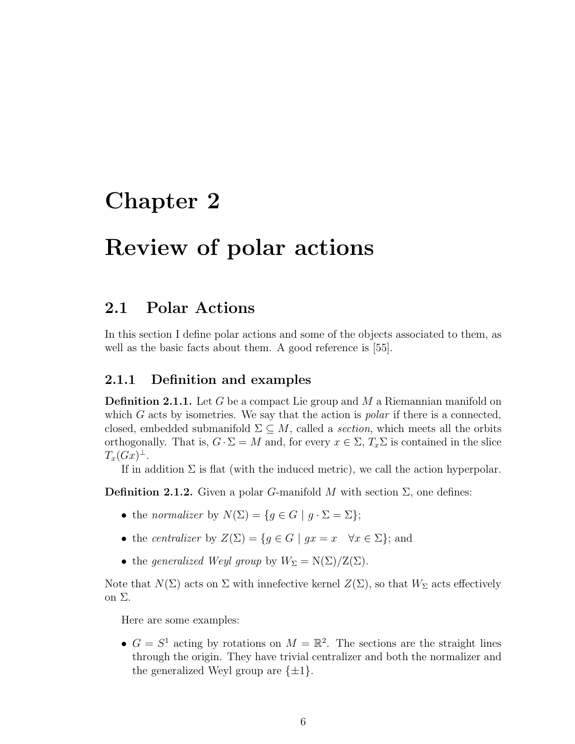## <span id="page-12-0"></span>Chapter 2

## Review of polar actions

## <span id="page-12-1"></span>2.1 Polar Actions

In this section I define polar actions and some of the objects associated to them, as well as the basic facts about them. A good reference is [\[55\]](#page-73-2).

#### <span id="page-12-2"></span>2.1.1 Definition and examples

**Definition 2.1.1.** Let G be a compact Lie group and M a Riemannian manifold on which  $G$  acts by isometries. We say that the action is *polar* if there is a connected, closed, embedded submanifold  $\Sigma \subseteq M$ , called a section, which meets all the orbits orthogonally. That is,  $G \cdot \Sigma = M$  and, for every  $x \in \Sigma$ ,  $T_x \Sigma$  is contained in the slice  $T_x(Gx)^{\perp}.$ 

If in addition  $\Sigma$  is flat (with the induced metric), we call the action hyperpolar.

**Definition 2.1.2.** Given a polar G-manifold M with section  $\Sigma$ , one defines:

- the normalizer by  $N(\Sigma) = \{g \in G \mid g \cdot \Sigma = \Sigma\};$
- the centralizer by  $Z(\Sigma) = \{g \in G \mid gx = x \quad \forall x \in \Sigma\};$  and
- the generalized Weyl group by  $W_{\Sigma} = N(\Sigma)/Z(\Sigma)$ .

Note that  $N(\Sigma)$  acts on  $\Sigma$  with innefective kernel  $Z(\Sigma)$ , so that  $W_{\Sigma}$  acts effectively on Σ.

Here are some examples:

•  $G = S^1$  acting by rotations on  $M = \mathbb{R}^2$ . The sections are the straight lines through the origin. They have trivial centralizer and both the normalizer and the generalized Weyl group are  $\{\pm 1\}.$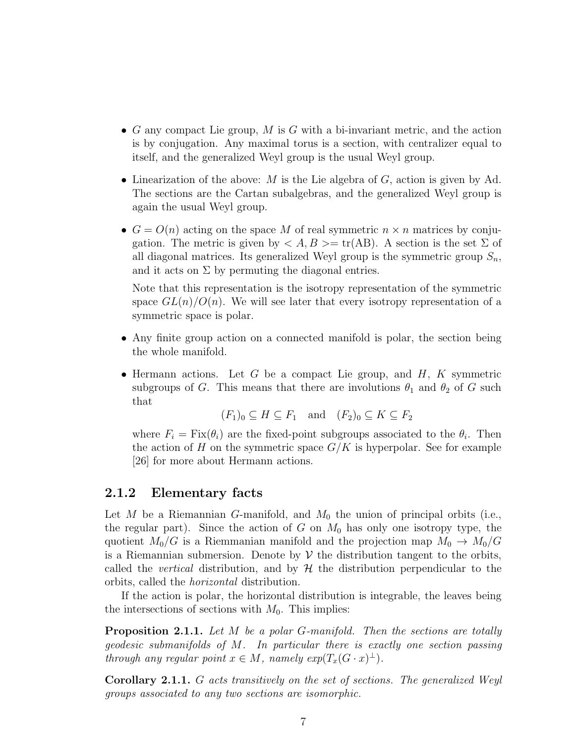- G any compact Lie group, M is G with a bi-invariant metric, and the action is by conjugation. Any maximal torus is a section, with centralizer equal to itself, and the generalized Weyl group is the usual Weyl group.
- Linearization of the above:  $M$  is the Lie algebra of  $G$ , action is given by Ad. The sections are the Cartan subalgebras, and the generalized Weyl group is again the usual Weyl group.
- $G = O(n)$  acting on the space M of real symmetric  $n \times n$  matrices by conjugation. The metric is given by  $\langle A, B \rangle = \text{tr}(AB)$ . A section is the set  $\Sigma$  of all diagonal matrices. Its generalized Weyl group is the symmetric group  $S_n$ , and it acts on  $\Sigma$  by permuting the diagonal entries.

Note that this representation is the isotropy representation of the symmetric space  $GL(n)/O(n)$ . We will see later that every isotropy representation of a symmetric space is polar.

- Any finite group action on a connected manifold is polar, the section being the whole manifold.
- Hermann actions. Let G be a compact Lie group, and  $H$ , K symmetric subgroups of G. This means that there are involutions  $\theta_1$  and  $\theta_2$  of G such that

 $(F_1)_0 \subset H \subset F_1$  and  $(F_2)_0 \subset K \subset F_2$ 

where  $F_i = \text{Fix}(\theta_i)$  are the fixed-point subgroups associated to the  $\theta_i$ . Then the action of H on the symmetric space  $G/K$  is hyperpolar. See for example [\[26\]](#page-71-6) for more about Hermann actions.

#### <span id="page-13-0"></span>2.1.2 Elementary facts

Let M be a Riemannian G-manifold, and  $M_0$  the union of principal orbits (i.e., the regular part). Since the action of G on  $M_0$  has only one isotropy type, the quotient  $M_0/G$  is a Riemmanian manifold and the projection map  $M_0 \rightarrow M_0/G$ is a Riemannian submersion. Denote by  $\mathcal V$  the distribution tangent to the orbits, called the *vertical* distribution, and by  $H$  the distribution perpendicular to the orbits, called the horizontal distribution.

If the action is polar, the horizontal distribution is integrable, the leaves being the intersections of sections with  $M_0$ . This implies:

**Proposition 2.1.1.** Let M be a polar G-manifold. Then the sections are totally geodesic submanifolds of M. In particular there is exactly one section passing through any regular point  $x \in M$ , namely  $exp(T_x(G \cdot x)^{\perp})$ .

Corollary 2.1.1. G acts transitively on the set of sections. The generalized Weyl groups associated to any two sections are isomorphic.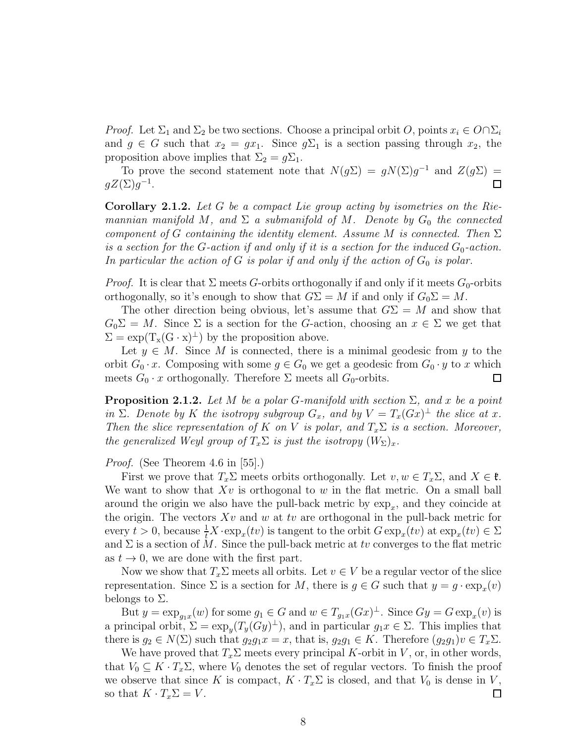*Proof.* Let  $\Sigma_1$  and  $\Sigma_2$  be two sections. Choose a principal orbit O, points  $x_i \in O \cap \Sigma_i$ and  $g \in G$  such that  $x_2 = gx_1$ . Since  $g\Sigma_1$  is a section passing through  $x_2$ , the proposition above implies that  $\Sigma_2 = g \Sigma_1$ .

To prove the second statement note that  $N(g\Sigma) = gN(\Sigma)g^{-1}$  and  $Z(g\Sigma) =$  $gZ(\Sigma)g^{-1}.$ 口

**Corollary 2.1.2.** Let G be a compact Lie group acting by isometries on the Riemannian manifold M, and  $\Sigma$  a submanifold of M. Denote by  $G_0$  the connected component of G containing the identity element. Assume M is connected. Then  $\Sigma$ is a section for the G-action if and only if it is a section for the induced  $G_0$ -action. In particular the action of G is polar if and only if the action of  $G_0$  is polar.

*Proof.* It is clear that  $\Sigma$  meets G-orbits orthogonally if and only if it meets  $G_0$ -orbits orthogonally, so it's enough to show that  $G\Sigma = M$  if and only if  $G_0 \Sigma = M$ .

The other direction being obvious, let's assume that  $G\Sigma = M$  and show that  $G_0\Sigma = M$ . Since  $\Sigma$  is a section for the G-action, choosing an  $x \in \Sigma$  we get that  $\Sigma = \exp(T_x(G \cdot x)^{\perp})$  by the proposition above.

Let  $y \in M$ . Since M is connected, there is a minimal geodesic from y to the orbit  $G_0 \cdot x$ . Composing with some  $g \in G_0$  we get a geodesic from  $G_0 \cdot y$  to x which meets  $G_0 \cdot x$  orthogonally. Therefore  $\Sigma$  meets all  $G_0$ -orbits. □

<span id="page-14-0"></span>**Proposition 2.1.2.** Let M be a polar G-manifold with section  $\Sigma$ , and x be a point in  $\Sigma$ . Denote by K the isotropy subgroup  $G_x$ , and by  $V = T_x(Gx)^{\perp}$  the slice at x. Then the slice representation of K on V is polar, and  $T_x \Sigma$  is a section. Moreover, the generalized Weyl group of  $T_x \Sigma$  is just the isotropy  $(W_{\Sigma})_x$ .

Proof. (See Theorem 4.6 in [\[55\]](#page-73-2).)

First we prove that  $T_x\Sigma$  meets orbits orthogonally. Let  $v, w \in T_x\Sigma$ , and  $X \in \mathfrak{k}$ . We want to show that  $Xv$  is orthogonal to w in the flat metric. On a small ball around the origin we also have the pull-back metric by  $\exp_x$ , and they coincide at the origin. The vectors  $Xv$  and w at tv are orthogonal in the pull-back metric for every  $t > 0$ , because  $\frac{1}{t} X \cdot \exp_x(tv)$  is tangent to the orbit  $G \exp_x(tv)$  at  $\exp_x(tv) \in \Sigma$ and  $\Sigma$  is a section of M. Since the pull-back metric at tv converges to the flat metric as  $t \to 0$ , we are done with the first part.

Now we show that  $T_x\Sigma$  meets all orbits. Let  $v \in V$  be a regular vector of the slice representation. Since  $\Sigma$  is a section for M, there is  $g \in G$  such that  $y = g \cdot \exp_x(v)$ belongs to  $\Sigma$ .

But  $y = \exp_{g_1x}(w)$  for some  $g_1 \in G$  and  $w \in T_{g_1x}(Gx)^{\perp}$ . Since  $Gy = G \exp_x(v)$  is a principal orbit,  $\Sigma = \exp_y(T_y(Gy)^{\perp})$ , and in particular  $g_1x \in \Sigma$ . This implies that there is  $g_2 \in N(\Sigma)$  such that  $g_2g_1x = x$ , that is,  $g_2g_1 \in K$ . Therefore  $(g_2g_1)v \in T_x\Sigma$ .

We have proved that  $T_x\Sigma$  meets every principal K-orbit in V, or, in other words, that  $V_0 \subseteq K \cdot T_x \Sigma$ , where  $V_0$  denotes the set of regular vectors. To finish the proof we observe that since K is compact,  $K \cdot T_x \Sigma$  is closed, and that  $V_0$  is dense in V, so that  $K \cdot T_x \Sigma = V$ . □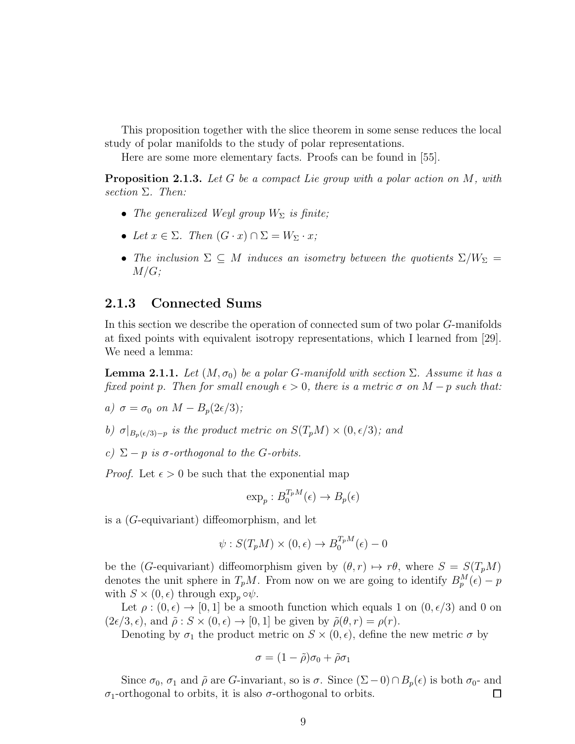This proposition together with the slice theorem in some sense reduces the local study of polar manifolds to the study of polar representations.

Here are some more elementary facts. Proofs can be found in [\[55\]](#page-73-2).

**Proposition 2.1.3.** Let G be a compact Lie group with a polar action on M, with section Σ. Then:

- The generalized Weyl group  $W_{\Sigma}$  is finite;
- Let  $x \in \Sigma$ . Then  $(G \cdot x) \cap \Sigma = W_{\Sigma} \cdot x$ ;
- The inclusion  $\Sigma \subseteq M$  induces an isometry between the quotients  $\Sigma/W_{\Sigma} =$  $M/G;$

#### <span id="page-15-0"></span>2.1.3 Connected Sums

In this section we describe the operation of connected sum of two polar G-manifolds at fixed points with equivalent isotropy representations, which I learned from [\[29\]](#page-71-7). We need a lemma:

**Lemma 2.1.1.** Let  $(M, \sigma_0)$  be a polar G-manifold with section  $\Sigma$ . Assume it has a fixed point p. Then for small enough  $\epsilon > 0$ , there is a metric  $\sigma$  on  $M - p$  such that:

- a)  $\sigma = \sigma_0$  on  $M B_n(2\epsilon/3);$
- b)  $\sigma|_{B_p(\epsilon/3)-p}$  is the product metric on  $S(T_pM)\times(0,\epsilon/3)$ ; and
- c)  $\Sigma p$  is  $\sigma$ -orthogonal to the G-orbits.

*Proof.* Let  $\epsilon > 0$  be such that the exponential map

$$
\exp_p: B_0^{T_pM}(\epsilon) \to B_p(\epsilon)
$$

is a (G-equivariant) diffeomorphism, and let

$$
\psi: S(T_pM)\times (0,\epsilon)\to B_0^{T_pM}(\epsilon)-0
$$

be the (G-equivariant) diffeomorphism given by  $(\theta, r) \mapsto r\theta$ , where  $S = S(T_pM)$ denotes the unit sphere in  $T_pM$ . From now on we are going to identify  $B_p^M(\epsilon) - p$ with  $S \times (0, \epsilon)$  through  $\exp_p \circ \psi$ .

Let  $\rho : (0, \epsilon) \to [0, 1]$  be a smooth function which equals 1 on  $(0, \epsilon/3)$  and 0 on  $(2\epsilon/3, \epsilon)$ , and  $\tilde{\rho}: S \times (0, \epsilon) \to [0, 1]$  be given by  $\tilde{\rho}(\theta, r) = \rho(r)$ .

Denoting by  $\sigma_1$  the product metric on  $S \times (0, \epsilon)$ , define the new metric  $\sigma$  by

$$
\sigma = (1 - \tilde{\rho})\sigma_0 + \tilde{\rho}\sigma_1
$$

Since  $\sigma_0$ ,  $\sigma_1$  and  $\tilde{\rho}$  are G-invariant, so is  $\sigma$ . Since  $(\Sigma - 0) \cap B_p(\epsilon)$  is both  $\sigma_0$ - and σ1-orthogonal to orbits, it is also σ-orthogonal to orbits.  $\Box$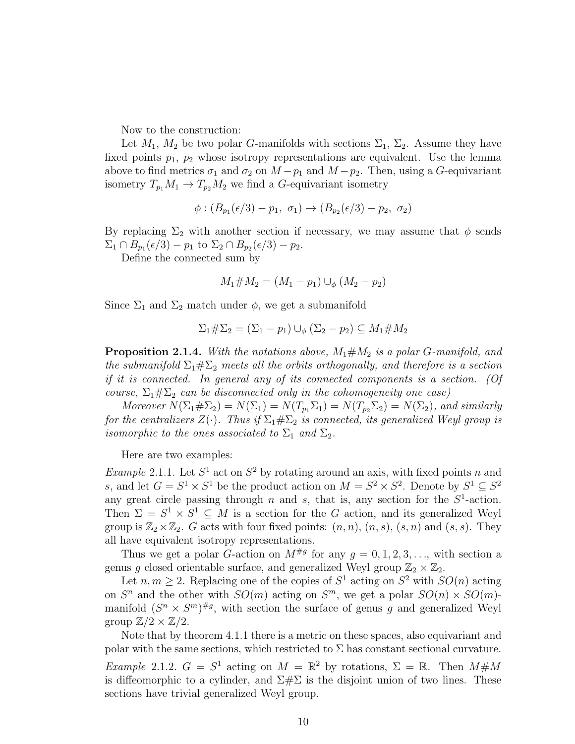Now to the construction:

Let  $M_1$ ,  $M_2$  be two polar G-manifolds with sections  $\Sigma_1$ ,  $\Sigma_2$ . Assume they have fixed points  $p_1$ ,  $p_2$  whose isotropy representations are equivalent. Use the lemma above to find metrics  $\sigma_1$  and  $\sigma_2$  on  $M-p_1$  and  $M-p_2$ . Then, using a G-equivariant isometry  $T_{p_1}M_1 \to T_{p_2}M_2$  we find a G-equivariant isometry

$$
\phi: (B_{p_1}(\epsilon/3) - p_1, \sigma_1) \to (B_{p_2}(\epsilon/3) - p_2, \sigma_2)
$$

By replacing  $\Sigma_2$  with another section if necessary, we may assume that  $\phi$  sends  $\Sigma_1 \cap B_{p_1}(\epsilon/3) - p_1$  to  $\Sigma_2 \cap B_{p_2}(\epsilon/3) - p_2$ .

Define the connected sum by

$$
M_1 \# M_2 = (M_1 - p_1) \cup_{\phi} (M_2 - p_2)
$$

Since  $\Sigma_1$  and  $\Sigma_2$  match under  $\phi$ , we get a submanifold

$$
\Sigma_1 \# \Sigma_2 = (\Sigma_1 - p_1) \cup_{\phi} (\Sigma_2 - p_2) \subseteq M_1 \# M_2
$$

**Proposition 2.1.4.** With the notations above,  $M_1 \# M_2$  is a polar G-manifold, and the submanifold  $\Sigma_1 \# \Sigma_2$  meets all the orbits orthogonally, and therefore is a section if it is connected. In general any of its connected components is a section. (Of course,  $\Sigma_1 \# \Sigma_2$  can be disconnected only in the cohomogeneity one case)

Moreover  $N(\Sigma_1 \# \Sigma_2) = N(\Sigma_1) = N(T_{p_1} \Sigma_1) = N(T_{p_2} \Sigma_2) = N(\Sigma_2)$ , and similarly for the centralizers  $Z(\cdot)$ . Thus if  $\Sigma_1 \# \Sigma_2$  is connected, its generalized Weyl group is isomorphic to the ones associated to  $\Sigma_1$  and  $\Sigma_2$ .

Here are two examples:

<span id="page-16-0"></span>*Example* 2.1.1. Let  $S^1$  act on  $S^2$  by rotating around an axis, with fixed points n and s, and let  $G = S^1 \times S^1$  be the product action on  $M = S^2 \times S^2$ . Denote by  $S^1 \subseteq S^2$ any great circle passing through n and s, that is, any section for the  $S^1$ -action. Then  $\Sigma = S^1 \times S^1 \subseteq M$  is a section for the G action, and its generalized Weyl group is  $\mathbb{Z}_2 \times \mathbb{Z}_2$ . G acts with four fixed points:  $(n, n)$ ,  $(n, s)$ ,  $(s, n)$  and  $(s, s)$ . They all have equivalent isotropy representations.

Thus we get a polar G-action on  $M^{\#g}$  for any  $g = 0, 1, 2, 3, \ldots$ , with section a genus g closed orientable surface, and generalized Weyl group  $\mathbb{Z}_2 \times \mathbb{Z}_2$ .

Let  $n, m \geq 2$ . Replacing one of the copies of  $S^1$  acting on  $S^2$  with  $SO(n)$  acting on  $S<sup>n</sup>$  and the other with  $SO(m)$  acting on  $S<sup>m</sup>$ , we get a polar  $SO(n) \times SO(m)$ manifold  $(S^n \times S^m)^{\#g}$ , with section the surface of genus g and generalized Weyl group  $\mathbb{Z}/2 \times \mathbb{Z}/2$ .

Note that by theorem [4.1.1](#page-43-2) there is a metric on these spaces, also equivariant and polar with the same sections, which restricted to  $\Sigma$  has constant sectional curvature. *Example 2.1.2.*  $G = S^1$  acting on  $M = \mathbb{R}^2$  by rotations,  $\Sigma = \mathbb{R}$ . Then  $M \# M$ is diffeomorphic to a cylinder, and  $\Sigma \# \Sigma$  is the disjoint union of two lines. These sections have trivial generalized Weyl group.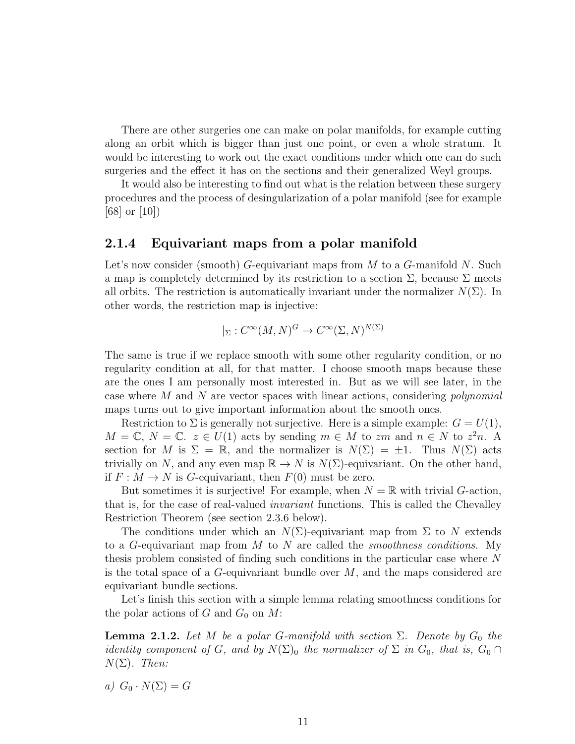There are other surgeries one can make on polar manifolds, for example cutting along an orbit which is bigger than just one point, or even a whole stratum. It would be interesting to work out the exact conditions under which one can do such surgeries and the effect it has on the sections and their generalized Weyl groups.

It would also be interesting to find out what is the relation between these surgery procedures and the process of desingularization of a polar manifold (see for example [\[68\]](#page-74-2) or [\[10\]](#page-69-7))

#### <span id="page-17-0"></span>2.1.4 Equivariant maps from a polar manifold

Let's now consider (smooth) G-equivariant maps from M to a G-manifold N. Such a map is completely determined by its restriction to a section  $\Sigma$ , because  $\Sigma$  meets all orbits. The restriction is automatically invariant under the normalizer  $N(\Sigma)$ . In other words, the restriction map is injective:

$$
|_{\Sigma}: C^{\infty}(M, N)^{G} \to C^{\infty}(\Sigma, N)^{N(\Sigma)}
$$

The same is true if we replace smooth with some other regularity condition, or no regularity condition at all, for that matter. I choose smooth maps because these are the ones I am personally most interested in. But as we will see later, in the case where M and N are vector spaces with linear actions, considering polynomial maps turns out to give important information about the smooth ones.

Restriction to  $\Sigma$  is generally not surjective. Here is a simple example:  $G = U(1)$ ,  $M = \mathbb{C}, N = \mathbb{C}.$   $z \in U(1)$  acts by sending  $m \in M$  to  $zm$  and  $n \in N$  to  $z^2n$ . A section for M is  $\Sigma = \mathbb{R}$ , and the normalizer is  $N(\Sigma) = \pm 1$ . Thus  $N(\Sigma)$  acts trivially on N, and any even map  $\mathbb{R} \to N$  is  $N(\Sigma)$ -equivariant. On the other hand, if  $F: M \to N$  is G-equivariant, then  $F(0)$  must be zero.

But sometimes it is surjective! For example, when  $N = \mathbb{R}$  with trivial G-action, that is, for the case of real-valued *invariant* functions. This is called the Chevalley Restriction Theorem (see section [2.3.6](#page-21-0) below).

The conditions under which an  $N(\Sigma)$ -equivariant map from  $\Sigma$  to N extends to a G-equivariant map from M to N are called the *smoothness conditions*. My thesis problem consisted of finding such conditions in the particular case where N is the total space of a  $G$ -equivariant bundle over  $M$ , and the maps considered are equivariant bundle sections.

Let's finish this section with a simple lemma relating smoothness conditions for the polar actions of G and  $G_0$  on M:

<span id="page-17-1"></span>**Lemma 2.1.2.** Let M be a polar G-manifold with section  $\Sigma$ . Denote by  $G_0$  the identity component of G, and by  $N(\Sigma)$ <sub>0</sub> the normalizer of  $\Sigma$  in  $G_0$ , that is,  $G_0 \cap$  $N(\Sigma)$ . Then:

a)  $G_0 \cdot N(\Sigma) = G$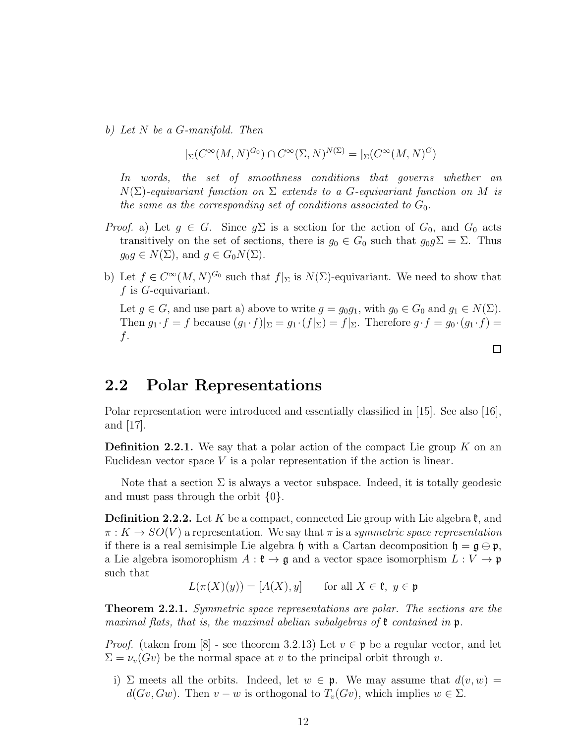b) Let N be a G-manifold. Then

$$
|_{\Sigma}(C^{\infty}(M,N)^{G_0})\cap C^{\infty}(\Sigma,N)^{N(\Sigma)}=|_{\Sigma}(C^{\infty}(M,N)^G)
$$

In words, the set of smoothness conditions that governs whether an  $N(\Sigma)$ -equivariant function on  $\Sigma$  extends to a G-equivariant function on M is the same as the corresponding set of conditions associated to  $G_0$ .

- *Proof.* a) Let  $g \in G$ . Since  $g\Sigma$  is a section for the action of  $G_0$ , and  $G_0$  acts transitively on the set of sections, there is  $g_0 \in G_0$  such that  $g_0 g \Sigma = \Sigma$ . Thus  $g_0g \in N(\Sigma)$ , and  $g \in G_0N(\Sigma)$ .
- b) Let  $f \in C^{\infty}(M, N)^{G_0}$  such that  $f|_{\Sigma}$  is  $N(\Sigma)$ -equivariant. We need to show that f is G-equivariant.

Let  $g \in G$ , and use part a) above to write  $g = g_0 g_1$ , with  $g_0 \in G_0$  and  $g_1 \in N(\Sigma)$ . Then  $g_1 \cdot f = f$  because  $(g_1 \cdot f)|_{\Sigma} = g_1 \cdot (f|_{\Sigma}) = f|_{\Sigma}$ . Therefore  $g \cdot f = g_0 \cdot (g_1 \cdot f) =$ f.

## <span id="page-18-0"></span>2.2 Polar Representations

Polar representation were introduced and essentially classified in [\[15\]](#page-70-2). See also [\[16\]](#page-70-5), and [\[17\]](#page-70-4).

**Definition 2.2.1.** We say that a polar action of the compact Lie group  $K$  on an Euclidean vector space  $V$  is a polar representation if the action is linear.

Note that a section  $\Sigma$  is always a vector subspace. Indeed, it is totally geodesic and must pass through the orbit  $\{0\}$ .

**Definition 2.2.2.** Let K be a compact, connected Lie group with Lie algebra  $\mathfrak{k}$ , and  $\pi: K \to SO(V)$  a representation. We say that  $\pi$  is a symmetric space representation if there is a real semisimple Lie algebra h with a Cartan decomposition  $h = g \oplus p$ , a Lie algebra isomorophism  $A: \mathfrak{k} \to \mathfrak{g}$  and a vector space isomorphism  $L: V \to \mathfrak{p}$ such that

$$
L(\pi(X)(y)) = [A(X), y] \quad \text{for all } X \in \mathfrak{k}, y \in \mathfrak{p}
$$

**Theorem 2.2.1.** Symmetric space representations are polar. The sections are the maximal flats, that is, the maximal abelian subalgebras of  $\mathfrak k$  contained in  $\mathfrak p$ .

*Proof.* (taken from [\[8\]](#page-69-8) - see theorem 3.2.13) Let  $v \in \mathfrak{p}$  be a regular vector, and let  $\Sigma = \nu_v(Gv)$  be the normal space at v to the principal orbit through v.

i)  $\Sigma$  meets all the orbits. Indeed, let  $w \in \mathfrak{p}$ . We may assume that  $d(v, w) =$  $d(Gv, Gw)$ . Then  $v - w$  is orthogonal to  $T_v(Gv)$ , which implies  $w \in \Sigma$ .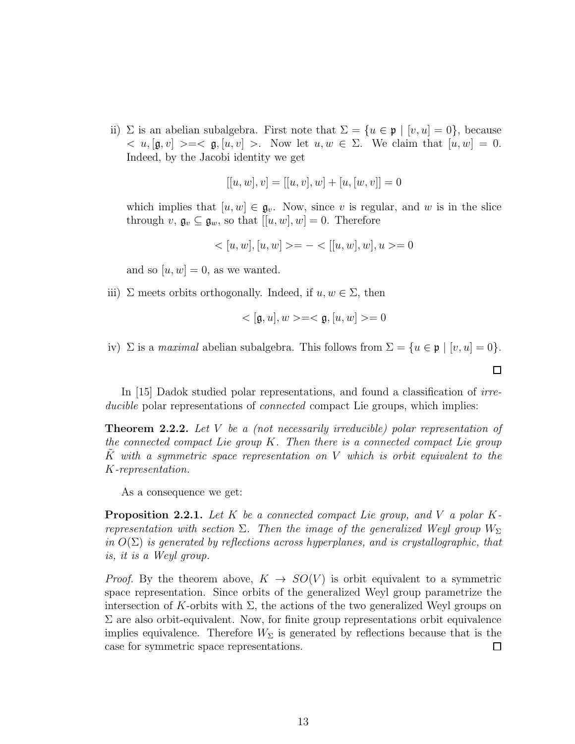ii)  $\Sigma$  is an abelian subalgebra. First note that  $\Sigma = \{u \in \mathfrak{p} \mid [v, u] = 0\}$ , because  $\langle u, [\mathfrak{g}, v] \rangle = \langle \mathfrak{g}, [u, v] \rangle$ . Now let  $u, w \in \Sigma$ . We claim that  $[u, w] = 0$ . Indeed, by the Jacobi identity we get

$$
[[u, w], v] = [[u, v], w] + [u, [w, v]] = 0
$$

which implies that  $[u, w] \in \mathfrak{g}_v$ . Now, since v is regular, and w is in the slice through  $v, \mathfrak{g}_v \subseteq \mathfrak{g}_w$ , so that  $[[u, w], w] = 0$ . Therefore

$$
\langle [u, w], [u, w] \rangle = - \langle [u, w], w], u \rangle = 0
$$

and so  $[u, w] = 0$ , as we wanted.

iii)  $\Sigma$  meets orbits orthogonally. Indeed, if  $u, w \in \Sigma$ , then

$$
\langle [\mathfrak{g},u],w>=<\mathfrak{g},[u,w]>=0
$$

 $\Box$ 

iv)  $\Sigma$  is a *maximal* abelian subalgebra. This follows from  $\Sigma = \{u \in \mathfrak{p} \mid [v, u] = 0\}.$ 

In [\[15\]](#page-70-2) Dadok studied polar representations, and found a classification of irreducible polar representations of *connected* compact Lie groups, which implies:

**Theorem 2.2.2.** Let V be a (not necessarily irreducible) polar representation of the connected compact Lie group K. Then there is a connected compact Lie group K with a symmetric space representation on V which is orbit equivalent to the K-representation.

As a consequence we get:

<span id="page-19-0"></span>**Proposition 2.2.1.** Let K be a connected compact Lie group, and V a polar Krepresentation with section  $\Sigma$ . Then the image of the generalized Weyl group  $W_{\Sigma}$ in  $O(\Sigma)$  is generated by reflections across hyperplanes, and is crystallographic, that is, it is a Weyl group.

*Proof.* By the theorem above,  $K \rightarrow SO(V)$  is orbit equivalent to a symmetric space representation. Since orbits of the generalized Weyl group parametrize the intersection of K-orbits with  $\Sigma$ , the actions of the two generalized Weyl groups on  $\Sigma$  are also orbit-equivalent. Now, for finite group representations orbit equivalence implies equivalence. Therefore  $W_{\Sigma}$  is generated by reflections because that is the case for symmetric space representations. □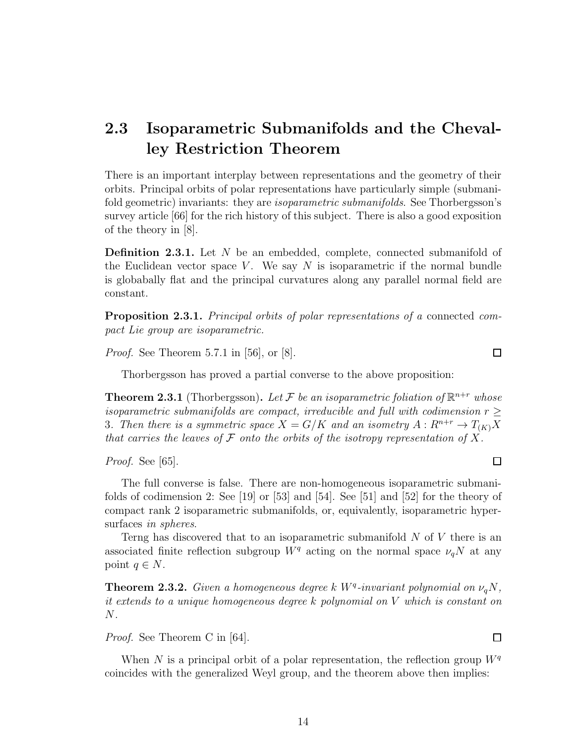## <span id="page-20-0"></span>2.3 Isoparametric Submanifolds and the Chevalley Restriction Theorem

There is an important interplay between representations and the geometry of their orbits. Principal orbits of polar representations have particularly simple (submanifold geometric) invariants: they are *isoparametric submanifolds*. See Thorbergsson's survey article [\[66\]](#page-73-5) for the rich history of this subject. There is also a good exposition of the theory in [\[8\]](#page-69-8).

**Definition 2.3.1.** Let N be an embedded, complete, connected submanifold of the Euclidean vector space V. We say  $N$  is isoparametric if the normal bundle is globabally flat and the principal curvatures along any parallel normal field are constant.

Proposition 2.3.1. Principal orbits of polar representations of a connected compact Lie group are isoparametric.

*Proof.* See Theorem 5.7.1 in [\[56\]](#page-73-3), or [\[8\]](#page-69-8).

Thorbergsson has proved a partial converse to the above proposition:

**Theorem 2.3.1** (Thorbergsson). Let F be an isoparametric foliation of  $\mathbb{R}^{n+r}$  whose isoparametric submanifolds are compact, irreducible and full with codimension  $r \geq$ 3. Then there is a symmetric space  $X = G/K$  and an isometry  $A: R^{n+r} \to T_{(K)}X$ that carries the leaves of  $\mathcal F$  onto the orbits of the isotropy representation of X.

Proof. See [\[65\]](#page-73-6).

The full converse is false. There are non-homogeneous isoparametric submanifolds of codimension 2: See [\[19\]](#page-70-6) or [\[53\]](#page-73-7) and [\[54\]](#page-73-8). See [\[51\]](#page-72-7) and [\[52\]](#page-72-8) for the theory of compact rank 2 isoparametric submanifolds, or, equivalently, isoparametric hypersurfaces in spheres.

Terng has discovered that to an isoparametric submanifold  $N$  of  $V$  there is an associated finite reflection subgroup  $W^q$  acting on the normal space  $\nu_q N$  at any point  $q \in N$ .

**Theorem 2.3.2.** Given a homogeneous degree k  $W^q$ -invariant polynomial on  $\nu_q N$ , it extends to a unique homogeneous degree k polynomial on V which is constant on N.

Proof. See Theorem C in [\[64\]](#page-73-4).

When N is a principal orbit of a polar representation, the reflection group  $W<sup>q</sup>$ coincides with the generalized Weyl group, and the theorem above then implies:

14

 $\Box$ 

 $\Box$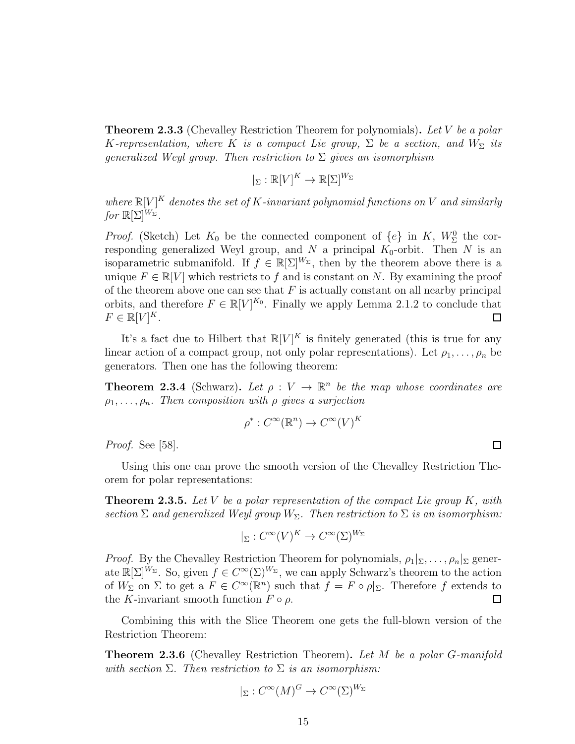<span id="page-21-1"></span>**Theorem 2.3.3** (Chevalley Restriction Theorem for polynomials). Let V be a polar K-representation, where K is a compact Lie group,  $\Sigma$  be a section, and  $W_{\Sigma}$  its generalized Weyl group. Then restriction to  $\Sigma$  gives an isomorphism

$$
|_{\Sigma}: \mathbb{R}[V]^K \to \mathbb{R}[\Sigma]^{W_{\Sigma}}
$$

where  $\mathbb{R}[V]^K$  denotes the set of K-invariant polynomial functions on V and similarly for  $\mathbb{R}[\Sigma]^{W_{\Sigma}}$ .

*Proof.* (Sketch) Let  $K_0$  be the connected component of  $\{e\}$  in  $K$ ,  $W^0_{\Sigma}$  the corresponding generalized Weyl group, and  $N$  a principal  $K_0$ -orbit. Then  $N$  is an isoparametric submanifold. If  $f \in \mathbb{R}[\Sigma]^W$ , then by the theorem above there is a unique  $F \in \mathbb{R}[V]$  which restricts to f and is constant on N. By examining the proof of the theorem above one can see that  $F$  is actually constant on all nearby principal orbits, and therefore  $F \in \mathbb{R}[V]^{K_0}$ . Finally we apply Lemma [2.1.2](#page-17-1) to conclude that  $F \in \mathbb{R}[V]^K$ .  $\Box$ 

It's a fact due to Hilbert that  $\mathbb{R}[V]^K$  is finitely generated (this is true for any linear action of a compact group, not only polar representations). Let  $\rho_1, \ldots, \rho_n$  be generators. Then one has the following theorem:

**Theorem 2.3.4** (Schwarz). Let  $\rho: V \to \mathbb{R}^n$  be the map whose coordinates are  $\rho_1, \ldots, \rho_n$ . Then composition with  $\rho$  gives a surjection

$$
\rho^*: C^\infty(\mathbb{R}^n) \to C^\infty(V)^K
$$

Proof. See [\[58\]](#page-73-9).

Using this one can prove the smooth version of the Chevalley Restriction Theorem for polar representations:

**Theorem 2.3.5.** Let V be a polar representation of the compact Lie group  $K$ , with section  $\Sigma$  and generalized Weyl group  $W_{\Sigma}$ . Then restriction to  $\Sigma$  is an isomorphism:

$$
|_{\Sigma}: C^{\infty}(V)^{K} \to C^{\infty}(\Sigma)^{W_{\Sigma}}
$$

*Proof.* By the Chevalley Restriction Theorem for polynomials,  $\rho_1|_{\Sigma_1}, \ldots, \rho_n|_{\Sigma}$  generate  $\mathbb{R}[\Sigma]^{W_{\Sigma}}$ . So, given  $f \in C^{\infty}(\Sigma)^{W_{\Sigma}}$ , we can apply Schwarz's theorem to the action of  $W_{\Sigma}$  on  $\Sigma$  to get a  $F \in C^{\infty}(\mathbb{R}^n)$  such that  $f = F \circ \rho|_{\Sigma}$ . Therefore f extends to the K-invariant smooth function  $F \circ \rho$ .  $\Box$ 

Combining this with the Slice Theorem one gets the full-blown version of the Restriction Theorem:

<span id="page-21-0"></span>**Theorem 2.3.6** (Chevalley Restriction Theorem). Let M be a polar G-manifold with section  $\Sigma$ . Then restriction to  $\Sigma$  is an isomorphism:

$$
|_{\Sigma}: C^{\infty}(M)^G \to C^{\infty}(\Sigma)^{W_{\Sigma}}
$$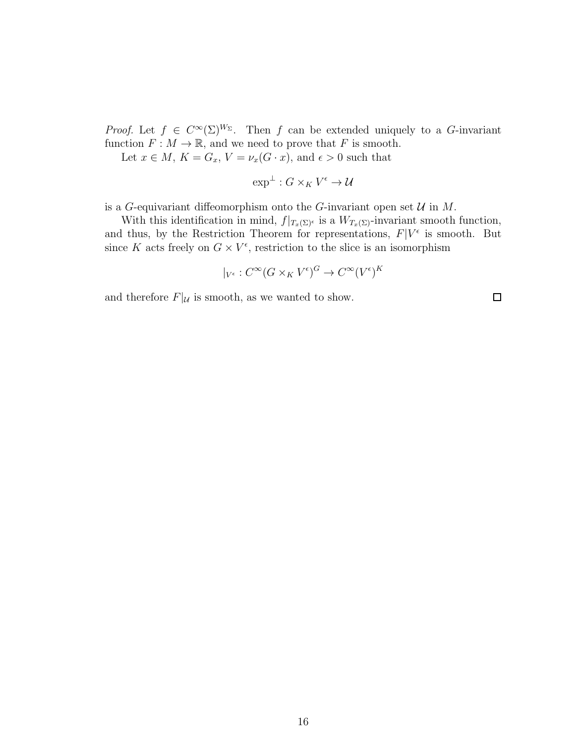*Proof.* Let  $f \in C^{\infty}(\Sigma)^{W_{\Sigma}}$ . Then f can be extended uniquely to a G-invariant function  $F : M \to \mathbb{R}$ , and we need to prove that F is smooth.

Let  $x \in M$ ,  $K = G_x$ ,  $V = \nu_x(G \cdot x)$ , and  $\epsilon > 0$  such that

$$
\exp^{\perp}: G \times_K V^{\epsilon} \to \mathcal{U}
$$

is a G-equivariant diffeomorphism onto the G-invariant open set  $\mathcal U$  in  $M$ .

With this identification in mind,  $f|_{T_x(\Sigma)^\epsilon}$  is a  $W_{T_x(\Sigma)}$ -invariant smooth function, and thus, by the Restriction Theorem for representations,  $F|V^{\epsilon}$  is smooth. But since K acts freely on  $G \times V^{\epsilon}$ , restriction to the slice is an isomorphism

$$
|_{V^{\epsilon}}: C^{\infty}(G \times_K V^{\epsilon})^G \to C^{\infty}(V^{\epsilon})^K
$$

and therefore  $F|_{\mathcal{U}}$  is smooth, as we wanted to show.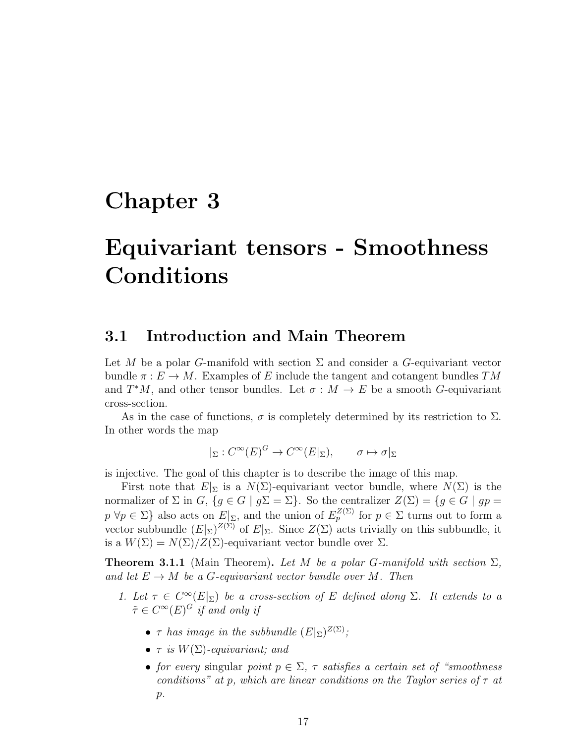## <span id="page-23-0"></span>Chapter 3

# Equivariant tensors - Smoothness Conditions

### <span id="page-23-1"></span>3.1 Introduction and Main Theorem

Let M be a polar G-manifold with section  $\Sigma$  and consider a G-equivariant vector bundle  $\pi : E \to M$ . Examples of E include the tangent and cotangent bundles TM and  $T^*M$ , and other tensor bundles. Let  $\sigma : M \to E$  be a smooth G-equivariant cross-section.

As in the case of functions,  $\sigma$  is completely determined by its restriction to  $\Sigma$ . In other words the map

$$
|_{\Sigma}: C^{\infty}(E)^G \to C^{\infty}(E|_{\Sigma}), \qquad \sigma \mapsto \sigma|_{\Sigma}
$$

is injective. The goal of this chapter is to describe the image of this map.

First note that  $E|_{\Sigma}$  is a  $N(\Sigma)$ -equivariant vector bundle, where  $N(\Sigma)$  is the normalizer of  $\Sigma$  in  $G$ ,  $\{g \in G \mid g\Sigma = \Sigma\}$ . So the centralizer  $Z(\Sigma) = \{g \in G \mid gp =$  $p \forall p \in \Sigma$  also acts on  $E|_{\Sigma}$ , and the union of  $E_p^{Z(\Sigma)}$  for  $p \in \Sigma$  turns out to form a vector subbundle  $(E|_{\Sigma})^{Z(\Sigma)}$  of  $E|_{\Sigma}$ . Since  $Z(\Sigma)$  acts trivially on this subbundle, it is a  $W(\Sigma) = N(\Sigma)/Z(\Sigma)$ -equivariant vector bundle over  $\Sigma$ .

<span id="page-23-2"></span>**Theorem 3.1.1** (Main Theorem). Let M be a polar G-manifold with section  $\Sigma$ , and let  $E \to M$  be a G-equivariant vector bundle over M. Then

- 1. Let  $\tau \in C^{\infty}(E|_{\Sigma})$  be a cross-section of E defined along  $\Sigma$ . It extends to a  $\tilde{\tau} \in C^{\infty}(E)^G$  if and only if
	- $\tau$  has image in the subbundle  $(E|_{\Sigma})^{Z(\Sigma)}$ ;
	- $\tau$  is  $W(\Sigma)$ -equivariant; and
	- for every singular point  $p \in \Sigma$ ,  $\tau$  satisfies a certain set of "smoothness" conditions" at p, which are linear conditions on the Taylor series of  $\tau$  at  $p$ .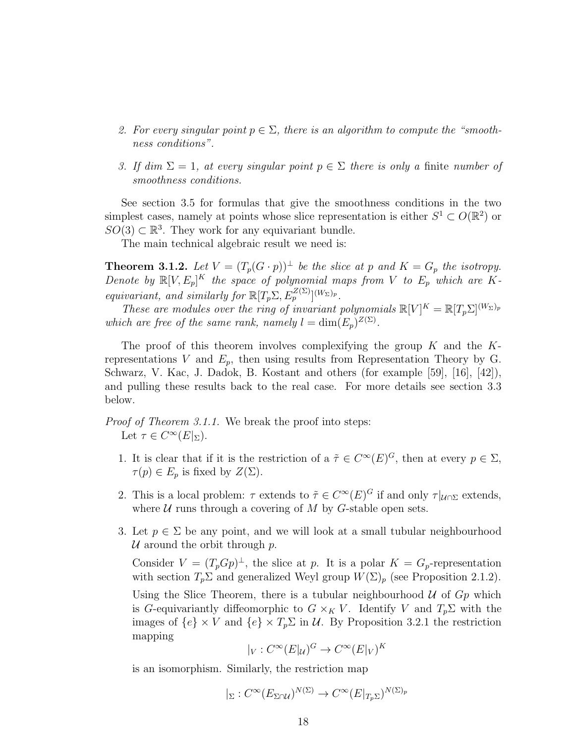- 2. For every singular point  $p \in \Sigma$ , there is an algorithm to compute the "smoothness conditions".
- 3. If dim  $\Sigma = 1$ , at every singular point  $p \in \Sigma$  there is only a finite number of smoothness conditions.

See section [3.5](#page-40-0) for formulas that give the smoothness conditions in the two simplest cases, namely at points whose slice representation is either  $S^1 \subset O(\mathbb{R}^2)$  or  $SO(3) \subset \mathbb{R}^3$ . They work for any equivariant bundle.

The main technical algebraic result we need is:

<span id="page-24-0"></span>**Theorem 3.1.2.** Let  $V = (T_p(G \cdot p))^{\perp}$  be the slice at p and  $K = G_p$  the isotropy. Denote by  $\mathbb{R}[V, E_p]^K$  the space of polynomial maps from V to  $E_p$  which are Kequivariant, and similarly for  $\mathbb{R}[T_p \Sigma, E_p^{Z(\Sigma)}]^{(W_\Sigma)_p}$ .

These are modules over the ring of invariant polynomials  $\mathbb{R}[V]^K = \mathbb{R}[T_p \Sigma]^{(W_\Sigma)_p}$ which are free of the same rank, namely  $l = \dim(E_p)^{Z(\Sigma)}$ .

The proof of this theorem involves complexifying the group  $K$  and the  $K$ representations V and  $E_p$ , then using results from Representation Theory by G. Schwarz, V. Kac, J. Dadok, B. Kostant and others (for example [\[59\]](#page-73-10), [\[16\]](#page-70-5), [\[42\]](#page-72-9)), and pulling these results back to the real case. For more details see section [3.3](#page-30-0) below.

Proof of Theorem [3.1.1.](#page-23-2) We break the proof into steps: Let  $\tau \in C^{\infty}(E|_{\Sigma}).$ 

- 1. It is clear that if it is the restriction of a  $\tilde{\tau} \in C^{\infty}(E)^G$ , then at every  $p \in \Sigma$ ,  $\tau(p) \in E_p$  is fixed by  $Z(\Sigma)$ .
- 2. This is a local problem:  $\tau$  extends to  $\tilde{\tau} \in C^{\infty}(E)^G$  if and only  $\tau|_{\mathcal{U} \cap \Sigma}$  extends, where  $U$  runs through a covering of  $M$  by  $G$ -stable open sets.
- 3. Let  $p \in \Sigma$  be any point, and we will look at a small tubular neighbourhood U around the orbit through  $p$ .

Consider  $V = (T_p G p)^{\perp}$ , the slice at p. It is a polar  $K = G_p$ -representation with section  $T_p \Sigma$  and generalized Weyl group  $W(\Sigma)_p$  (see Proposition [2.1.2\)](#page-14-0).

Using the Slice Theorem, there is a tubular neighbourhood  $U$  of  $G_p$  which is G-equivariantly diffeomorphic to  $G \times_K V$ . Identify V and  $T_p \Sigma$  with the images of  $\{e\} \times V$  and  $\{e\} \times T_p \Sigma$  in U. By Proposition [3.2.1](#page-26-2) the restriction mapping K

$$
|_V : C^{\infty}(E|_{\mathcal{U}})^G \to C^{\infty}(E|_V)^P
$$

is an isomorphism. Similarly, the restriction map

$$
|_{\Sigma}: C^{\infty}(E_{\Sigma \cap \mathcal{U}})^{N(\Sigma)} \to C^{\infty}(E|_{T_p\Sigma})^{N(\Sigma)_p}
$$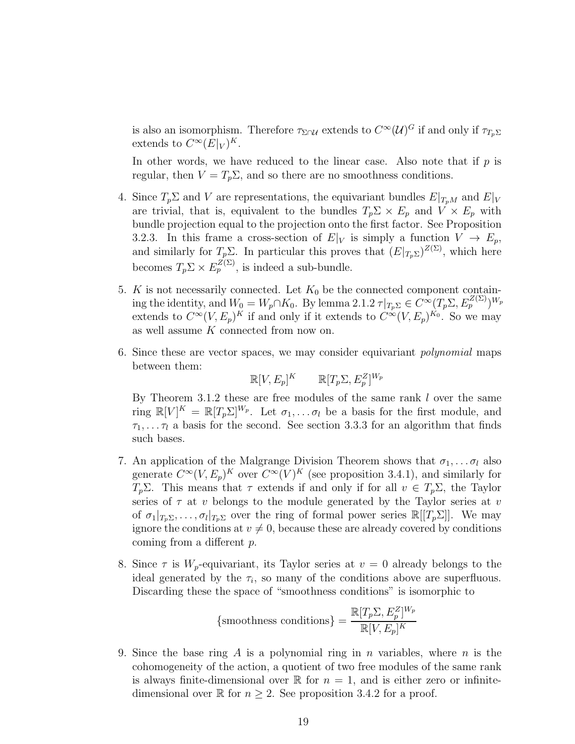is also an isomorphism. Therefore  $\tau_{\Sigma \cap U}$  extends to  $C^{\infty}(\mathcal{U})^G$  if and only if  $\tau_{T_p\Sigma}$ extends to  $C^{\infty}(E|_V)^K$ .

In other words, we have reduced to the linear case. Also note that if  $p$  is regular, then  $V = T_p \Sigma$ , and so there are no smoothness conditions.

- 4. Since  $T_p \Sigma$  and V are representations, the equivariant bundles  $E|_{T_pM}$  and  $E|_V$ are trivial, that is, equivalent to the bundles  $T_p \Sigma \times E_p$  and  $V \times E_p$  with bundle projection equal to the projection onto the first factor. See Proposition [3.2.3.](#page-30-1) In this frame a cross-section of  $E|_V$  is simply a function  $V \to E_p$ , and similarly for  $T_p \Sigma$ . In particular this proves that  $(E|_{T_p \Sigma})^{Z(\Sigma)}$ , which here becomes  $T_p \Sigma \times E_p^{Z(\Sigma)}$ , is indeed a sub-bundle.
- 5. K is not necessarily connected. Let  $K_0$  be the connected component containing the identity, and  $W_0 = W_p \cap K_0$ . By lemma [2.1.2](#page-17-1)  $\tau|_{T_p\Sigma} \in C^\infty(T_p\Sigma, E_p^{Z(\Sigma)})^{W_p}$ extends to  $C^{\infty}(V, E_p)^K$  if and only if it extends to  $C^{\infty}(V, E_p)^{K_0}$ . So we may as well assume K connected from now on.
- 6. Since these are vector spaces, we may consider equivariant polynomial maps between them:

$$
\mathbb{R}[V, E_p]^K \qquad \mathbb{R}[T_p \Sigma, E_p^Z]^{W_p}
$$

By Theorem [3.1.2](#page-24-0) these are free modules of the same rank  $l$  over the same ring  $\mathbb{R}[V]^K = \mathbb{R}[T_p \Sigma]^{W_p}$ . Let  $\sigma_1, \ldots, \sigma_l$  be a basis for the first module, and  $\tau_1, \ldots, \tau_l$  a basis for the second. See section [3.3.3](#page-37-0) for an algorithm that finds such bases.

- 7. An application of the Malgrange Division Theorem shows that  $\sigma_1, \ldots, \sigma_l$  also generate  $C^{\infty}(V, E_p)^K$  over  $C^{\infty}(V)^K$  (see proposition [3.4.1\)](#page-39-0), and similarly for  $T_p\Sigma$ . This means that  $\tau$  extends if and only if for all  $v \in T_p\Sigma$ , the Taylor series of  $\tau$  at v belongs to the module generated by the Taylor series at v of  $\sigma_1|_{T_p\Sigma},\ldots,\sigma_l|_{T_p\Sigma}$  over the ring of formal power series  $\mathbb{R}[[T_p\Sigma]]$ . We may ignore the conditions at  $v \neq 0$ , because these are already covered by conditions coming from a different p.
- 8. Since  $\tau$  is  $W_p$ -equivariant, its Taylor series at  $v = 0$  already belongs to the ideal generated by the  $\tau_i$ , so many of the conditions above are superfluous. Discarding these the space of "smoothness conditions" is isomorphic to

$$
\left\{ \text{smoothness conditions} \right\} = \frac{\mathbb{R}[T_p \Sigma, E_p^Z]^{W_p}}{\mathbb{R}[V, E_p]^K}
$$

9. Since the base ring A is a polynomial ring in n variables, where  $n$  is the cohomogeneity of the action, a quotient of two free modules of the same rank is always finite-dimensional over  $\mathbb R$  for  $n = 1$ , and is either zero or infinitedimensional over  $\mathbb R$  for  $n \geq 2$ . See proposition [3.4.2](#page-40-2) for a proof.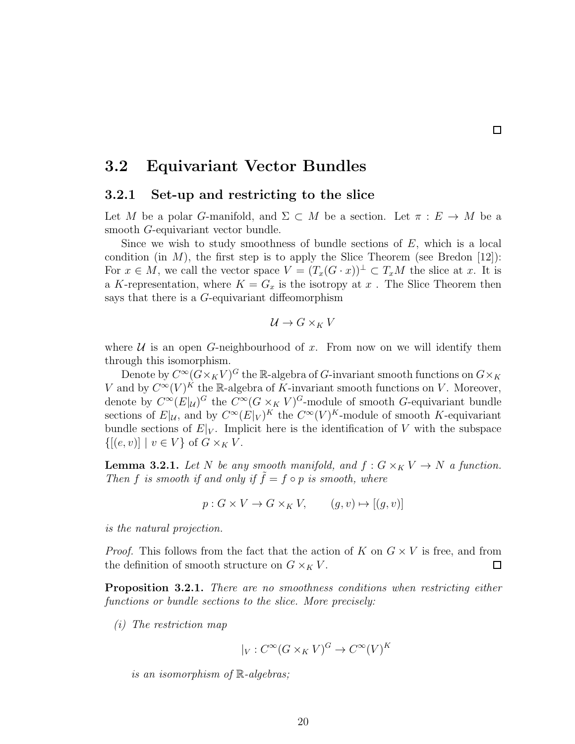### <span id="page-26-1"></span><span id="page-26-0"></span>3.2 Equivariant Vector Bundles

#### 3.2.1 Set-up and restricting to the slice

Let M be a polar G-manifold, and  $\Sigma \subset M$  be a section. Let  $\pi : E \to M$  be a smooth G-equivariant vector bundle.

 $\Box$ 

Since we wish to study smoothness of bundle sections of  $E$ , which is a local condition (in M), the first step is to apply the Slice Theorem (see Bredon [\[12\]](#page-70-7)): For  $x \in M$ , we call the vector space  $V = (T_x(G \cdot x))^{\perp} \subset T_xM$  the slice at x. It is a K-representation, where  $K = G_x$  is the isotropy at x. The Slice Theorem then says that there is a G-equivariant diffeomorphism

$$
\mathcal{U} \to G \times_K V
$$

where  $U$  is an open G-neighbourhood of x. From now on we will identify them through this isomorphism.

Denote by  $C^\infty (G\times_K V)^G$  the  ${\mathbb R}$ -algebra of  $G$ -invariant smooth functions on  $G\times_K$ V and by  $C^{\infty}(V)^K$  the R-algebra of K-invariant smooth functions on V. Moreover, denote by  $C^{\infty}(E|_{\mathcal{U}})^G$  the  $C^{\infty}(G \times_K V)^G$ -module of smooth G-equivariant bundle sections of  $E|_{\mathcal{U}}$ , and by  $C^{\infty}(E|_{V})^{K}$  the  $C^{\infty}(V)^{K}$ -module of smooth K-equivariant bundle sections of  $E|_V$ . Implicit here is the identification of V with the subspace  $\{[(e, v)] \mid v \in V\}$  of  $G \times_K V$ .

**Lemma 3.2.1.** Let N be any smooth manifold, and  $f: G \times_K V \to N$  a function. Then f is smooth if and only if  $\tilde{f} = f \circ p$  is smooth, where

 $p: G \times V \to G \times_K V,$   $(q, v) \mapsto [(q, v)]$ 

is the natural projection.

*Proof.* This follows from the fact that the action of K on  $G \times V$  is free, and from the definition of smooth structure on  $G \times_K V$ .  $\Box$ 

<span id="page-26-2"></span>Proposition 3.2.1. There are no smoothness conditions when restricting either functions or bundle sections to the slice. More precisely:

(i) The restriction map

$$
|_V : C^{\infty}(G \times_K V)^G \to C^{\infty}(V)^K
$$

is an isomorphism of R-algebras;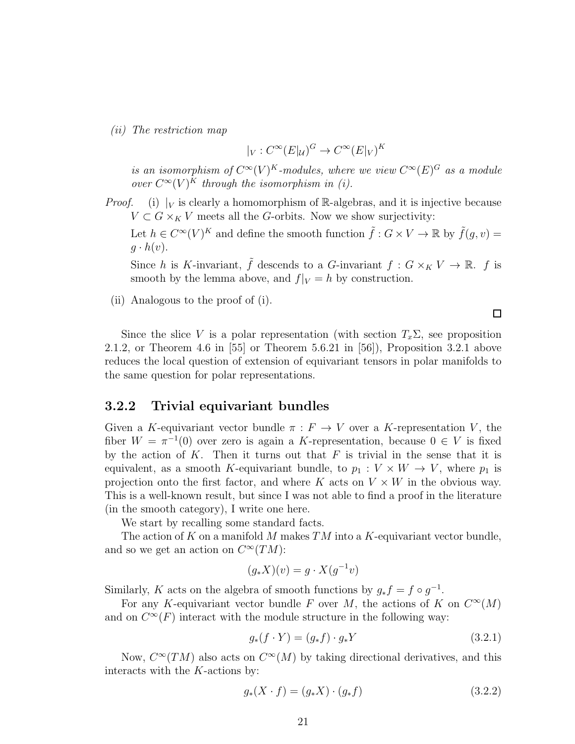(ii) The restriction map

$$
|_V : C^{\infty}(E|_{\mathcal{U}})^G \to C^{\infty}(E|_V)^K
$$

is an isomorphism of  $C^{\infty}(V)^K$ -modules, where we view  $C^{\infty}(E)^G$  as a module over  $C^{\infty}(V)^K$  through the isomorphism in (i).

*Proof.* (i)  $|V|$  is clearly a homomorphism of R-algebras, and it is injective because  $V \subset G \times_K V$  meets all the G-orbits. Now we show surjectivity:

Let  $h \in C^{\infty}(V)^K$  and define the smooth function  $\tilde{f}: G \times V \to \mathbb{R}$  by  $\tilde{f}(g, v) =$  $g \cdot h(v)$ .

Since h is K-invariant,  $\tilde{f}$  descends to a G-invariant  $f : G \times_K V \to \mathbb{R}$ . f is smooth by the lemma above, and  $f|_V = h$  by construction.

(ii) Analogous to the proof of (i).

Since the slice V is a polar representation (with section  $T_x\Sigma$ , see proposition [2.1.2,](#page-14-0) or Theorem 4.6 in [\[55\]](#page-73-2) or Theorem 5.6.21 in [\[56\]](#page-73-3)), Proposition [3.2.1](#page-26-2) above reduces the local question of extension of equivariant tensors in polar manifolds to the same question for polar representations.

#### <span id="page-27-0"></span>3.2.2 Trivial equivariant bundles

Given a K-equivariant vector bundle  $\pi : F \to V$  over a K-representation V, the fiber  $W = \pi^{-1}(0)$  over zero is again a K-representation, because  $0 \in V$  is fixed by the action of  $K$ . Then it turns out that  $F$  is trivial in the sense that it is equivalent, as a smooth K-equivariant bundle, to  $p_1 : V \times W \to V$ , where  $p_1$  is projection onto the first factor, and where K acts on  $V \times W$  in the obvious way. This is a well-known result, but since I was not able to find a proof in the literature (in the smooth category), I write one here.

We start by recalling some standard facts.

The action of K on a manifold M makes  $TM$  into a K-equivariant vector bundle, and so we get an action on  $C^{\infty}(TM)$ :

$$
(g_*X)(v) = g \cdot X(g^{-1}v)
$$

Similarly, K acts on the algebra of smooth functions by  $g_* f = f \circ g^{-1}$ .

For any K-equivariant vector bundle F over M, the actions of K on  $C^{\infty}(M)$ and on  $C^{\infty}(F)$  interact with the module structure in the following way:

<span id="page-27-1"></span>
$$
g_*(f \cdot Y) = (g_* f) \cdot g_* Y \tag{3.2.1}
$$

 $\Box$ 

Now,  $C^{\infty}(TM)$  also acts on  $C^{\infty}(M)$  by taking directional derivatives, and this interacts with the K-actions by:

<span id="page-27-2"></span>
$$
g_*(X \cdot f) = (g_* X) \cdot (g_* f) \tag{3.2.2}
$$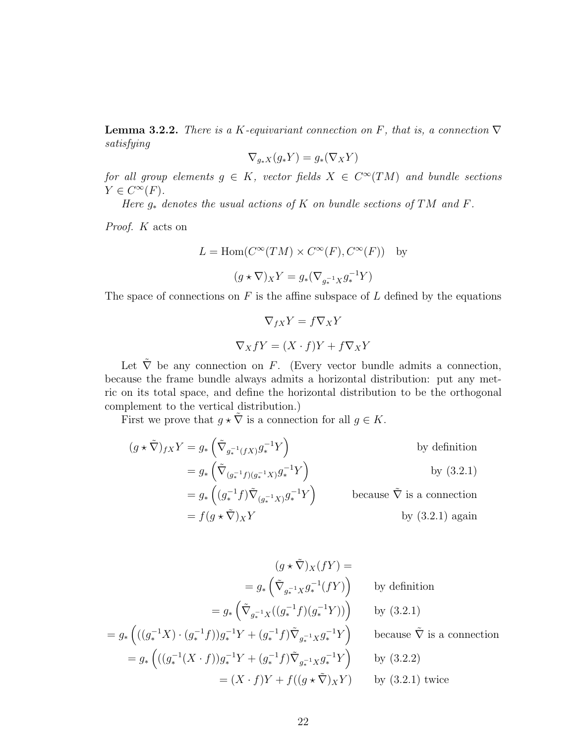**Lemma 3.2.2.** There is a K-equivariant connection on F, that is, a connection  $\nabla$ satisfying

$$
\nabla_{g_*X}(g_*Y) = g_*(\nabla_X Y)
$$

for all group elements  $g \in K$ , vector fields  $X \in C^{\infty}(TM)$  and bundle sections  $Y \in C^{\infty}(F)$ .

Here  $g_*$  denotes the usual actions of K on bundle sections of TM and F.

Proof. K acts on

$$
L = \text{Hom}(C^{\infty}(TM) \times C^{\infty}(F), C^{\infty}(F)) \text{ by}
$$

$$
(g \star \nabla)_X Y = g_{*}(\nabla_{g_{*}^{-1}X} g_{*}^{-1}Y)
$$

The space of connections on  $F$  is the affine subspace of  $L$  defined by the equations

$$
\nabla_{fX} Y = f \nabla_X Y
$$

$$
\nabla_X fY = (X \cdot f)Y + f \nabla_X Y
$$

Let  $\tilde{\nabla}$  be any connection on F. (Every vector bundle admits a connection, because the frame bundle always admits a horizontal distribution: put any metric on its total space, and define the horizontal distribution to be the orthogonal complement to the vertical distribution.)

First we prove that  $g \star \tilde{\nabla}$  is a connection for all  $g \in K$ .

$$
(g * \tilde{\nabla})_{fX} Y = g_* \left( \tilde{\nabla}_{g_*^{-1}(fX)} g_*^{-1} Y \right) \qquad \text{by definition}
$$
  
\n
$$
= g_* \left( \tilde{\nabla}_{(g_*^{-1} f)(g_*^{-1} X)} g_*^{-1} Y \right) \qquad \text{by (3.2.1)}
$$
  
\n
$$
= g_* \left( (g_*^{-1} f) \tilde{\nabla}_{(g_*^{-1} X)} g_*^{-1} Y \right) \qquad \text{because } \tilde{\nabla} \text{ is a connection}
$$
  
\n
$$
= f(g * \tilde{\nabla})_X Y \qquad \text{by (3.2.1) again}
$$

$$
(g * \tilde{\nabla})_X(fY) =
$$
  
\n
$$
= g_* \left( \tilde{\nabla}_{g_*^{-1}X} g_*^{-1}(fY) \right) \qquad \text{by definition}
$$
  
\n
$$
= g_* \left( \tilde{\nabla}_{g_*^{-1}X} ((g_*^{-1}f)(g_*^{-1}Y)) \right) \qquad \text{by (3.2.1)}
$$
  
\n
$$
= g_* \left( ((g_*^{-1}X) \cdot (g_*^{-1}f))g_*^{-1}Y + (g_*^{-1}f) \tilde{\nabla}_{g_*^{-1}X} g_*^{-1}Y \right) \qquad \text{because } \tilde{\nabla} \text{ is a connection}
$$
  
\n
$$
= g_* \left( ((g_*^{-1}(X \cdot f))g_*^{-1}Y + (g_*^{-1}f) \tilde{\nabla}_{g_*^{-1}X} g_*^{-1}Y \right) \qquad \text{by (3.2.2)}
$$
  
\n
$$
= (X \cdot f)Y + f((g * \tilde{\nabla})_XY) \qquad \text{by (3.2.1) twice}
$$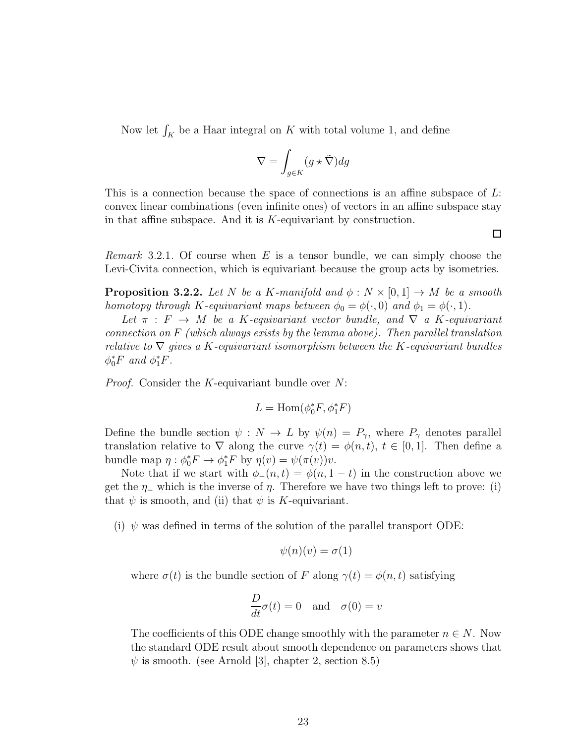Now let  $\int_K$  be a Haar integral on K with total volume 1, and define

$$
\nabla = \int_{g \in K} (g \star \tilde{\nabla}) dg
$$

This is a connection because the space of connections is an affine subspace of L: convex linear combinations (even infinite ones) of vectors in an affine subspace stay in that affine subspace. And it is K-equivariant by construction.

口

*Remark* 3.2.1. Of course when E is a tensor bundle, we can simply choose the Levi-Civita connection, which is equivariant because the group acts by isometries.

**Proposition 3.2.2.** Let N be a K-manifold and  $\phi: N \times [0,1] \rightarrow M$  be a smooth homotopy through K-equivariant maps between  $\phi_0 = \phi(\cdot, 0)$  and  $\phi_1 = \phi(\cdot, 1)$ .

Let  $\pi$ :  $F \rightarrow M$  be a K-equivariant vector bundle, and  $\nabla$  a K-equivariant connection on F (which always exists by the lemma above). Then parallel translation relative to  $\nabla$  gives a K-equivariant isomorphism between the K-equivariant bundles  $\phi_0^* F$  and  $\phi_1^* F$ .

*Proof.* Consider the K-equivariant bundle over N:

$$
L=\mathrm{Hom}(\phi_0^*F,\phi_1^*F)
$$

Define the bundle section  $\psi : N \to L$  by  $\psi(n) = P_{\gamma}$ , where  $P_{\gamma}$  denotes parallel translation relative to  $\nabla$  along the curve  $\gamma(t) = \phi(n, t)$ ,  $t \in [0, 1]$ . Then define a bundle map  $\eta : \phi_0^* F \to \phi_1^* F$  by  $\eta(v) = \psi(\pi(v))v$ .

Note that if we start with  $\phi_-(n,t) = \phi(n, 1-t)$  in the construction above we get the  $\eta$ <sub>-</sub> which is the inverse of  $\eta$ . Therefore we have two things left to prove: (i) that  $\psi$  is smooth, and (ii) that  $\psi$  is K-equivariant.

(i)  $\psi$  was defined in terms of the solution of the parallel transport ODE:

$$
\psi(n)(v) = \sigma(1)
$$

where  $\sigma(t)$  is the bundle section of F along  $\gamma(t) = \phi(n, t)$  satisfying

$$
\frac{D}{dt}\sigma(t) = 0 \text{ and } \sigma(0) = v
$$

The coefficients of this ODE change smoothly with the parameter  $n \in N$ . Now the standard ODE result about smooth dependence on parameters shows that  $\psi$  is smooth. (see Arnold [\[3\]](#page-69-9), chapter 2, section 8.5)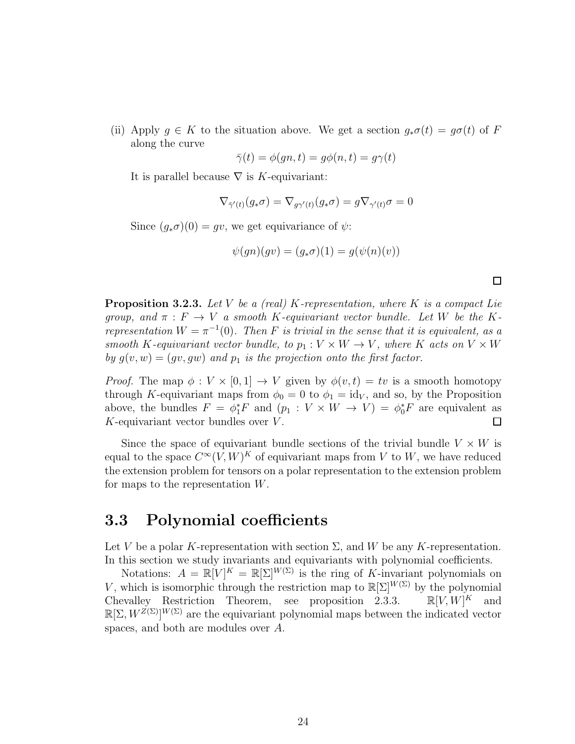(ii) Apply  $g \in K$  to the situation above. We get a section  $g_*\sigma(t) = g\sigma(t)$  of F along the curve

$$
\bar{\gamma}(t) = \phi(gn, t) = g\phi(n, t) = g\gamma(t)
$$

It is parallel because  $\nabla$  is K-equivariant:

$$
\nabla_{\bar{\gamma}'(t)}(g_*\sigma) = \nabla_{g\gamma'(t)}(g_*\sigma) = g \nabla_{\gamma'(t)}\sigma = 0
$$

Since  $(g_*\sigma)(0) = gv$ , we get equivariance of  $\psi$ :

$$
\psi(gn)(gv) = (g_*\sigma)(1) = g(\psi(n)(v))
$$

<span id="page-30-1"></span>

| <b>Proposition 3.2.3.</b> Let V be a (real) K-representation, where K is a compact Lie        |
|-----------------------------------------------------------------------------------------------|
| group, and $\pi$ : $F \to V$ a smooth K-equivariant vector bundle. Let W be the K-            |
| representation $W = \pi^{-1}(0)$ . Then F is trivial in the sense that it is equivalent, as a |
| smooth K-equivariant vector bundle, to $p_1: V \times W \to V$ , where K acts on $V \times W$ |
| by $g(v, w) = (gv, gw)$ and $p_1$ is the projection onto the first factor.                    |

*Proof.* The map  $\phi: V \times [0,1] \to V$  given by  $\phi(v,t) = tv$  is a smooth homotopy through K-equivariant maps from  $\phi_0 = 0$  to  $\phi_1 = id_V$ , and so, by the Proposition above, the bundles  $F = \phi_1^* F$  and  $(p_1 : V \times W \to V) = \phi_0^* F$  are equivalent as  $K$ -equivariant vector bundles over  $V$ .  $\Box$ 

Since the space of equivariant bundle sections of the trivial bundle  $V \times W$  is equal to the space  $C^{\infty}(V, W)^K$  of equivariant maps from V to W, we have reduced the extension problem for tensors on a polar representation to the extension problem for maps to the representation W.

### <span id="page-30-0"></span>3.3 Polynomial coefficients

Let V be a polar K-representation with section  $\Sigma$ , and W be any K-representation. In this section we study invariants and equivariants with polynomial coefficients.

Notations:  $A = \mathbb{R}[V]^K = \mathbb{R}[\Sigma]^{W(\Sigma)}$  is the ring of K-invariant polynomials on V, which is isomorphic through the restriction map to  $\mathbb{R}[\Sigma]^{W(\Sigma)}$  by the polynomial Chevalley Restriction Theorem, see proposition [2.3.3.](#page-21-1)  $\mathbb{R}[V,W]^K$  and  $\mathbb{R}[\Sigma, W^{Z(\Sigma)}]^{W(\Sigma)}$  are the equivariant polynomial maps between the indicated vector spaces, and both are modules over A.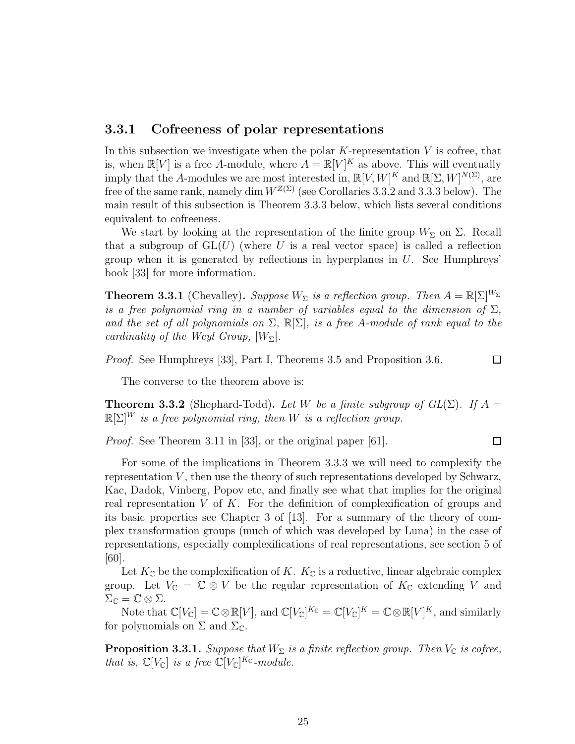#### <span id="page-31-0"></span>3.3.1 Cofreeness of polar representations

In this subsection we investigate when the polar  $K$ -representation  $V$  is cofree, that is, when  $\mathbb{R}[V]$  is a free A-module, where  $A = \mathbb{R}[V]^K$  as above. This will eventually imply that the A-modules we are most interested in,  $\mathbb{R}[V, W]^K$  and  $\mathbb{R}[\Sigma, W]^{N(\Sigma)}$ , are free of the same rank, namely dim  $W^{Z(\Sigma)}$  (see Corollaries [3.3.2](#page-36-0) and [3.3.3](#page-37-1) below). The main result of this subsection is Theorem [3.3.3](#page-33-0) below, which lists several conditions equivalent to cofreeness.

We start by looking at the representation of the finite group  $W_{\Sigma}$  on  $\Sigma$ . Recall that a subgroup of  $GL(U)$  (where U is a real vector space) is called a reflection group when it is generated by reflections in hyperplanes in  $U$ . See Humphreys' book [\[33\]](#page-71-8) for more information.

<span id="page-31-1"></span>**Theorem 3.3.1** (Chevalley). Suppose  $W_{\Sigma}$  is a reflection group. Then  $A = \mathbb{R}[\Sigma]^{W_{\Sigma}}$ is a free polynomial ring in a number of variables equal to the dimension of  $\Sigma$ , and the set of all polynomials on  $\Sigma$ ,  $\mathbb{R}[\Sigma]$ , is a free A-module of rank equal to the cardinality of the Weyl Group,  $|W_{\Sigma}|$ .

Proof. See Humphreys [\[33\]](#page-71-8), Part I, Theorems 3.5 and Proposition 3.6.

The converse to the theorem above is:

<span id="page-31-2"></span>**Theorem 3.3.2** (Shephard-Todd). Let W be a finite subgroup of  $GL(\Sigma)$ . If  $A =$  $\mathbb{R}[\Sigma]^W$  is a free polynomial ring, then W is a reflection group.

*Proof.* See Theorem 3.11 in [\[33\]](#page-71-8), or the original paper [\[61\]](#page-73-11).

#### $\Box$

 $\Box$ 

For some of the implications in Theorem [3.3.3](#page-33-0) we will need to complexify the representation  $V$ , then use the theory of such representations developed by Schwarz, Kac, Dadok, Vinberg, Popov etc, and finally see what that implies for the original real representation  $V$  of  $K$ . For the definition of complexification of groups and its basic properties see Chapter 3 of [\[13\]](#page-70-8). For a summary of the theory of complex transformation groups (much of which was developed by Luna) in the case of representations, especially complexifications of real representations, see section 5 of [\[60\]](#page-73-12).

Let  $K_{\mathbb{C}}$  be the complexification of K.  $K_{\mathbb{C}}$  is a reductive, linear algebraic complex group. Let  $V_{\mathbb{C}} = \mathbb{C} \otimes V$  be the regular representation of  $K_{\mathbb{C}}$  extending V and  $\Sigma_{\mathbb{C}} = \mathbb{C} \otimes \Sigma.$ 

Note that  $\mathbb{C}[V_{\mathbb{C}}] = \mathbb{C} \otimes \mathbb{R}[V]$ , and  $\mathbb{C}[V_{\mathbb{C}}]^{K_{\mathbb{C}}} = \mathbb{C}[V_{\mathbb{C}}]^{K} = \mathbb{C} \otimes \mathbb{R}[V]^{K}$ , and similarly for polynomials on  $\Sigma$  and  $\Sigma_{\mathbb{C}}$ .

<span id="page-31-3"></span>**Proposition 3.3.1.** Suppose that  $W_{\Sigma}$  is a finite reflection group. Then  $V_{\mathbb{C}}$  is cofree, that is,  $\mathbb{C}[V_{\mathbb{C}}]$  is a free  $\mathbb{C}[V_{\mathbb{C}}]^{K_{\mathbb{C}}}$ -module.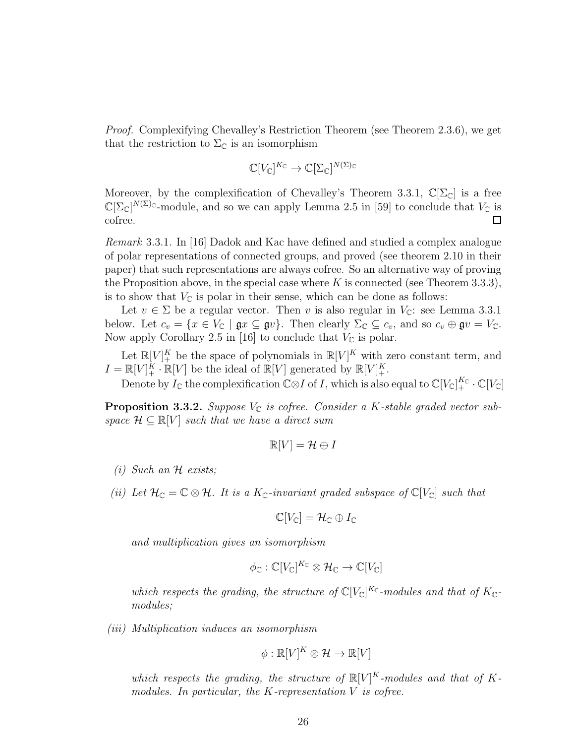Proof. Complexifying Chevalley's Restriction Theorem (see Theorem [2.3.6\)](#page-21-0), we get that the restriction to  $\Sigma_{\mathbb{C}}$  is an isomorphism

$$
\mathbb{C}[V_{\mathbb{C}}]^{K_{\mathbb{C}}}\to \mathbb{C}[\Sigma_{\mathbb{C}}]^{N(\Sigma)_{\mathbb{C}}}
$$

Moreover, by the complexification of Chevalley's Theorem [3.3.1,](#page-31-1)  $\mathbb{C}[\Sigma_{\mathbb{C}}]$  is a free  $\mathbb{C}[\Sigma_{\mathbb{C}}]^{N(\Sigma)c}$ -module, and so we can apply Lemma 2.5 in [\[59\]](#page-73-10) to conclude that  $V_{\mathbb{C}}$  is cofree.  $\Box$ 

Remark 3.3.1. In [\[16\]](#page-70-5) Dadok and Kac have defined and studied a complex analogue of polar representations of connected groups, and proved (see theorem 2.10 in their paper) that such representations are always cofree. So an alternative way of proving the Proposition above, in the special case where K is connected (see Theorem [3.3.3\)](#page-33-0), is to show that  $V_{\mathbb{C}}$  is polar in their sense, which can be done as follows:

Let  $v \in \Sigma$  be a regular vector. Then v is also regular in  $V_{\mathbb{C}}$ : see Lemma [3.3.1](#page-34-1) below. Let  $c_v = \{x \in V_{\mathbb{C}} \mid \mathfrak{g}x \subseteq \mathfrak{g}v\}$ . Then clearly  $\Sigma_{\mathbb{C}} \subseteq c_v$ , and so  $c_v \oplus \mathfrak{g}v = V_{\mathbb{C}}$ . Now apply Corollary 2.5 in [\[16\]](#page-70-5) to conclude that  $V_{\mathbb{C}}$  is polar.

Let  $\mathbb{R}[V]_+^K$  be the space of polynomials in  $\mathbb{R}[V]^K$  with zero constant term, and  $I = \mathbb{R}[V]_+^K \cdot \mathbb{R}[V]$  be the ideal of  $\mathbb{R}[V]$  generated by  $\mathbb{R}[V]_+^K$ .

Denote by  $I_{\mathbb C}$  the complexification  ${\mathbb C}{\otimes} I$  of  $I,$  which is also equal to  ${\mathbb C}[V_{\mathbb C}]_+^{K_{\mathbb C}}\cdot {\mathbb C}[V_{\mathbb C}]$ 

<span id="page-32-0"></span>**Proposition 3.3.2.** Suppose  $V_{\mathbb{C}}$  is cofree. Consider a K-stable graded vector subspace  $\mathcal{H} \subseteq \mathbb{R}[V]$  such that we have a direct sum

$$
\mathbb{R}[V] = \mathcal{H} \oplus I
$$

- (i) Such an  $H$  exists;
- (ii) Let  $\mathcal{H}_{\mathbb{C}}=\mathbb{C}\otimes\mathcal{H}$ . It is a  $K_{\mathbb{C}}$ -invariant graded subspace of  $\mathbb{C}[V_{\mathbb{C}}]$  such that

$$
\mathbb{C}[V_{\mathbb{C}}]=\mathcal{H}_{\mathbb{C}}\oplus I_{\mathbb{C}}
$$

and multiplication gives an isomorphism

$$
\phi_{\mathbb{C}}:\mathbb{C}[V_{\mathbb{C}}]^{K_{\mathbb{C}}}\otimes\mathcal{H}_{\mathbb{C}}\to\mathbb{C}[V_{\mathbb{C}}]
$$

which respects the grading, the structure of  $\mathbb{C}[V_{\mathbb{C}}]^{K_{\mathbb{C}}}$ -modules and that of  $K_{\mathbb{C}}$ modules;

(iii) Multiplication induces an isomorphism

$$
\phi : \mathbb{R}[V]^K \otimes \mathcal{H} \to \mathbb{R}[V]
$$

which respects the grading, the structure of  $\mathbb{R}[V]^K$ -modules and that of Kmodules. In particular, the  $K$ -representation  $V$  is cofree.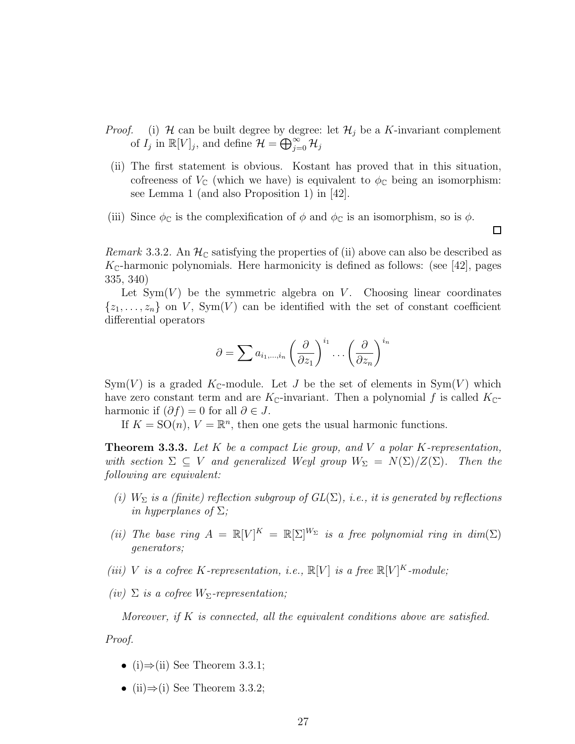- *Proof.* (i)  $H$  can be built degree by degree: let  $H_j$  be a K-invariant complement of  $I_j$  in  $\mathbb{R}[V]_j$ , and define  $\mathcal{H} = \bigoplus_{j=0}^{\infty} \mathcal{H}_j$
- (ii) The first statement is obvious. Kostant has proved that in this situation, cofreeness of  $V_{\mathbb{C}}$  (which we have) is equivalent to  $\phi_{\mathbb{C}}$  being an isomorphism: see Lemma 1 (and also Proposition 1) in [\[42\]](#page-72-9).
- (iii) Since  $\phi_{\mathbb{C}}$  is the complexification of  $\phi$  and  $\phi_{\mathbb{C}}$  is an isomorphism, so is  $\phi$ .

口

Remark 3.3.2. An  $\mathcal{H}_{\mathbb{C}}$  satisfying the properties of (ii) above can also be described as  $K_{\mathbb{C}}$ -harmonic polynomials. Here harmonicity is defined as follows: (see [\[42\]](#page-72-9), pages 335, 340)

Let  $Sym(V)$  be the symmetric algebra on V. Choosing linear coordinates  $\{z_1, \ldots, z_n\}$  on V, Sym(V) can be identified with the set of constant coefficient differential operators

$$
\partial = \sum a_{i_1,\dots,i_n} \left(\frac{\partial}{\partial z_1}\right)^{i_1} \dots \left(\frac{\partial}{\partial z_n}\right)^{i_n}
$$

 $Sym(V)$  is a graded  $K_{\mathbb{C}}$ -module. Let J be the set of elements in  $Sym(V)$  which have zero constant term and are  $K_{\mathbb{C}}$ -invariant. Then a polynomial f is called  $K_{\mathbb{C}}$ harmonic if  $(\partial f) = 0$  for all  $\partial \in J$ .

If  $K = SO(n)$ ,  $V = \mathbb{R}^n$ , then one gets the usual harmonic functions.

<span id="page-33-0"></span>**Theorem 3.3.3.** Let K be a compact Lie group, and V a polar K-representation, with section  $\Sigma \subseteq V$  and generalized Weyl group  $W_{\Sigma} = N(\Sigma)/Z(\Sigma)$ . Then the following are equivalent:

- (i)  $W_{\Sigma}$  is a (finite) reflection subgroup of  $GL(\Sigma)$ , i.e., it is generated by reflections in hyperplanes of  $\Sigma$ ;
- (ii) The base ring  $A = \mathbb{R}[V]^K = \mathbb{R}[\Sigma]^{W_{\Sigma}}$  is a free polynomial ring in  $dim(\Sigma)$ generators;
- (iii) V is a cofree K-representation, i.e.,  $\mathbb{R}[V]$  is a free  $\mathbb{R}[V]^K$ -module;
- (iv)  $\Sigma$  is a cofree  $W_{\Sigma}$ -representation;

Moreover, if K is connected, all the equivalent conditions above are satisfied.

Proof.

- (i) $\Rightarrow$ (ii) See Theorem [3.3.1;](#page-31-1)
- (ii) $\Rightarrow$ (i) See Theorem [3.3.2;](#page-31-2)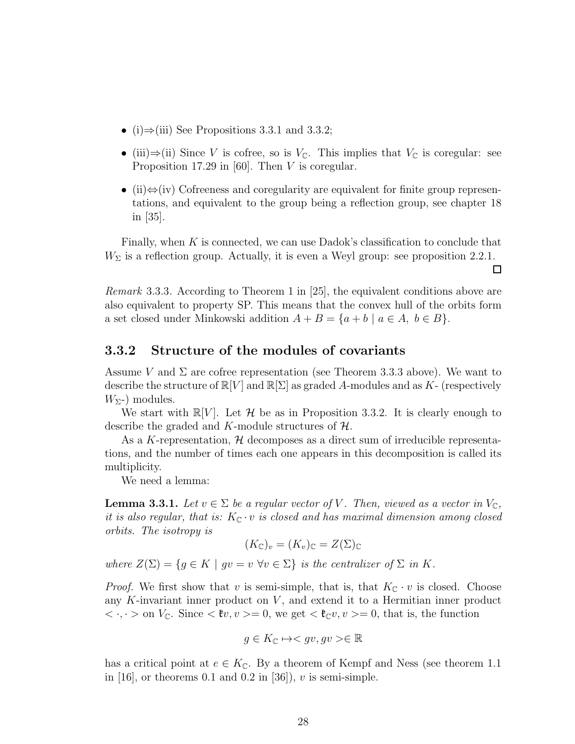- (i) $\Rightarrow$ (iii) See Propositions [3.3.1](#page-31-3) and [3.3.2;](#page-32-0)
- (iii)⇒(ii) Since V is cofree, so is  $V_{\mathbb{C}}$ . This implies that  $V_{\mathbb{C}}$  is coregular: see Proposition 17.29 in [\[60\]](#page-73-12). Then  $V$  is coregular.
- (ii) $\Leftrightarrow$  (iv) Cofreeness and coregularity are equivalent for finite group representations, and equivalent to the group being a reflection group, see chapter 18 in [\[35\]](#page-71-9).

Finally, when  $K$  is connected, we can use Dadok's classification to conclude that  $W_{\Sigma}$  is a reflection group. Actually, it is even a Weyl group: see proposition [2.2.1.](#page-19-0)

 $\Box$ 

Remark 3.3.3. According to Theorem 1 in [\[25\]](#page-71-10), the equivalent conditions above are also equivalent to property SP. This means that the convex hull of the orbits form a set closed under Minkowski addition  $A + B = \{a + b \mid a \in A, b \in B\}.$ 

#### <span id="page-34-0"></span>3.3.2 Structure of the modules of covariants

Assume V and  $\Sigma$  are cofree representation (see Theorem [3.3.3](#page-33-0) above). We want to describe the structure of  $\mathbb{R}[V]$  and  $\mathbb{R}[\Sigma]$  as graded A-modules and as K- (respectively  $W_{\Sigma}$ -) modules.

We start with  $\mathbb{R}[V]$ . Let H be as in Proposition [3.3.2.](#page-32-0) It is clearly enough to describe the graded and K-module structures of  $H$ .

As a K-representation,  $H$  decomposes as a direct sum of irreducible representations, and the number of times each one appears in this decomposition is called its multiplicity.

We need a lemma:

<span id="page-34-1"></span>**Lemma 3.3.1.** Let  $v \in \Sigma$  be a regular vector of V. Then, viewed as a vector in  $V_c$ , it is also regular, that is:  $K_{\mathbb{C}} \cdot v$  is closed and has maximal dimension among closed orbits. The isotropy is

$$
(K_{\mathbb{C}})_v = (K_v)_{\mathbb{C}} = Z(\Sigma)_{\mathbb{C}}
$$

where  $Z(\Sigma) = \{g \in K \mid gv = v \,\forall v \in \Sigma\}$  is the centralizer of  $\Sigma$  in K.

*Proof.* We first show that v is semi-simple, that is, that  $K_{\mathbb{C}} \cdot v$  is closed. Choose any K-invariant inner product on  $V$ , and extend it to a Hermitian inner product  $\langle \cdot, \cdot \rangle$  on  $V_{\mathbb{C}}$ . Since  $\langle \cdot, v \rangle = 0$ , we get  $\langle \cdot, v \rangle = 0$ , that is, the function

$$
g\in K_{\mathbb{C}}\mapsto \in \mathbb{R}
$$

has a critical point at  $e \in K_{\mathbb{C}}$ . By a theorem of Kempf and Ness (see theorem 1.1 in [\[16\]](#page-70-5), or theorems 0.1 and 0.2 in [\[36\]](#page-71-11)),  $v$  is semi-simple.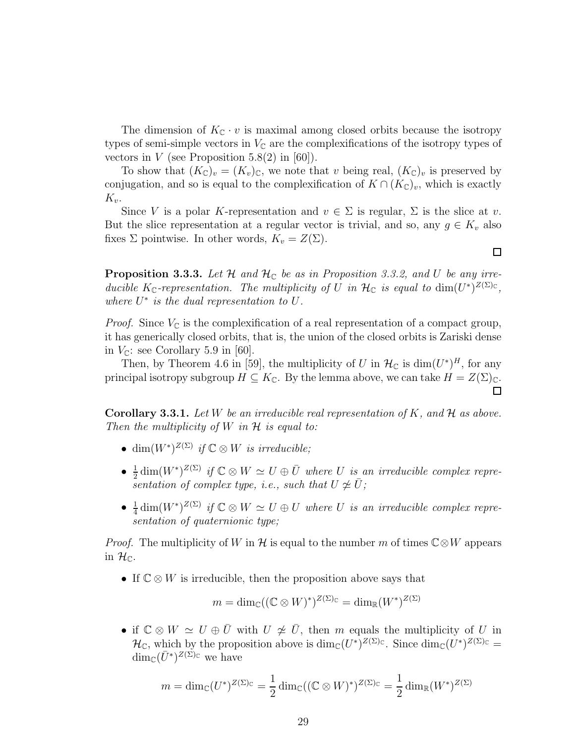The dimension of  $K_{\mathbb{C}} \cdot v$  is maximal among closed orbits because the isotropy types of semi-simple vectors in  $V_{\mathbb{C}}$  are the complexifications of the isotropy types of vectors in  $V$  (see Proposition 5.8(2) in [\[60\]](#page-73-12)).

To show that  $(K_{\mathbb{C}})_v = (K_v)_{\mathbb{C}}$ , we note that v being real,  $(K_{\mathbb{C}})_v$  is preserved by conjugation, and so is equal to the complexification of  $K \cap (K_{\mathbb{C}})_v$ , which is exactly  $K_{v}$ .

Since V is a polar K-representation and  $v \in \Sigma$  is regular,  $\Sigma$  is the slice at v. But the slice representation at a regular vector is trivial, and so, any  $g \in K_v$  also fixes  $\Sigma$  pointwise. In other words,  $K_v = Z(\Sigma)$ .

 $\Box$ 

**Proposition 3.3.3.** Let  $H$  and  $H_C$  be as in Proposition [3.3.2,](#page-32-0) and U be any irreducible K<sub>C</sub>-representation. The multiplicity of U in  $\mathcal{H}_{\mathbb{C}}$  is equal to  $\dim(U^*)^{Z(\Sigma)_{\mathbb{C}}},$ where  $U^*$  is the dual representation to  $U$ .

*Proof.* Since  $V_{\mathbb{C}}$  is the complexification of a real representation of a compact group, it has generically closed orbits, that is, the union of the closed orbits is Zariski dense in  $V_{\mathbb{C}}$ : see Corollary 5.9 in [\[60\]](#page-73-12).

Then, by Theorem 4.6 in [\[59\]](#page-73-10), the multiplicity of U in  $\mathcal{H}_{\mathbb{C}}$  is  $\dim(U^*)^H$ , for any principal isotropy subgroup  $H \subseteq K_{\mathbb{C}}$ . By the lemma above, we can take  $H = Z(\Sigma)_{\mathbb{C}}$ .  $\Box$ 

**Corollary 3.3.1.** Let W be an irreducible real representation of K, and  $\mathcal{H}$  as above. Then the multiplicity of W in  $\mathcal H$  is equal to:

- dim $(W^*)^{Z(\Sigma)}$  if  $\mathbb{C} \otimes W$  is irreducible;
- $\bullet$   $\frac{1}{2}$  $\frac{1}{2} \dim(W^*)^{Z(\Sigma)}$  if  $\mathbb{C} \otimes W \simeq U \oplus \overline{U}$  where U is an irreducible complex representation of complex type, i.e., such that  $U \not\cong \overline{U}$ ;
- $\bullet$   $\frac{1}{4}$  $\frac{1}{4}$  dim $(W^*)^{Z(\Sigma)}$  if  $\mathbb{C} \otimes W \simeq U \oplus U$  where U is an irreducible complex representation of quaternionic type;

*Proof.* The multiplicity of W in H is equal to the number m of times  $\mathbb{C} \otimes W$  appears in  $\mathcal{H}_{\mathbb{C}}$ .

• If  $\mathbb{C} \otimes W$  is irreducible, then the proposition above says that

$$
m = \dim_{\mathbb{C}}((\mathbb{C} \otimes W)^*)^{Z(\Sigma)_{\mathbb{C}}} = \dim_{\mathbb{R}}(W^*)^{Z(\Sigma)}
$$

• if  $\mathbb{C} \otimes W \simeq U \oplus \overline{U}$  with  $U \not\cong \overline{U}$ , then m equals the multiplicity of U in  $\mathcal{H}_{\mathbb{C}}$ , which by the proposition above is  $\dim_{\mathbb{C}}(U^*)^{Z(\Sigma)_{\mathbb{C}}}$ . Since  $\dim_{\mathbb{C}}(U^*)^{Z(\Sigma)_{\mathbb{C}}}$  $\dim_{\mathbb{C}}(\bar{U}^*)^{Z(\Sigma)_{\mathbb{C}}}$  we have

$$
m = \dim_{\mathbb{C}}(U^*)^{Z(\Sigma)\mathbb{C}} = \frac{1}{2}\dim_{\mathbb{C}}((\mathbb{C}\otimes W)^*)^{Z(\Sigma)\mathbb{C}} = \frac{1}{2}\dim_{\mathbb{R}}(W^*)^{Z(\Sigma)}
$$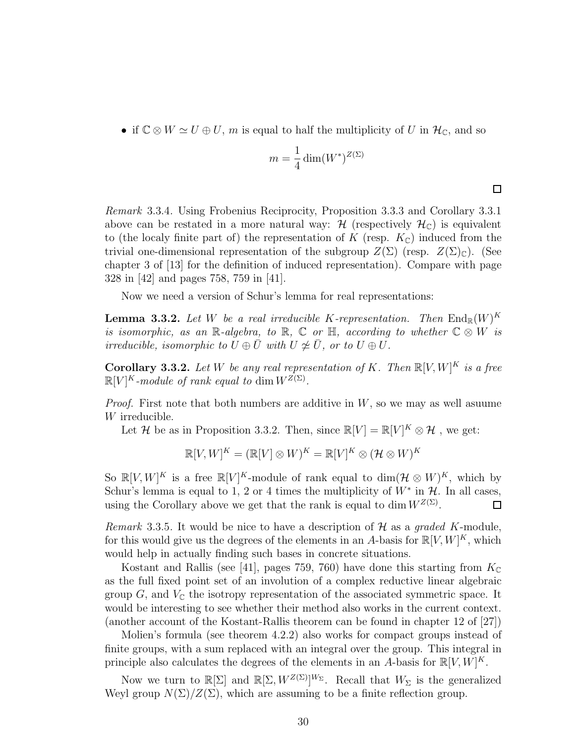• if  $\mathbb{C} \otimes W \simeq U \oplus U$ , m is equal to half the multiplicity of U in  $\mathcal{H}_{\mathbb{C}}$ , and so

$$
m = \frac{1}{4} \dim(W^*)^{Z(\Sigma)}
$$

 $\Box$ 

Remark 3.3.4. Using Frobenius Reciprocity, Proposition [3.3.3](#page-35-0) and Corollary [3.3.1](#page-35-1) above can be restated in a more natural way:  $\mathcal{H}$  (respectively  $\mathcal{H}_{\mathbb{C}}$ ) is equivalent to (the localy finite part of) the representation of K (resp.  $K_{\mathbb{C}}$ ) induced from the trivial one-dimensional representation of the subgroup  $Z(\Sigma)$  (resp.  $Z(\Sigma)_{\mathbb{C}}$ ). (See chapter 3 of [\[13\]](#page-70-0) for the definition of induced representation). Compare with page 328 in [\[42\]](#page-72-0) and pages 758, 759 in [\[41\]](#page-72-1).

Now we need a version of Schur's lemma for real representations:

**Lemma 3.3.2.** Let W be a real irreducible K-representation. Then  $\text{End}_{\mathbb{R}}(W)^K$ is isomorphic, as an R-algebra, to R,  $\mathbb C$  or H, according to whether  $\mathbb C \otimes W$  is irreducible, isomorphic to  $U \oplus \overline{U}$  with  $U \not\cong \overline{U}$ , or to  $U \oplus U$ .

<span id="page-36-0"></span>**Corollary 3.3.2.** Let W be any real representation of K. Then  $\mathbb{R}[V, W]^K$  is a free  $\mathbb{R}[V]^K$ -module of rank equal to dim  $W^{Z(\Sigma)}$ .

*Proof.* First note that both numbers are additive in  $W$ , so we may as well asuume W irreducible.

Let H be as in Proposition [3.3.2.](#page-32-0) Then, since  $\mathbb{R}[V] = \mathbb{R}[V]^K \otimes \mathcal{H}$ , we get:

$$
\mathbb{R}[V,W]^K = (\mathbb{R}[V] \otimes W)^K = \mathbb{R}[V]^K \otimes (\mathcal{H} \otimes W)^K
$$

So  $\mathbb{R}[V, W]^K$  is a free  $\mathbb{R}[V]^K$ -module of rank equal to  $\dim(\mathcal{H} \otimes W)^K$ , which by Schur's lemma is equal to 1, 2 or 4 times the multiplicity of  $W^*$  in  $\mathcal{H}$ . In all cases, using the Corollary above we get that the rank is equal to dim  $W^{Z(\Sigma)}$ .  $\Box$ 

Remark 3.3.5. It would be nice to have a description of  $H$  as a graded K-module, for this would give us the degrees of the elements in an A-basis for  $\mathbb{R}[V, W]^K$ , which would help in actually finding such bases in concrete situations.

Kostant and Rallis (see [\[41\]](#page-72-1), pages 759, 760) have done this starting from  $K_{\mathbb{C}}$ as the full fixed point set of an involution of a complex reductive linear algebraic group  $G$ , and  $V_{\mathbb{C}}$  the isotropy representation of the associated symmetric space. It would be interesting to see whether their method also works in the current context. (another account of the Kostant-Rallis theorem can be found in chapter 12 of [\[27\]](#page-71-0))

Molien's formula (see theorem [4.2.2\)](#page-47-0) also works for compact groups instead of finite groups, with a sum replaced with an integral over the group. This integral in principle also calculates the degrees of the elements in an A-basis for  $\mathbb{R}[V, W]^K$ .

Now we turn to  $\mathbb{R}[\Sigma]$  and  $\mathbb{R}[\Sigma, W^{Z(\Sigma)}]^{W_{\Sigma}}$ . Recall that  $W_{\Sigma}$  is the generalized Weyl group  $N(\Sigma)/Z(\Sigma)$ , which are assuming to be a finite reflection group.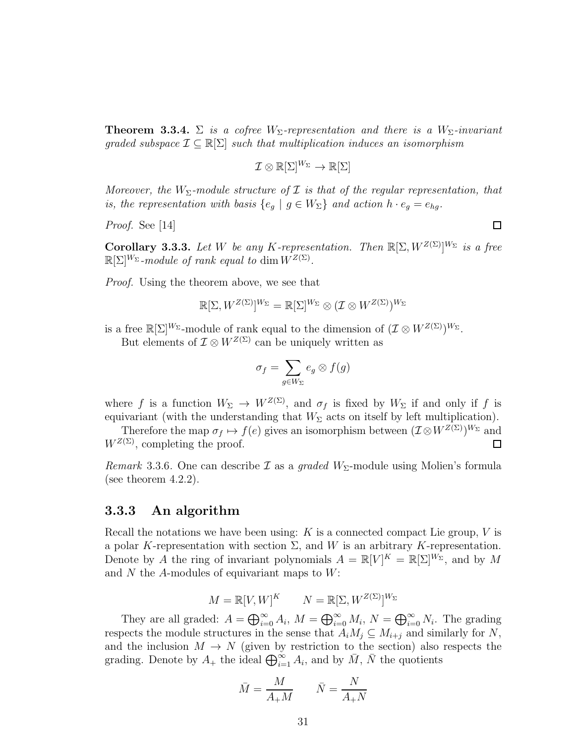<span id="page-37-0"></span>**Theorem 3.3.4.**  $\Sigma$  is a cofree  $W_{\Sigma}$ -representation and there is a  $W_{\Sigma}$ -invariant graded subspace  $\mathcal{I} \subseteq \mathbb{R}[\Sigma]$  such that multiplication induces an isomorphism

$$
\mathcal{I}\otimes\mathbb{R}[\Sigma]^{W_\Sigma}\to\mathbb{R}[\Sigma]
$$

Moreover, the  $W_{\Sigma}$ -module structure of  $\mathcal I$  is that of the regular representation, that is, the representation with basis  $\{e_g \mid g \in W_{\Sigma}\}\$  and action  $h \cdot e_g = e_{hg}$ .

Proof. See [\[14\]](#page-70-1)

 $\Box$ 

**Corollary 3.3.3.** Let W be any K-representation. Then  $\mathbb{R}[\Sigma, W^{Z(\Sigma)}]^{W_{\Sigma}}$  is a free  $\mathbb{R}[\Sigma]^{W_{\Sigma}}$ -module of rank equal to dim  $W^{Z(\Sigma)}$ .

*Proof.* Using the theorem above, we see that

$$
\mathbb{R}[\Sigma, W^{Z(\Sigma)}]^{W_\Sigma} = \mathbb{R}[\Sigma]^{W_\Sigma} \otimes (\mathcal{I} \otimes W^{Z(\Sigma)})^{W_\Sigma}
$$

is a free  $\mathbb{R}[\Sigma]^{W_{\Sigma}}$ -module of rank equal to the dimension of  $(\mathcal{I} \otimes W^{Z(\Sigma)})^{W_{\Sigma}}$ .

But elements of  $\mathcal{I} \otimes W^{\mathcal{Z}(\Sigma)}$  can be uniquely written as

$$
\sigma_f = \sum_{g \in W_{\Sigma}} e_g \otimes f(g)
$$

where f is a function  $W_{\Sigma} \to W^{Z(\Sigma)}$ , and  $\sigma_f$  is fixed by  $W_{\Sigma}$  if and only if f is equivariant (with the understanding that  $W_{\Sigma}$  acts on itself by left multiplication).

Therefore the map  $\sigma_f \mapsto f(e)$  gives an isomorphism between  $(\mathcal{I} \otimes W^{Z(\Sigma)})^{W_{\Sigma}}$  and  $W^{Z(\Sigma)}$ , completing the proof.  $\Box$ 

*Remark* 3.3.6. One can describe  $\mathcal I$  as a *graded*  $W_{\Sigma}$ -module using Molien's formula (see theorem [4.2.2\)](#page-47-0).

### 3.3.3 An algorithm

Recall the notations we have been using:  $K$  is a connected compact Lie group,  $V$  is a polar K-representation with section  $\Sigma$ , and W is an arbitrary K-representation. Denote by A the ring of invariant polynomials  $A = \mathbb{R}[V]^K = \mathbb{R}[\Sigma]^{W_{\Sigma}}$ , and by M and  $N$  the  $A$ -modules of equivariant maps to  $W$ :

$$
M = \mathbb{R}[V, W]^K \qquad N = \mathbb{R}[\Sigma, W^{Z(\Sigma)}]^{W_{\Sigma}}
$$

They are all graded:  $A = \bigoplus_{i=0}^{\infty} A_i$ ,  $M = \bigoplus_{i=0}^{\infty} M_i$ ,  $N = \bigoplus_{i=0}^{\infty} N_i$ . The grading respects the module structures in the sense that  $A_iM_j \subseteq M_{i+j}$  and similarly for N, and the inclusion  $M \to N$  (given by restriction to the section) also respects the grading. Denote by  $A_+$  the ideal  $\bigoplus_{i=1}^{\infty} A_i$ , and by  $\overline{M}$ ,  $\overline{N}$  the quotients

$$
\bar{M} = \frac{M}{A_{+}M} \qquad \bar{N} = \frac{N}{A_{+}N}
$$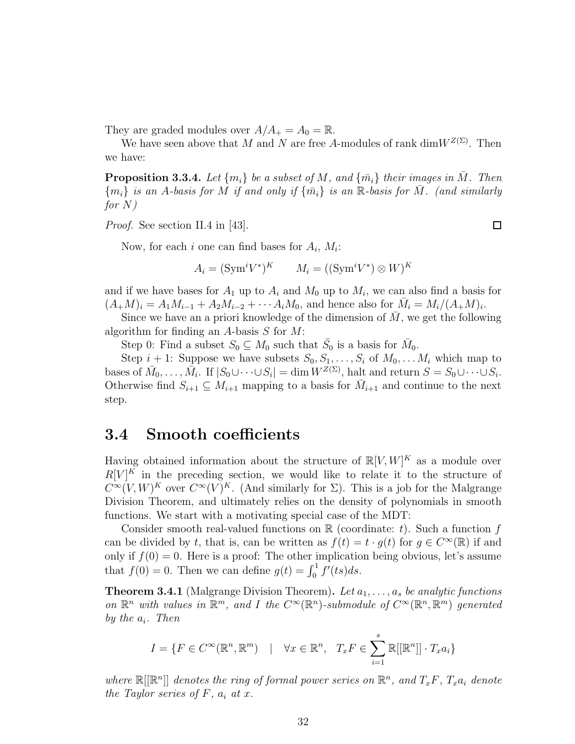They are graded modules over  $A/A_+ = A_0 = \mathbb{R}$ .

We have seen above that M and N are free A-modules of rank dim $W^{Z(\Sigma)}$ . Then we have:

**Proposition 3.3.4.** Let  $\{m_i\}$  be a subset of M, and  $\{\bar{m}_i\}$  their images in M. Then  ${m_i}$  is an A-basis for M if and only if  ${\bar{m_i}}$  is an R-basis for M. (and similarly for N)

*Proof.* See section II.4 in [\[43\]](#page-72-2).

Now, for each *i* one can find bases for  $A_i$ ,  $M_i$ :

$$
A_i = (\text{Sym}^i V^*)^K \qquad M_i = ((\text{Sym}^i V^*) \otimes W)^K
$$

and if we have bases for  $A_1$  up to  $A_i$  and  $M_0$  up to  $M_i$ , we can also find a basis for  $(A_+M)_i = A_1M_{i-1} + A_2M_{i-2} + \cdots + A_iM_0$ , and hence also for  $\bar{M}_i = M_i/(A_+M)_i$ .

Since we have an a priori knowledge of the dimension of  $M$ , we get the following algorithm for finding an A-basis  $S$  for  $M$ :

Step 0: Find a subset  $S_0 \subseteq M_0$  such that  $\bar{S}_0$  is a basis for  $\bar{M}_0$ .

Step  $i + 1$ : Suppose we have subsets  $S_0, S_1, \ldots, S_i$  of  $M_0, \ldots, M_i$  which map to bases of  $\overline{M}_0, \ldots, \overline{M}_i$ . If  $|S_0 \cup \cdots \cup S_i| = \dim W^{Z(\Sigma)}$ , halt and return  $S = S_0 \cup \cdots \cup S_i$ . Otherwise find  $S_{i+1} \subseteq M_{i+1}$  mapping to a basis for  $\overline{M}_{i+1}$  and continue to the next step.

# 3.4 Smooth coefficients

Having obtained information about the structure of  $\mathbb{R}[V,W]^K$  as a module over  $R[V]^K$  in the preceding section, we would like to relate it to the structure of  $C^{\infty}(V,W)^K$  over  $C^{\infty}(V)^K$ . (And similarly for  $\Sigma$ ). This is a job for the Malgrange Division Theorem, and ultimately relies on the density of polynomials in smooth functions. We start with a motivating special case of the MDT:

Consider smooth real-valued functions on  $\mathbb R$  (coordinate: t). Such a function f can be divided by t, that is, can be written as  $f(t) = t \cdot g(t)$  for  $g \in C^{\infty}(\mathbb{R})$  if and only if  $f(0) = 0$ . Here is a proof: The other implication being obvious, let's assume that  $f(0) = 0$ . Then we can define  $g(t) = \int_0^1 f'(ts)ds$ .

**Theorem 3.4.1** (Malgrange Division Theorem). Let  $a_1, \ldots, a_s$  be analytic functions on  $\mathbb{R}^n$  with values in  $\mathbb{R}^m$ , and I the  $C^{\infty}(\mathbb{R}^n)$ -submodule of  $C^{\infty}(\mathbb{R}^n, \mathbb{R}^m)$  generated by the  $a_i$ . Then

$$
I = \{ F \in C^{\infty}(\mathbb{R}^n, \mathbb{R}^m) \mid \forall x \in \mathbb{R}^n, T_x F \in \sum_{i=1}^s \mathbb{R}[[\mathbb{R}^n]] \cdot T_x a_i \}
$$

where  $\mathbb{R}[[\mathbb{R}^n]]$  denotes the ring of formal power series on  $\mathbb{R}^n$ , and  $T_xF$ ,  $T_xa_i$  denote the Taylor series of F,  $a_i$  at x.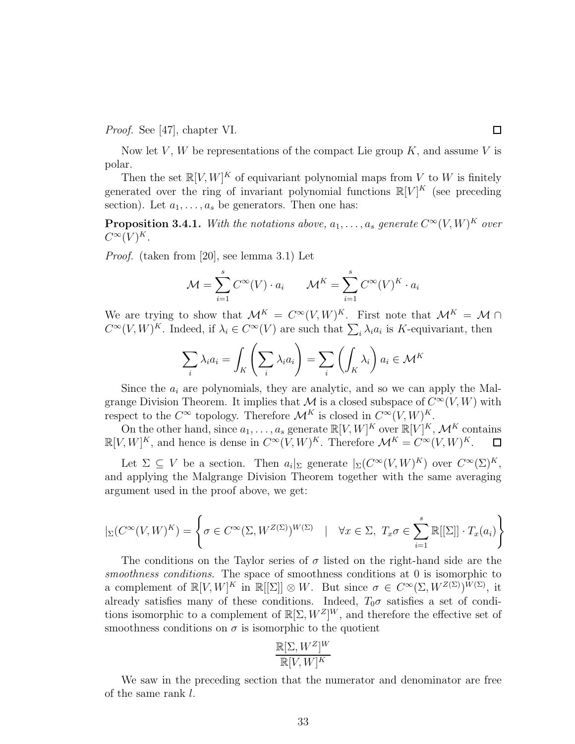Proof. See [\[47\]](#page-72-3), chapter VI.

Now let V, W be representations of the compact Lie group  $K$ , and assume V is polar.

Then the set  $\mathbb{R}[V, W]^K$  of equivariant polynomial maps from V to W is finitely generated over the ring of invariant polynomial functions  $\mathbb{R}[V]^K$  (see preceding section). Let  $a_1, \ldots, a_s$  be generators. Then one has:

<span id="page-39-0"></span>**Proposition 3.4.1.** With the notations above,  $a_1, \ldots, a_s$  generate  $C^{\infty}(V, W)^K$  over  $C^{\infty}(V)^K$ .

Proof. (taken from [\[20\]](#page-70-2), see lemma 3.1) Let

$$
\mathcal{M} = \sum_{i=1}^{s} C^{\infty}(V) \cdot a_i \qquad \mathcal{M}^K = \sum_{i=1}^{s} C^{\infty}(V)^K \cdot a_i
$$

We are trying to show that  $\mathcal{M}^K = C^\infty(V,W)^K$ . First note that  $\mathcal{M}^K = \mathcal{M} \cap$  $C^{\infty}(V,W)^K$ . Indeed, if  $\lambda_i \in C^{\infty}(V)$  are such that  $\sum_i \lambda_i a_i$  is K-equivariant, then

$$
\sum_{i} \lambda_i a_i = \int_K \left(\sum_{i} \lambda_i a_i\right) = \sum_{i} \left(\int_K \lambda_i\right) a_i \in \mathcal{M}^K
$$

Since the  $a_i$  are polynomials, they are analytic, and so we can apply the Malgrange Division Theorem. It implies that M is a closed subspace of  $C^{\infty}(V, W)$  with respect to the  $C^{\infty}$  topology. Therefore  $\mathcal{M}^{K}$  is closed in  $C^{\infty}(V, W)^{K}$ .

On the other hand, since  $a_1, \ldots, a_s$  generate  $\mathbb{R}[V, W]^K$  over  $\mathbb{R}[V]^K$ ,  $\mathcal{M}^K$  contains  $\mathbb{R}[V,W]^K$ , and hence is dense in  $C^{\infty}(V,W)^K$ . Therefore  $\mathcal{M}^K = C^{\infty}(V,W)^K$ .

Let  $\Sigma \subseteq V$  be a section. Then  $a_i|_{\Sigma}$  generate  $|_{\Sigma}(C^{\infty}(V,W)^K)$  over  $C^{\infty}(\Sigma)^K$ , and applying the Malgrange Division Theorem together with the same averaging argument used in the proof above, we get:

$$
|_{\Sigma}(C^{\infty}(V,W)^K) = \left\{ \sigma \in C^{\infty}(\Sigma, W^{Z(\Sigma)})^{W(\Sigma)} \mid \forall x \in \Sigma, T_x \sigma \in \sum_{i=1}^s \mathbb{R}[[\Sigma]] \cdot T_x(a_i) \right\}
$$

The conditions on the Taylor series of  $\sigma$  listed on the right-hand side are the smoothness conditions. The space of smoothness conditions at 0 is isomorphic to a complement of  $\mathbb{R}[V,W]^K$  in  $\mathbb{R}[[\Sigma]] \otimes W$ . But since  $\sigma \in C^{\infty}(\Sigma, W^{Z(\Sigma)})^{W(\Sigma)}$ , it already satisfies many of these conditions. Indeed,  $T_0\sigma$  satisfies a set of conditions isomorphic to a complement of  $\mathbb{R}[\Sigma, W^Z]^W$ , and therefore the effective set of smoothness conditions on  $\sigma$  is isomorphic to the quotient

$$
\frac{\mathbb{R}[\Sigma, W^Z]^W}{\mathbb{R}[V,W]^K}
$$

We saw in the preceding section that the numerator and denominator are free of the same rank l.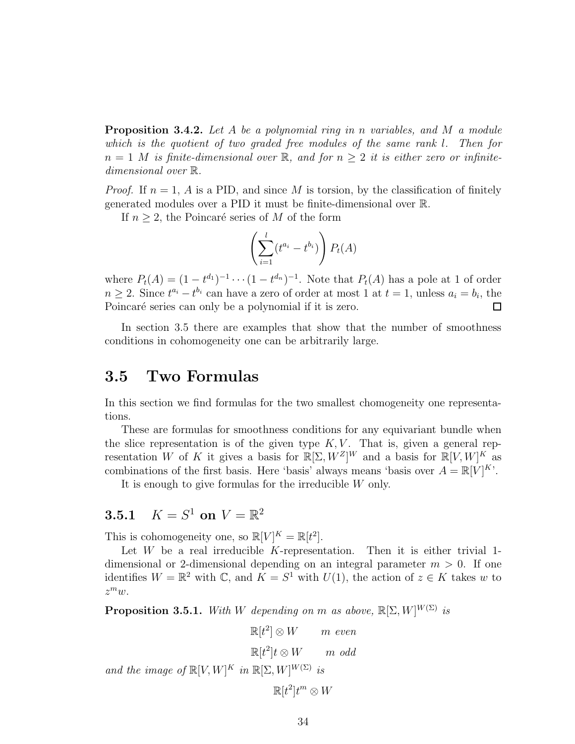Proposition 3.4.2. Let A be a polynomial ring in n variables, and M a module which is the quotient of two graded free modules of the same rank l. Then for  $n = 1$  M is finite-dimensional over R, and for  $n \geq 2$  it is either zero or infinitedimensional over R.

*Proof.* If  $n = 1$ , A is a PID, and since M is torsion, by the classification of finitely generated modules over a PID it must be finite-dimensional over R.

If  $n \geq 2$ , the Poincaré series of M of the form

$$
\left(\sum_{i=1}^l (t^{a_i} - t^{b_i})\right) P_t(A)
$$

where  $P_t(A) = (1 - t^{d_1})^{-1} \cdots (1 - t^{d_n})^{-1}$ . Note that  $P_t(A)$  has a pole at 1 of order  $n \geq 2$ . Since  $t^{a_i} - t^{b_i}$  can have a zero of order at most 1 at  $t = 1$ , unless  $a_i = b_i$ , the Poincaré series can only be a polynomial if it is zero.

In section [3.5](#page-40-0) there are examples that show that the number of smoothness conditions in cohomogeneity one can be arbitrarily large.

# <span id="page-40-0"></span>3.5 Two Formulas

In this section we find formulas for the two smallest chomogeneity one representations.

These are formulas for smoothness conditions for any equivariant bundle when the slice representation is of the given type  $K, V$ . That is, given a general representation W of K it gives a basis for  $\mathbb{R}[\Sigma, W^Z]^W$  and a basis for  $\mathbb{R}[V, W]^K$  as combinations of the first basis. Here 'basis' always means 'basis over  $A = \mathbb{R}[V]^K$ '.

It is enough to give formulas for the irreducible W only.

# **3.5.1**  $K = S^1$  on  $V = \mathbb{R}^2$

This is cohomogeneity one, so  $\mathbb{R}[V]^K = \mathbb{R}[t^2]$ .

Let  $W$  be a real irreducible  $K$ -representation. Then it is either trivial 1dimensional or 2-dimensional depending on an integral parameter  $m > 0$ . If one identifies  $W = \mathbb{R}^2$  with  $\mathbb{C}$ , and  $K = S^1$  with  $U(1)$ , the action of  $z \in K$  takes w to  $z^m w$ .

**Proposition 3.5.1.** With W depending on m as above,  $\mathbb{R}[\Sigma, W]^{W(\Sigma)}$  is

$$
\mathbb{R}[t^2] \otimes W \qquad m \text{ even}
$$
  

$$
\mathbb{R}[t^2]t \otimes W \qquad m \text{ odd}
$$

and the image of  $\mathbb{R}[V,W]^K$  in  $\mathbb{R}[\Sigma,W]^{W(\Sigma)}$  is

$$
\mathbb{R}[t^2]t^m \otimes W
$$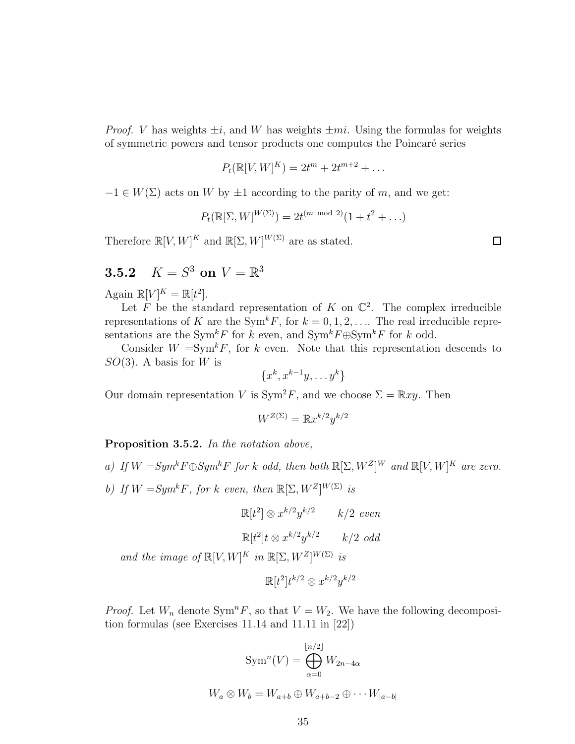*Proof.* V has weights  $\pm i$ , and W has weights  $\pm mi$ . Using the formulas for weights of symmetric powers and tensor products one computes the Poincar´e series

$$
P_t(\mathbb{R}[V,W]^K) = 2t^m + 2t^{m+2} + \dots
$$

 $-1 \in W(\Sigma)$  acts on W by  $\pm 1$  according to the parity of m, and we get:

$$
P_t(\mathbb{R}[\Sigma, W]^{W(\Sigma)}) = 2t^{(m \mod 2)}(1 + t^2 + \ldots)
$$

Therefore  $\mathbb{R}[V, W]^K$  and  $\mathbb{R}[\Sigma, W]^{W(\Sigma)}$  are as stated.

 $\Box$ 

# **3.5.2**  $K = S^3$  on  $V = \mathbb{R}^3$

Again  $\mathbb{R}[V]^K = \mathbb{R}[t^2]$ .

Let  $\tilde{F}$  be the standard representation of  $K$  on  $\mathbb{C}^2$ . The complex irreducible representations of K are the Sym<sup>k</sup>F, for  $k = 0, 1, 2, \ldots$  The real irreducible representations are the Sym<sup>k</sup>F for k even, and Sym<sup>k</sup>F⊕Sym<sup>k</sup>F for k odd.

Consider  $W = Sym^k F$ , for k even. Note that this representation descends to  $SO(3)$ . A basis for W is

$$
\{x^k, x^{k-1}y, \ldots y^k\}
$$

Our domain representation V is  $\text{Sym}^2 F$ , and we choose  $\Sigma = \mathbb{R} xy$ . Then

$$
W^{Z(\Sigma)} = \mathbb{R}x^{k/2}y^{k/2}
$$

Proposition 3.5.2. In the notation above,

- a) If  $W = Sym^k F \oplus Sym^k F$  for k odd, then both  $\mathbb{R}[\Sigma, W^Z]^W$  and  $\mathbb{R}[V, W]^K$  are zero.
- b) If  $W = Sym^k F$ , for k even, then  $\mathbb{R}[\Sigma, W^Z]^{W(\Sigma)}$  is

 $\mathbb{R}[t^2] \otimes x^{k/2}y^{k/2}$   $k/2$  even  $\mathbb{R}[t^2]t \otimes x^{k/2}y^{k/2}$   $k/2$  odd

and the image of  $\mathbb{R}[V, W]^K$  in  $\mathbb{R}[\Sigma, W^Z]^{W(\Sigma)}$  is

$$
\mathbb{R}[t^2]t^{k/2}\otimes x^{k/2}y^{k/2}
$$

*Proof.* Let  $W_n$  denote  $Sym^n F$ , so that  $V = W_2$ . We have the following decomposition formulas (see Exercises 11.14 and 11.11 in [\[22\]](#page-70-3))

$$
\operatorname{Sym}^n(V) = \bigoplus_{\alpha=0}^{\lfloor n/2 \rfloor} W_{2n-4\alpha}
$$

$$
W_a \otimes W_b = W_{a+b} \oplus W_{a+b-2} \oplus \cdots W_{|a-b|}
$$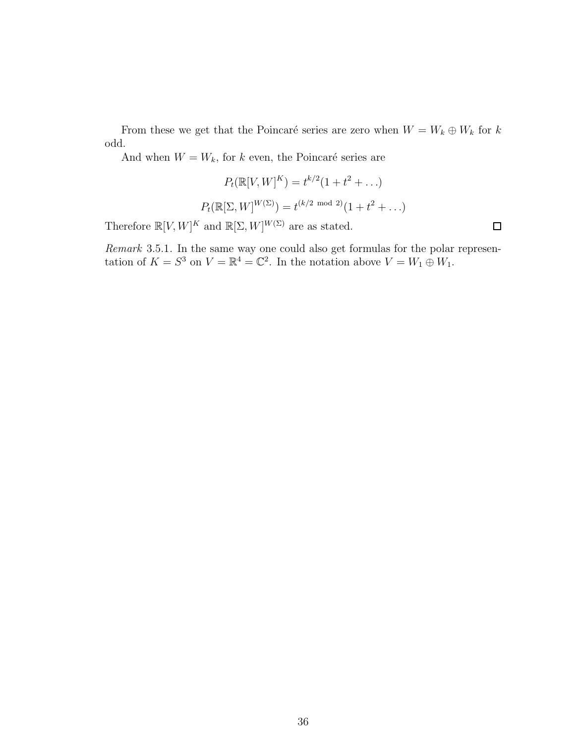From these we get that the Poincaré series are zero when  $W = W_k \oplus W_k$  for k odd.

And when  $W = W_k$ , for k even, the Poincaré series are

$$
P_t(\mathbb{R}[V, W]^K) = t^{k/2} (1 + t^2 + ...)
$$

$$
P_t(\mathbb{R}[\Sigma, W]^{W(\Sigma)}) = t^{(k/2 \mod 2)} (1 + t^2 + ...)
$$

Therefore  $\mathbb{R}[V, W]^K$  and  $\mathbb{R}[\Sigma, W]^{W(\Sigma)}$  are as stated.

Remark 3.5.1. In the same way one could also get formulas for the polar representation of  $K = S^3$  on  $V = \mathbb{R}^4 = \mathbb{C}^2$ . In the notation above  $V = W_1 \oplus W_1$ .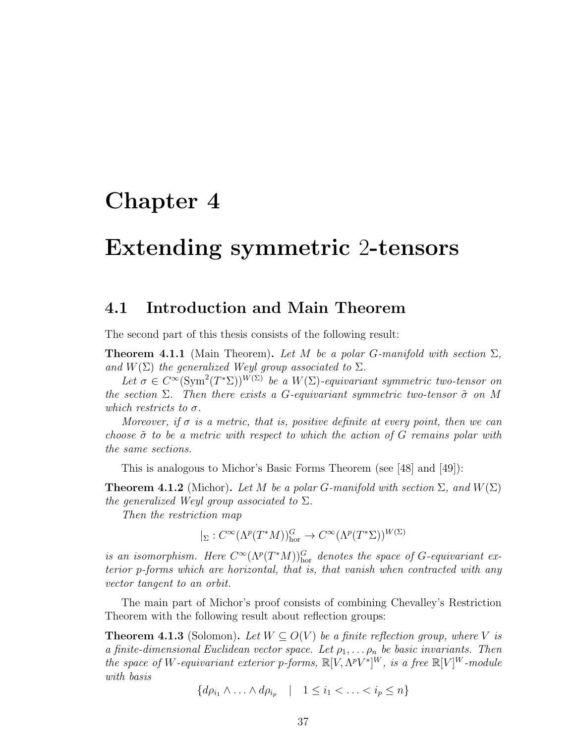# Chapter 4

# Extending symmetric 2-tensors

# 4.1 Introduction and Main Theorem

The second part of this thesis consists of the following result:

<span id="page-43-0"></span>**Theorem 4.1.1** (Main Theorem). Let M be a polar G-manifold with section  $\Sigma$ , and  $W(\Sigma)$  the generalized Weyl group associated to  $\Sigma$ .

Let  $\sigma \in C^{\infty}(\text{Sym}^2(T^*\Sigma))^{W(\Sigma)}$  be a  $W(\Sigma)$ -equivariant symmetric two-tensor on the section  $\Sigma$ . Then there exists a G-equivariant symmetric two-tensor  $\tilde{\sigma}$  on M which restricts to  $\sigma$ .

Moreover, if  $\sigma$  is a metric, that is, positive definite at every point, then we can choose  $\tilde{\sigma}$  to be a metric with respect to which the action of G remains polar with the same sections.

This is analogous to Michor's Basic Forms Theorem (see [\[48\]](#page-72-4) and [\[49\]](#page-72-5)):

**Theorem 4.1.2** (Michor). Let M be a polar G-manifold with section  $\Sigma$ , and  $W(\Sigma)$ the generalized Weyl group associated to  $\Sigma$ .

Then the restriction map

 $|_{\Sigma}: C^{\infty}(\Lambda^p(T^*M))_{\text{hor}}^G \to C^{\infty}(\Lambda^p(T^*\Sigma))^{W(\Sigma)}$ 

is an isomorphism. Here  $C^{\infty}(\Lambda^p(T^*M))_{\text{hor}}^G$  denotes the space of G-equivariant exterior p-forms which are horizontal, that is, that vanish when contracted with any vector tangent to an orbit.

The main part of Michor's proof consists of combining Chevalley's Restriction Theorem with the following result about reflection groups:

<span id="page-43-1"></span>**Theorem 4.1.3** (Solomon). Let  $W \subseteq O(V)$  be a finite reflection group, where V is a finite-dimensional Euclidean vector space. Let  $\rho_1, \ldots, \rho_n$  be basic invariants. Then the space of W-equivariant exterior p-forms,  $\mathbb{R}[V, \Lambda^p V^*]^W$ , is a free  $\mathbb{R}[V]^W$ -module with basis

$$
\{d\rho_{i_1} \wedge \ldots \wedge d\rho_{i_p} \quad | \quad 1 \leq i_1 < \ldots < i_p \leq n\}
$$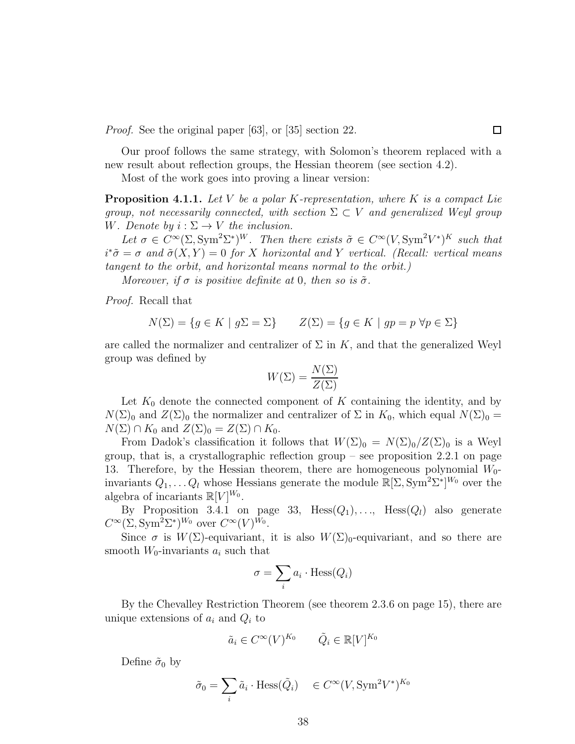Proof. See the original paper [\[63\]](#page-73-0), or [\[35\]](#page-71-1) section 22.

Our proof follows the same strategy, with Solomon's theorem replaced with a new result about reflection groups, the Hessian theorem (see section [4.2\)](#page-46-0).

Most of the work goes into proving a linear version:

**Proposition 4.1.1.** Let V be a polar K-representation, where K is a compact Lie group, not necessarily connected, with section  $\Sigma \subset V$  and generalized Weyl group W. Denote by  $i : \Sigma \to V$  the inclusion.

Let  $\sigma \in C^{\infty}(\Sigma, \text{Sym}^2 \Sigma^*)^W$ . Then there exists  $\tilde{\sigma} \in C^{\infty}(V, \text{Sym}^2 V^*)^K$  such that  $i^*\tilde{\sigma} = \sigma$  and  $\tilde{\sigma}(X, Y) = 0$  for X horizontal and Y vertical. (Recall: vertical means tangent to the orbit, and horizontal means normal to the orbit.)

Moreover, if  $\sigma$  is positive definite at 0, then so is  $\tilde{\sigma}$ .

Proof. Recall that

$$
N(\Sigma) = \{ g \in K \mid g\Sigma = \Sigma \} \qquad Z(\Sigma) = \{ g \in K \mid gp = p \,\,\forall p \in \Sigma \}
$$

are called the normalizer and centralizer of  $\Sigma$  in K, and that the generalized Weyl group was defined by

$$
W(\Sigma) = \frac{N(\Sigma)}{Z(\Sigma)}
$$

Let  $K_0$  denote the connected component of K containing the identity, and by  $N(\Sigma)_0$  and  $Z(\Sigma)_0$  the normalizer and centralizer of  $\Sigma$  in  $K_0$ , which equal  $N(\Sigma)_0 =$  $N(\Sigma) \cap K_0$  and  $Z(\Sigma)_0 = Z(\Sigma) \cap K_0$ .

From Dadok's classification it follows that  $W(\Sigma)_0 = N(\Sigma)_0/Z(\Sigma)_0$  is a Weyl group, that is, a crystallographic reflection group – see proposition  $2.2.1$  on page [13.](#page-19-0) Therefore, by the Hessian theorem, there are homogeneous polynomial  $W_0$ invariants  $Q_1, \ldots Q_l$  whose Hessians generate the module  $\mathbb{R}[\Sigma, \text{Sym}^2 \Sigma^*]^{W_0}$  over the algebra of incariants  $\mathbb{R}[V]^{W_0}$ .

By Proposition [3.4.1](#page-39-0) on page [33,](#page-39-0) Hess $(Q_1), \ldots$ , Hess $(Q_l)$  also generate  $C^{\infty}(\Sigma, \mathrm{Sym}^2 \Sigma^*)^{W_0}$  over  $C^{\infty}(V)^{W_0}$ .

Since  $\sigma$  is  $W(\Sigma)$ -equivariant, it is also  $W(\Sigma)$ <sub>0</sub>-equivariant, and so there are smooth  $W_0$ -invariants  $a_i$  such that

$$
\sigma = \sum_i a_i \cdot \text{Hess}(Q_i)
$$

By the Chevalley Restriction Theorem (see theorem [2.3.6](#page-21-0) on page [15\)](#page-21-0), there are unique extensions of  $a_i$  and  $Q_i$  to

$$
\tilde{a}_i \in C^{\infty}(V)^{K_0} \qquad \tilde{Q}_i \in \mathbb{R}[V]^{K_0}
$$

Define  $\tilde{\sigma}_0$  by

$$
\tilde{\sigma}_0 = \sum_i \tilde{a}_i \cdot \text{Hess}(\tilde{Q}_i) \quad \in C^{\infty}(V, \text{Sym}^2 V^*)^{K_0}
$$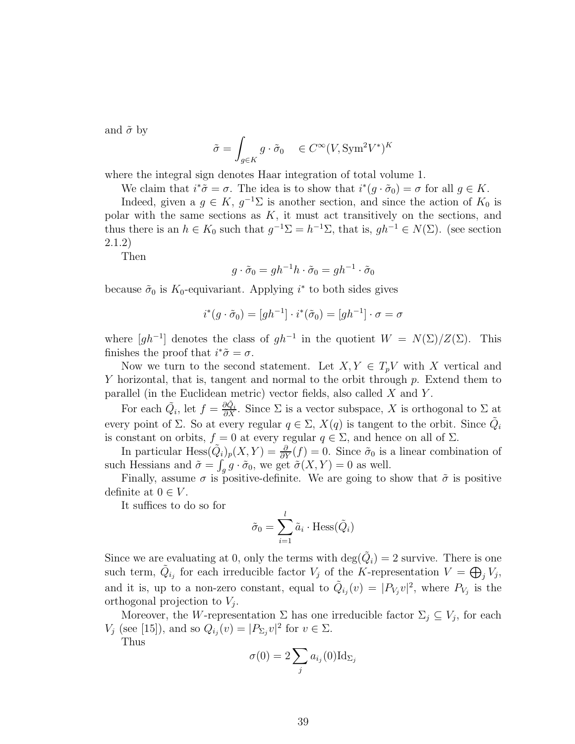and  $\tilde{\sigma}$  by

$$
\tilde{\sigma} = \int_{g \in K} g \cdot \tilde{\sigma}_0 \quad \in C^{\infty}(V, \text{Sym}^2 V^*)^K
$$

where the integral sign denotes Haar integration of total volume 1.

We claim that  $i^*\tilde{\sigma} = \sigma$ . The idea is to show that  $i^*(g \cdot \tilde{\sigma}_0) = \sigma$  for all  $g \in K$ .

Indeed, given a  $g \in K$ ,  $g^{-1} \Sigma$  is another section, and since the action of  $K_0$  is polar with the same sections as  $K$ , it must act transitively on the sections, and thus there is an  $h \in K_0$  such that  $g^{-1} \Sigma = h^{-1} \Sigma$ , that is,  $gh^{-1} \in N(\Sigma)$ . (see section [2.1.2\)](#page-13-0)

Then

$$
g \cdot \tilde{\sigma}_0 = gh^{-1}h \cdot \tilde{\sigma}_0 = gh^{-1} \cdot \tilde{\sigma}_0
$$

because  $\tilde{\sigma}_0$  is K<sub>0</sub>-equivariant. Applying  $i^*$  to both sides gives

$$
i^*(g \cdot \tilde{\sigma}_0) = [gh^{-1}] \cdot i^*(\tilde{\sigma}_0) = [gh^{-1}] \cdot \sigma = \sigma
$$

where  $[gh^{-1}]$  denotes the class of  $gh^{-1}$  in the quotient  $W = N(\Sigma)/Z(\Sigma)$ . This finishes the proof that  $i^*\tilde{\sigma} = \sigma$ .

Now we turn to the second statement. Let  $X, Y \in T_pV$  with X vertical and Y horizontal, that is, tangent and normal to the orbit through p. Extend them to parallel (in the Euclidean metric) vector fields, also called X and Y .

For each  $\tilde{Q}_i$ , let  $f = \frac{\partial \tilde{Q}_i}{\partial X}$ . Since  $\Sigma$  is a vector subspace, X is orthogonal to  $\Sigma$  at every point of  $\Sigma$ . So at every regular  $q \in \Sigma$ ,  $X(q)$  is tangent to the orbit. Since  $\tilde{Q}_i$ is constant on orbits,  $f = 0$  at every regular  $q \in \Sigma$ , and hence on all of  $\Sigma$ .

In particular  $Hess(\tilde{Q}_i)_p(X,Y) = \frac{\partial}{\partial Y}(f) = 0$ . Since  $\tilde{\sigma}_0$  is a linear combination of such Hessians and  $\tilde{\sigma} = \int_g g \cdot \tilde{\sigma}_0$ , we get  $\tilde{\sigma}(X, Y) = 0$  as well.

Finally, assume  $\sigma$  is positive-definite. We are going to show that  $\tilde{\sigma}$  is positive definite at  $0 \in V$ .

It suffices to do so for

$$
\tilde{\sigma}_0 = \sum_{i=1}^l \tilde{a}_i \cdot \text{Hess}(\tilde{Q}_i)
$$

Since we are evaluating at 0, only the terms with  $\text{deg}(\tilde{Q}_i) = 2$  survive. There is one such term,  $\tilde{Q}_{i_j}$  for each irreducible factor  $V_j$  of the K-representation  $V = \bigoplus_j V_j$ , and it is, up to a non-zero constant, equal to  $\tilde{Q}_{i_j}(v) = |P_{V_j}v|^2$ , where  $P_{V_j}$  is the orthogonal projection to  $V_j$ .

Moreover, the W-representation  $\Sigma$  has one irreducible factor  $\Sigma_j \subseteq V_j$ , for each  $V_j$  (see [\[15\]](#page-70-4)), and so  $Q_{i_j}(v) = |P_{\Sigma_j}v|^2$  for  $v \in \Sigma$ .

Thus

$$
\sigma(0) = 2 \sum_j a_{i_j}(0) \mathrm{Id}_{\Sigma_j}
$$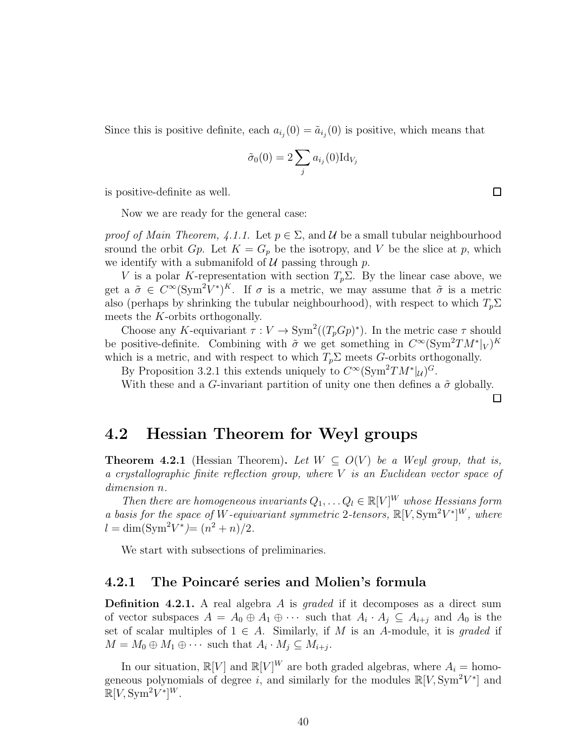Since this is positive definite, each  $a_{i_j}(0) = \tilde{a}_{i_j}(0)$  is positive, which means that

$$
\tilde{\sigma}_0(0) = 2 \sum_j a_{i_j}(0) \mathrm{Id}_{V_j}
$$

is positive-definite as well.

Now we are ready for the general case:

proof of Main Theorem, [4.1.1.](#page-43-0) Let  $p \in \Sigma$ , and U be a small tubular neighbourhood sround the orbit  $G_p$ . Let  $K = G_p$  be the isotropy, and V be the slice at p, which we identify with a submanifold of  $U$  passing through p.

V is a polar K-representation with section  $T_p\Sigma$ . By the linear case above, we get a  $\tilde{\sigma} \in C^{\infty}(\text{Sym}^2 V^*)^K$ . If  $\sigma$  is a metric, we may assume that  $\tilde{\sigma}$  is a metric also (perhaps by shrinking the tubular neighbourhood), with respect to which  $T_p\Sigma$ meets the K-orbits orthogonally.

Choose any K-equivariant  $\tau : V \to \text{Sym}^2((T_p G p)^*)$ . In the metric case  $\tau$  should be positive-definite. Combining with  $\tilde{\sigma}$  we get something in  $C^{\infty}(\text{Sym}^2 TM^*|_V)^K$ which is a metric, and with respect to which  $T_p\Sigma$  meets G-orbits orthogonally.

By Proposition [3.2.1](#page-26-0) this extends uniquely to  $C^{\infty}$ (Sym<sup>2</sup>TM<sup>\*</sup>|u)<sup>G</sup>.

With these and a G-invariant partition of unity one then defines a  $\tilde{\sigma}$  globally.

 $\Box$ 

# <span id="page-46-0"></span>4.2 Hessian Theorem for Weyl groups

**Theorem 4.2.1** (Hessian Theorem). Let  $W \subset O(V)$  be a Weyl group, that is, a crystallographic finite reflection group, where V is an Euclidean vector space of dimension n.

Then there are homogeneous invariants  $Q_1, \ldots Q_l \in \mathbb{R}[V]^W$  whose Hessians form a basis for the space of W-equivariant symmetric 2-tensors,  $\mathbb{R}[V, \text{Sym}^2 V^*]^W$ , where  $l = \dim(\text{Sym}^2 V^*) = (n^2 + n)/2.$ 

We start with subsections of preliminaries.

## 4.2.1 The Poincaré series and Molien's formula

**Definition 4.2.1.** A real algebra  $A$  is graded if it decomposes as a direct sum of vector subspaces  $A = A_0 \oplus A_1 \oplus \cdots$  such that  $A_i \cdot A_j \subseteq A_{i+j}$  and  $A_0$  is the set of scalar multiples of  $1 \in A$ . Similarly, if M is an A-module, it is *graded* if  $M = M_0 \oplus M_1 \oplus \cdots$  such that  $A_i \cdot M_j \subseteq M_{i+j}$ .

In our situation,  $\mathbb{R}[V]$  and  $\mathbb{R}[V]^W$  are both graded algebras, where  $A_i = \text{hom}$ geneous polynomials of degree i, and similarly for the modules  $\mathbb{R}[V, \text{Sym}^2 V^*]$  and  $\mathbb{R}[V, \text{Sym}^2 V^*]^W$ .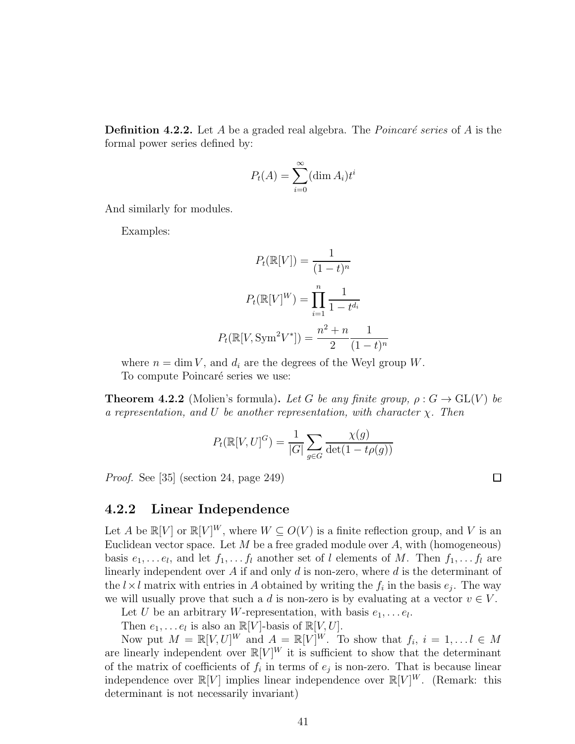**Definition 4.2.2.** Let A be a graded real algebra. The *Poincaré series* of A is the formal power series defined by:

$$
P_t(A) = \sum_{i=0}^{\infty} (\dim A_i)t^i
$$

And similarly for modules.

Examples:

$$
P_t(\mathbb{R}[V]) = \frac{1}{(1-t)^n}
$$

$$
P_t(\mathbb{R}[V]^W) = \prod_{i=1}^n \frac{1}{1-t^{d_i}}
$$

$$
P_t(\mathbb{R}[V, \text{Sym}^2 V^*]) = \frac{n^2 + n}{2} \frac{1}{(1-t)^n}
$$

where  $n = \dim V$ , and  $d_i$  are the degrees of the Weyl group W.

To compute Poincaré series we use:

<span id="page-47-0"></span>**Theorem 4.2.2** (Molien's formula). Let G be any finite group,  $\rho: G \to GL(V)$  be a representation, and U be another representation, with character  $\chi$ . Then

$$
P_t(\mathbb{R}[V,U]^G) = \frac{1}{|G|} \sum_{g \in G} \frac{\chi(g)}{\det(1 - t\rho(g))}
$$

Proof. See [\[35\]](#page-71-1) (section 24, page 249)

#### 4.2.2 Linear Independence

Let A be  $\mathbb{R}[V]$  or  $\mathbb{R}[V]^W$ , where  $W \subseteq O(V)$  is a finite reflection group, and V is an Euclidean vector space. Let  $M$  be a free graded module over  $A$ , with (homogeneous) basis  $e_1, \ldots e_l$ , and let  $f_1, \ldots f_l$  another set of l elements of M. Then  $f_1, \ldots f_l$  are linearly independent over A if and only  $d$  is non-zero, where  $d$  is the determinant of the  $l \times l$  matrix with entries in A obtained by writing the  $f_i$  in the basis  $e_j$ . The way we will usually prove that such a d is non-zero is by evaluating at a vector  $v \in V$ .

Let U be an arbitrary W-representation, with basis  $e_1, \ldots e_l$ .

Then  $e_1, \ldots e_l$  is also an  $\mathbb{R}[V]$ -basis of  $\mathbb{R}[V, U]$ .

Now put  $M = \mathbb{R}[V, U]^W$  and  $A = \mathbb{R}[V]^W$ . To show that  $f_i, i = 1, \ldots, l \in M$ are linearly independent over  $\mathbb{R}[V]^W$  it is sufficient to show that the determinant of the matrix of coefficients of  $f_i$  in terms of  $e_j$  is non-zero. That is because linear independence over  $\mathbb{R}[V]$  implies linear independence over  $\mathbb{R}[V]^W$ . (Remark: this determinant is not necessarily invariant)

□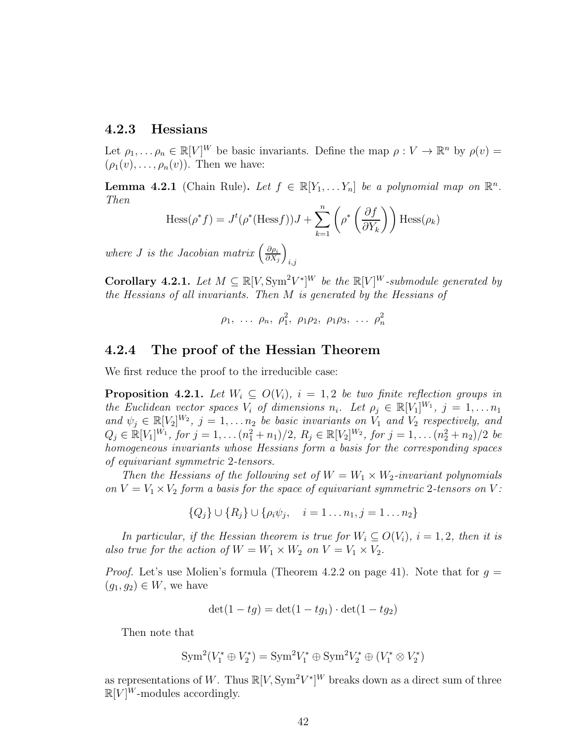## 4.2.3 Hessians

Let  $\rho_1, \ldots, \rho_n \in \mathbb{R}[V]^W$  be basic invariants. Define the map  $\rho: V \to \mathbb{R}^n$  by  $\rho(v) =$  $(\rho_1(v), \ldots, \rho_n(v))$ . Then we have:

**Lemma 4.2.1** (Chain Rule). Let  $f \in \mathbb{R}[Y_1, \ldots, Y_n]$  be a polynomial map on  $\mathbb{R}^n$ . Then

$$
\text{Hess}(\rho^* f) = J^t(\rho^*(\text{Hess} f))J + \sum_{k=1}^n \left(\rho^* \left(\frac{\partial f}{\partial Y_k}\right)\right) \text{Hess}(\rho_k)
$$

where *J* is the Jacobian matrix  $\left(\frac{\partial \rho_i}{\partial x}\right)$  $\partial X_j$  $\setminus$  $_{i,j}$ 

**Corollary 4.2.1.** Let  $M \subseteq \mathbb{R}[V, \text{Sym}^2 V^*]^W$  be the  $\mathbb{R}[V]^W$ -submodule generated by the Hessians of all invariants. Then M is generated by the Hessians of

$$
\rho_1, \ldots \rho_n, \rho_1^2, \rho_1 \rho_2, \rho_1 \rho_3, \ldots \rho_n^2
$$

### 4.2.4 The proof of the Hessian Theorem

We first reduce the proof to the irreducible case:

**Proposition 4.2.1.** Let  $W_i \subseteq O(V_i)$ ,  $i = 1, 2$  be two finite reflection groups in the Euclidean vector spaces  $V_i$  of dimensions  $n_i$ . Let  $\rho_j \in \mathbb{R}[V_1]^{W_1}$ ,  $j = 1, \ldots n_1$ and  $\psi_j \in \mathbb{R}[V_2]^{W_2}$ ,  $j = 1, \ldots n_2$  be basic invariants on  $V_1$  and  $V_2$  respectively, and  $Q_j \in \mathbb{R}[V_1]^{W_1}$ , for  $j = 1, \ldots (n_1^2 + n_1)/2$ ,  $R_j \in \mathbb{R}[V_2]^{W_2}$ , for  $j = 1, \ldots (n_2^2 + n_2)/2$  be homogeneous invariants whose Hessians form a basis for the corresponding spaces of equivariant symmetric 2-tensors.

Then the Hessians of the following set of  $W = W_1 \times W_2$ -invariant polynomials on  $V = V_1 \times V_2$  form a basis for the space of equivariant symmetric 2-tensors on V:

$$
\{Q_j\} \cup \{R_j\} \cup \{\rho_i \psi_j, \quad i = 1 \dots n_1, j = 1 \dots n_2\}
$$

In particular, if the Hessian theorem is true for  $W_i \subseteq O(V_i)$ ,  $i = 1, 2$ , then it is also true for the action of  $W = W_1 \times W_2$  on  $V = V_1 \times V_2$ .

*Proof.* Let's use Molien's formula (Theorem [4.2.2](#page-47-0) on page [41\)](#page-47-0). Note that for  $g =$  $(g_1, g_2) \in W$ , we have

$$
\det(1 - tg) = \det(1 - tg_1) \cdot \det(1 - tg_2)
$$

Then note that

$$
\text{Sym}^2(V_1^* \oplus V_2^*) = \text{Sym}^2 V_1^* \oplus \text{Sym}^2 V_2^* \oplus (V_1^* \otimes V_2^*)
$$

as representations of W. Thus  $\mathbb{R}[V, \text{Sym}^2 V^*]^W$  breaks down as a direct sum of three  $\mathbb{R}[V]^W$ -modules accordingly.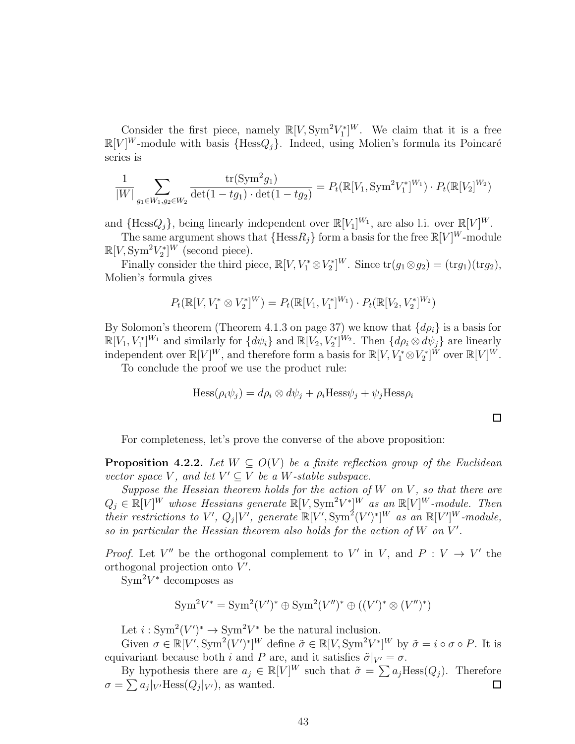Consider the first piece, namely  $\mathbb{R}[V, \text{Sym}^2 V_1^*]^W$ . We claim that it is a free  $\mathbb{R}[V]^W$ -module with basis  $\{\text{Hess}Q_j\}$ . Indeed, using Molien's formula its Poincaré series is

$$
\frac{1}{|W|} \sum_{g_1 \in W_1, g_2 \in W_2} \frac{\text{tr}(\text{Sym}^2 g_1)}{\det(1 - tg_1) \cdot \det(1 - tg_2)} = P_t(\mathbb{R}[V_1, \text{Sym}^2 V_1^*]^{W_1}) \cdot P_t(\mathbb{R}[V_2]^{W_2})
$$

and  $\{\text{Hess}Q_j\}$ , being linearly independent over  $\mathbb{R}[V_1]^{W_1}$ , are also l.i. over  $\mathbb{R}[V]^W$ .

The same argument shows that  $\{\text{Hess}_j\}$  form a basis for the free  $\mathbb{R}[V]^W$ -module  $\mathbb{R}[V, \text{Sym}^2 V_2^*]^W$  (second piece).

Finally consider the third piece,  $\mathbb{R}[V, V_1^* \otimes V_2^*]^W$ . Since  $\text{tr}(g_1 \otimes g_2) = (\text{tr}g_1)(\text{tr}g_2)$ , Molien's formula gives

$$
P_t(\mathbb{R}[V, V_1^* \otimes V_2^*]^W) = P_t(\mathbb{R}[V_1, V_1^*]^W) \cdot P_t(\mathbb{R}[V_2, V_2^*]^W)
$$

By Solomon's theorem (Theorem [4.1.3](#page-43-1) on page [37\)](#page-43-1) we know that  $\{d\rho_i\}$  is a basis for  $\mathbb{R}[V_1, V_1^*]^{W_1}$  and similarly for  $\{d\psi_i\}$  and  $\mathbb{R}[V_2, V_2^*]^{W_2}$ . Then  $\{d\rho_i \otimes d\psi_j\}$  are linearly independent over  $\mathbb{R}[V]^W$ , and therefore form a basis for  $\mathbb{R}[V, V^*_1 \otimes V^*_2]^W$  over  $\mathbb{R}[V]^W$ .

To conclude the proof we use the product rule:

$$
\text{Hess}(\rho_i \psi_j) = d\rho_i \otimes d\psi_j + \rho_i \text{Hess}\psi_j + \psi_j \text{Hess}\rho_i
$$

 $\Box$ 

For completeness, let's prove the converse of the above proposition:

<span id="page-49-0"></span>**Proposition 4.2.2.** Let  $W \subseteq O(V)$  be a finite reflection group of the Euclidean vector space V, and let  $V' \subseteq V$  be a W-stable subspace.

Suppose the Hessian theorem holds for the action of  $W$  on  $V$ , so that there are  $Q_j \in \mathbb{R}[V]^W$  whose Hessians generate  $\mathbb{R}[V, \text{Sym}^2 V^*]^W$  as an  $\mathbb{R}[V]^W$ -module. Then their restrictions to V',  $Q_j|V'$ , generate  $\mathbb{R}[V', \text{Sym}^2(V')^*]^W$  as an  $\mathbb{R}[V']^W$ -module, so in particular the Hessian theorem also holds for the action of  $W$  on  $V'$ .

*Proof.* Let V'' be the orthogonal complement to V' in V, and  $P: V \to V'$  the orthogonal projection onto  $V'$ .

 $\text{Sym}^2 V^*$  decomposes as

$$
Sym^2 V^* = Sym^2(V')^* \oplus Sym^2(V'')^* \oplus ((V')^* \otimes (V'')^*)
$$

Let  $i: Sym^2(V')^* \to Sym^2V^*$  be the natural inclusion.

Given  $\sigma \in \mathbb{R}[V', \text{Sym}^2(V')^*]^W$  define  $\tilde{\sigma} \in \mathbb{R}[V, \text{Sym}^2V^*]^W$  by  $\tilde{\sigma} = i \circ \sigma \circ P$ . It is equivariant because both i and P are, and it satisfies  $\tilde{\sigma}|_{V'} = \sigma$ .

By hypothesis there are  $a_j \in \mathbb{R}[V]^W$  such that  $\tilde{\sigma} = \sum a_j \text{Hess}(Q_j)$ . Therefore  $\sigma = \sum a_j |_{V'}\text{Hess}(Q_j|_{V'})$ , as wanted.  $\Box$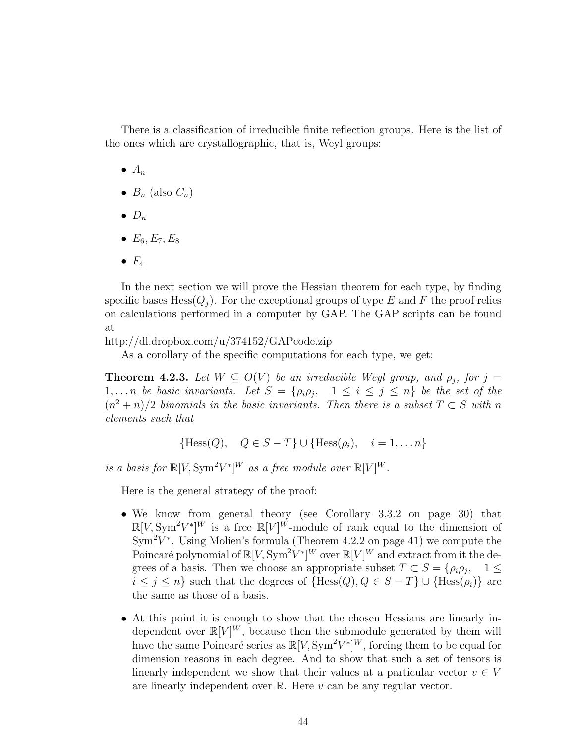There is a classification of irreducible finite reflection groups. Here is the list of the ones which are crystallographic, that is, Weyl groups:

- $\bullet$   $A_n$
- $B_n$  (also  $C_n$ )
- $\bullet$   $D_n$
- $E_6, E_7, E_8$
- $\bullet$   $F_4$

In the next section we will prove the Hessian theorem for each type, by finding specific bases Hess $(Q_i)$ . For the exceptional groups of type E and F the proof relies on calculations performed in a computer by GAP. The GAP scripts can be found at

<http://dl.dropbox.com/u/374152/GAPcode.zip>

As a corollary of the specific computations for each type, we get:

**Theorem 4.2.3.** Let  $W \subseteq O(V)$  be an irreducible Weyl group, and  $\rho_j$ , for  $j =$ 1,...n be basic invariants. Let  $S = \{\rho_i \rho_j, 1 \leq i \leq j \leq n\}$  be the set of the  $(n^2 + n)/2$  binomials in the basic invariants. Then there is a subset  $T \subset S$  with n elements such that

$$
{\text{Hess}(Q), \quad Q \in S - T} \cup {\text{Hess}(\rho_i), \quad i = 1, \dots n}
$$

is a basis for  $\mathbb{R}[V, \text{Sym}^2 V^*]^W$  as a free module over  $\mathbb{R}[V]^W$ .

Here is the general strategy of the proof:

- We know from general theory (see Corollary [3.3.2](#page-36-0) on page [30\)](#page-36-0) that  $\mathbb{R}[V, \text{Sym}^2 V^*]^W$  is a free  $\mathbb{R}[V]^W$ -module of rank equal to the dimension of  $\text{Sym}^2 V^*$ . Using Molien's formula (Theorem [4.2.2](#page-47-0) on page [41\)](#page-47-0) we compute the Poincaré polynomial of  $\mathbb{R}[V, \text{Sym}^2 V^*]^W$  over  $\mathbb{R}[V]^W$  and extract from it the degrees of a basis. Then we choose an appropriate subset  $T \subset S = \{\rho_i \rho_j, 1 \leq$  $i \leq j \leq n$  such that the degrees of  ${Hess(Q), Q \in S - T} \cup {Hess(\rho_i)}$  are the same as those of a basis.
- At this point it is enough to show that the chosen Hessians are linearly independent over  $\mathbb{R}[V]^W$ , because then the submodule generated by them will have the same Poincaré series as  $\mathbb{R}[V, \text{Sym}^2 V^*]^W$ , forcing them to be equal for dimension reasons in each degree. And to show that such a set of tensors is linearly independent we show that their values at a particular vector  $v \in V$ are linearly independent over  $\mathbb{R}$ . Here  $v$  can be any regular vector.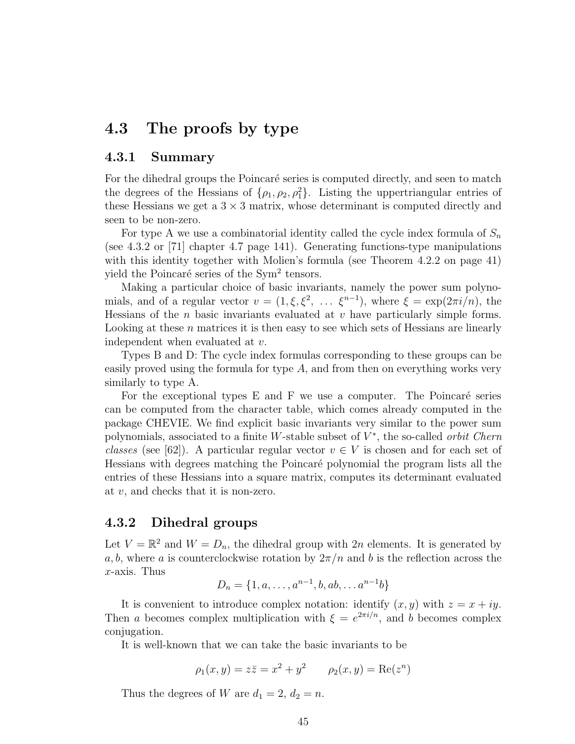# 4.3 The proofs by type

### 4.3.1 Summary

For the dihedral groups the Poincaré series is computed directly, and seen to match the degrees of the Hessians of  $\{\rho_1, \rho_2, \rho_1^2\}$ . Listing the uppertriangular entries of these Hessians we get a  $3 \times 3$  matrix, whose determinant is computed directly and seen to be non-zero.

For type A we use a combinatorial identity called the cycle index formula of  $S_n$ (see [4.3.2](#page-55-0) or [\[71\]](#page-74-0) chapter 4.7 page 141). Generating functions-type manipulations with this identity together with Molien's formula (see Theorem [4.2.2](#page-47-0) on page [41\)](#page-47-0) yield the Poincaré series of the Sym<sup>2</sup> tensors.

Making a particular choice of basic invariants, namely the power sum polynomials, and of a regular vector  $v = (1, \xi, \xi^2, \ldots, \xi^{n-1})$ , where  $\xi = \exp(2\pi i/n)$ , the Hessians of the  $n$  basic invariants evaluated at  $v$  have particularly simple forms. Looking at these *n* matrices it is then easy to see which sets of Hessians are linearly independent when evaluated at v.

Types B and D: The cycle index formulas corresponding to these groups can be easily proved using the formula for type  $A$ , and from then on everything works very similarly to type A.

For the exceptional types  $E$  and  $F$  we use a computer. The Poincaré series can be computed from the character table, which comes already computed in the package CHEVIE. We find explicit basic invariants very similar to the power sum polynomials, associated to a finite W-stable subset of  $V^*$ , the so-called *orbit Chern* classes (see [\[62\]](#page-73-1)). A particular regular vector  $v \in V$  is chosen and for each set of Hessians with degrees matching the Poincaré polynomial the program lists all the entries of these Hessians into a square matrix, computes its determinant evaluated at v, and checks that it is non-zero.

## 4.3.2 Dihedral groups

Let  $V = \mathbb{R}^2$  and  $W = D_n$ , the dihedral group with  $2n$  elements. It is generated by a, b, where a is counterclockwise rotation by  $2\pi/n$  and b is the reflection across the  $x$ -axis. Thus

$$
D_n = \{1, a, \dots, a^{n-1}, b, ab, \dots a^{n-1}b\}
$$

It is convenient to introduce complex notation: identify  $(x, y)$  with  $z = x + iy$ . Then a becomes complex multiplication with  $\xi = e^{2\pi i/n}$ , and b becomes complex conjugation.

It is well-known that we can take the basic invariants to be

$$
\rho_1(x, y) = z\overline{z} = x^2 + y^2
$$
  $\rho_2(x, y) = \text{Re}(z^n)$ 

Thus the degrees of W are  $d_1 = 2, d_2 = n$ .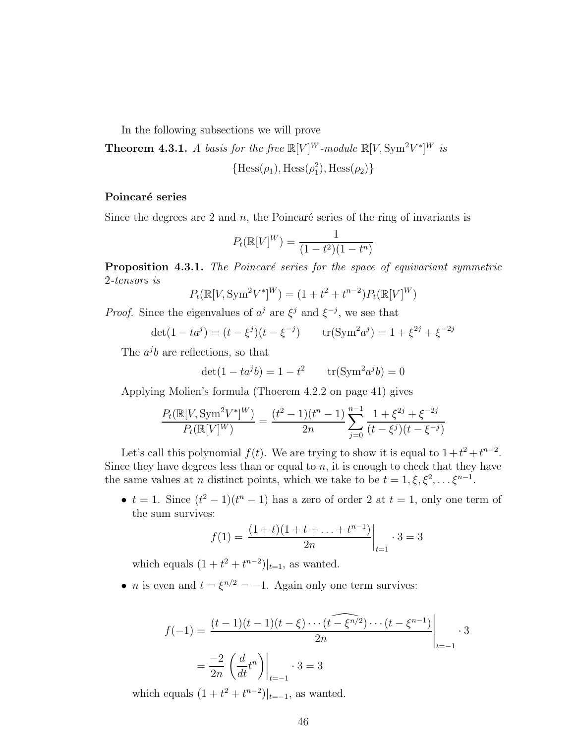In the following subsections we will prove

**Theorem 4.3.1.** A basis for the free  $\mathbb{R}[V]^W$ -module  $\mathbb{R}[V, \text{Sym}^2 V^*]^W$  is

 ${Hess(\rho_1), Hess(\rho_1^2), Hess(\rho_2)}$ 

#### Poincaré series

Since the degrees are 2 and  $n$ , the Poincaré series of the ring of invariants is

$$
P_t(\mathbb{R}[V]^W) = \frac{1}{(1 - t^2)(1 - t^n)}
$$

**Proposition 4.3.1.** The Poincaré series for the space of equivariant symmetric 2-tensors is

$$
P_t(\mathbb{R}[V, \text{Sym}^2 V^*]^W) = (1 + t^2 + t^{n-2}) P_t(\mathbb{R}[V]^W)
$$

*Proof.* Since the eigenvalues of  $a^j$  are  $\xi^j$  and  $\xi^{-j}$ , we see that

$$
\det(1 - ta^j) = (t - \xi^j)(t - \xi^{-j}) \qquad \text{tr}(\text{Sym}^2 a^j) = 1 + \xi^{2j} + \xi^{-2j}
$$

The  $a^j b$  are reflections, so that

$$
det(1 - ta^{j}b) = 1 - t^{2}
$$
  $tr(Sym^{2}a^{j}b) = 0$ 

Applying Molien's formula (Thoerem [4.2.2](#page-47-0) on page [41\)](#page-47-0) gives

$$
\frac{P_t(\mathbb{R}[V, \text{Sym}^2 V^*]^W)}{P_t(\mathbb{R}[V]^W)} = \frac{(t^2 - 1)(t^n - 1)}{2n} \sum_{j=0}^{n-1} \frac{1 + \xi^{2j} + \xi^{-2j}}{(t - \xi^j)(t - \xi^{-j})}
$$

Let's call this polynomial  $f(t)$ . We are trying to show it is equal to  $1+t^2+t^{n-2}$ . Since they have degrees less than or equal to  $n$ , it is enough to check that they have the same values at *n* distinct points, which we take to be  $t = 1, \xi, \xi^2, \dots, \xi^{n-1}$ .

•  $t = 1$ . Since  $(t^2 - 1)(t^n - 1)$  has a zero of order 2 at  $t = 1$ , only one term of the sum survives:

$$
f(1) = \frac{(1+t)(1+t+\ldots+t^{n-1})}{2n}\bigg|_{t=1} \cdot 3 = 3
$$

which equals  $(1 + t^2 + t^{n-2})|_{t=1}$ , as wanted.

• *n* is even and  $t = \xi^{n/2} = -1$ . Again only one term survives:

$$
f(-1) = \frac{(t-1)(t-1)(t-\xi)\cdots(t-\widehat{\xi^{n/2}})\cdots(t-\xi^{n-1})}{2n} \Big|_{t=-1} \cdot 3
$$
  
=  $\frac{-2}{2n} \left(\frac{d}{dt}t^{n}\right) \Big|_{t=-1} \cdot 3 = 3$ 

which equals  $(1 + t^2 + t^{n-2})|_{t=-1}$ , as wanted.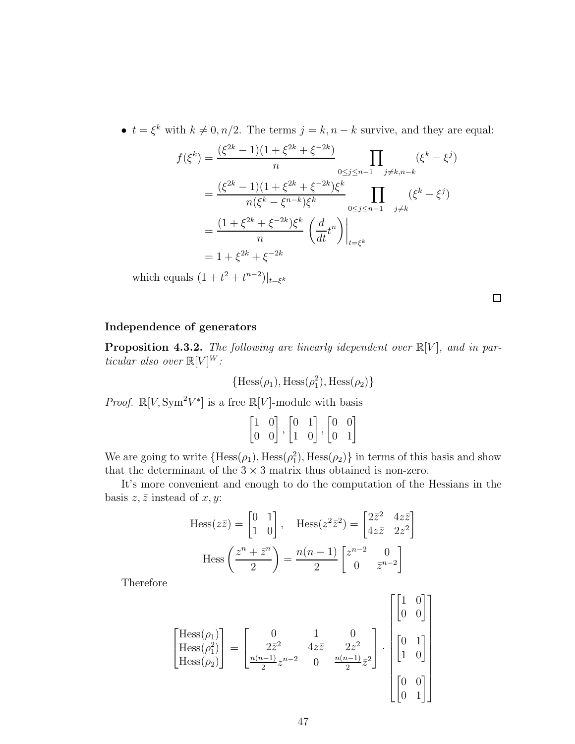•  $t = \xi^k$  with  $k \neq 0, n/2$ . The terms  $j = k, n - k$  survive, and they are equal:

$$
f(\xi^{k}) = \frac{(\xi^{2k} - 1)(1 + \xi^{2k} + \xi^{-2k})}{n} \prod_{0 \le j \le n-1} (\xi^{k} - \xi^{j})
$$
  
= 
$$
\frac{(\xi^{2k} - 1)(1 + \xi^{2k} + \xi^{-2k})\xi^{k}}{n(\xi^{k} - \xi^{n-k})\xi^{k}} \prod_{0 \le j \le n-1} (\xi^{k} - \xi^{j})
$$
  
= 
$$
\frac{(1 + \xi^{2k} + \xi^{-2k})\xi^{k}}{n} \left(\frac{d}{dt}t^{n}\right)\Big|_{t = \xi^{k}}
$$
  
= 
$$
1 + \xi^{2k} + \xi^{-2k}
$$

which equals  $(1 + t^2 + t^{n-2})|_{t=\xi^k}$ 

 $\Box$ 

#### Independence of generators

**Proposition 4.3.2.** The following are linearly idependent over  $\mathbb{R}[V]$ , and in particular also over  $R[V]^W$ :

 ${Hess(\rho_1), Hess(\rho_1^2), Hess(\rho_2)}$ 

*Proof.*  $\mathbb{R}[V, \text{Sym}^2 V^*]$  is a free  $\mathbb{R}[V]$ -module with basis

$$
\begin{bmatrix} 1 & 0 \\ 0 & 0 \end{bmatrix}, \begin{bmatrix} 0 & 1 \\ 1 & 0 \end{bmatrix}, \begin{bmatrix} 0 & 0 \\ 0 & 1 \end{bmatrix}
$$

We are going to write  ${Hess(\rho_1), Hess(\rho_1), Hess(\rho_2)}$  in terms of this basis and show that the determinant of the  $3 \times 3$  matrix thus obtained is non-zero.

It's more convenient and enough to do the computation of the Hessians in the basis  $z, \overline{z}$  instead of  $x, y$ :

$$
\text{Hess}(z\bar{z}) = \begin{bmatrix} 0 & 1 \\ 1 & 0 \end{bmatrix}, \quad \text{Hess}(z^2\bar{z}^2) = \begin{bmatrix} 2\bar{z}^2 & 4z\bar{z} \\ 4z\bar{z} & 2z^2 \end{bmatrix}
$$

$$
\text{Hess}\left(\frac{z^n + \bar{z}^n}{2}\right) = \frac{n(n-1)}{2} \begin{bmatrix} z^{n-2} & 0 \\ 0 & \bar{z}^{n-2} \end{bmatrix}
$$

Therefore

$$
\begin{bmatrix}\n\text{Hess}(\rho_1) \\
\text{Hess}(\rho_1^2) \\
\text{Hess}(\rho_2)\n\end{bmatrix} = \n\begin{bmatrix}\n0 & 1 & 0 \\
2\bar{z}^2 & 4z\bar{z} & 2z^2 \\
\frac{n(n-1)}{2}z^{n-2} & 0 & \frac{n(n-1)}{2}z^2\n\end{bmatrix} \cdot \n\begin{bmatrix}\n0 & 1 \\
0 & 0 \\
1 & 0 \\
0 & 1\n\end{bmatrix}
$$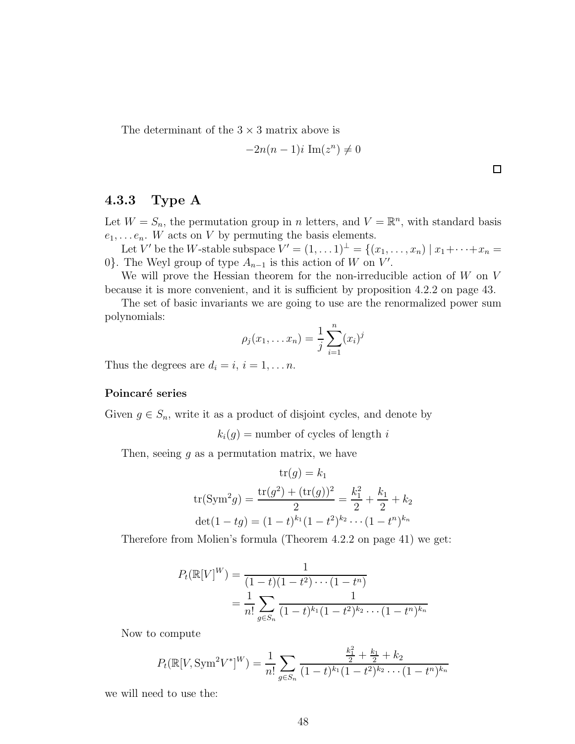The determinant of the  $3 \times 3$  matrix above is

$$
-2n(n-1)i \operatorname{Im}(z^n) \neq 0
$$

 $\Box$ 

# 4.3.3 Type A

Let  $W = S_n$ , the permutation group in n letters, and  $V = \mathbb{R}^n$ , with standard basis  $e_1, \ldots e_n$ . W acts on V by permuting the basis elements.

Let V' be the W-stable subspace  $V' = (1, \ldots 1)^{\perp} = \{(x_1, \ldots, x_n) \mid x_1 + \cdots + x_n =$ 0}. The Weyl group of type  $A_{n-1}$  is this action of W on V'.

We will prove the Hessian theorem for the non-irreducible action of  $W$  on  $V$ because it is more convenient, and it is sufficient by proposition [4.2.2](#page-49-0) on page [43.](#page-49-0)

The set of basic invariants we are going to use are the renormalized power sum polynomials:

$$
\rho_j(x_1,... x_n) = \frac{1}{j} \sum_{i=1}^n (x_i)^j
$$

Thus the degrees are  $d_i = i, i = 1, \ldots n$ .

#### Poincaré series

Given  $g \in S_n$ , write it as a product of disjoint cycles, and denote by

 $k_i(q)$  = number of cycles of length i

Then, seeing  $g$  as a permutation matrix, we have

$$
\operatorname{tr}(g) = k_1
$$
  
tr(Sym<sup>2</sup>g) =  $\frac{\operatorname{tr}(g^2) + (\operatorname{tr}(g))^2}{2} = \frac{k_1^2}{2} + \frac{k_1}{2} + k_2$   

$$
\operatorname{det}(1 - tg) = (1 - t)^{k_1}(1 - t^2)^{k_2} \cdots (1 - t^n)^{k_n}
$$

Therefore from Molien's formula (Theorem [4.2.2](#page-47-0) on page [41\)](#page-47-0) we get:

$$
P_t(\mathbb{R}[V]^W) = \frac{1}{(1-t)(1-t^2)\cdots(1-t^n)}
$$
  
= 
$$
\frac{1}{n!} \sum_{g \in S_n} \frac{1}{(1-t)^{k_1}(1-t^2)^{k_2}\cdots(1-t^n)^{k_n}}
$$

Now to compute

$$
P_t(\mathbb{R}[V, \text{Sym}^2 V^*]^W) = \frac{1}{n!} \sum_{g \in S_n} \frac{\frac{k_1^2}{2} + \frac{k_1}{2} + k_2}{(1 - t)^{k_1}(1 - t^2)^{k_2} \cdots (1 - t^n)^{k_n}}
$$

we will need to use the: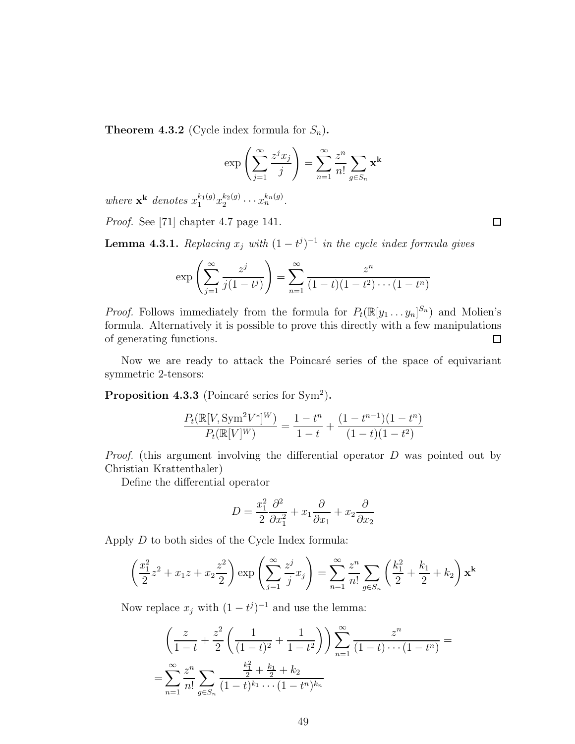<span id="page-55-0"></span>**Theorem 4.3.2** (Cycle index formula for  $S_n$ ).

$$
\exp\left(\sum_{j=1}^{\infty} \frac{z^j x_j}{j}\right) = \sum_{n=1}^{\infty} \frac{z^n}{n!} \sum_{g \in S_n} \mathbf{x}^{\mathbf{k}}
$$

where  $\mathbf{x}^{\mathbf{k}}$  denotes  $x_1^{k_1(g)} x_2^{k_2(g)}$  $\frac{k_2(g)}{2} \cdots x_n^{k_n(g)}$ .

Proof. See [\[71\]](#page-74-0) chapter 4.7 page 141.

**Lemma 4.3.1.** Replacing  $x_j$  with  $(1-t^j)^{-1}$  in the cycle index formula gives

$$
\exp\left(\sum_{j=1}^{\infty} \frac{z^j}{j(1-t^j)}\right) = \sum_{n=1}^{\infty} \frac{z^n}{(1-t)(1-t^2)\cdots(1-t^n)}
$$

*Proof.* Follows immediately from the formula for  $P_t(\mathbb{R}[y_1 \dots y_n]^{S_n})$  and Molien's formula. Alternatively it is possible to prove this directly with a few manipulations of generating functions.  $\Box$ 

Now we are ready to attack the Poincaré series of the space of equivariant symmetric 2-tensors:

Proposition 4.3.3 (Poincaré series for  $Sym<sup>2</sup>$ ).

$$
\frac{P_t(\mathbb{R}[V, \text{Sym}^2 V^*]^W)}{P_t(\mathbb{R}[V]^W)} = \frac{1 - t^n}{1 - t} + \frac{(1 - t^{n-1})(1 - t^n)}{(1 - t)(1 - t^2)}
$$

Proof. (this argument involving the differential operator D was pointed out by Christian Krattenthaler)

Define the differential operator

$$
D = \frac{x_1^2}{2} \frac{\partial^2}{\partial x_1^2} + x_1 \frac{\partial}{\partial x_1} + x_2 \frac{\partial}{\partial x_2}
$$

Apply D to both sides of the Cycle Index formula:

$$
\left(\frac{x_1^2}{2}z^2 + x_1z + x_2\frac{z^2}{2}\right) \exp\left(\sum_{j=1}^{\infty} \frac{z^j}{j}x_j\right) = \sum_{n=1}^{\infty} \frac{z^n}{n!} \sum_{g \in S_n} \left(\frac{k_1^2}{2} + \frac{k_1}{2} + k_2\right) \mathbf{x}^{\mathbf{k}}
$$

Now replace  $x_j$  with  $(1-t^j)^{-1}$  and use the lemma:

$$
\left(\frac{z}{1-t} + \frac{z^2}{2}\left(\frac{1}{(1-t)^2} + \frac{1}{1-t^2}\right)\right) \sum_{n=1}^{\infty} \frac{z^n}{(1-t)\cdots(1-t^n)} =
$$
  
= 
$$
\sum_{n=1}^{\infty} \frac{z^n}{n!} \sum_{g \in S_n} \frac{\frac{k_1^2}{2} + \frac{k_1}{2} + k_2}{(1-t)^{k_1} \cdots (1-t^n)^{k_n}}
$$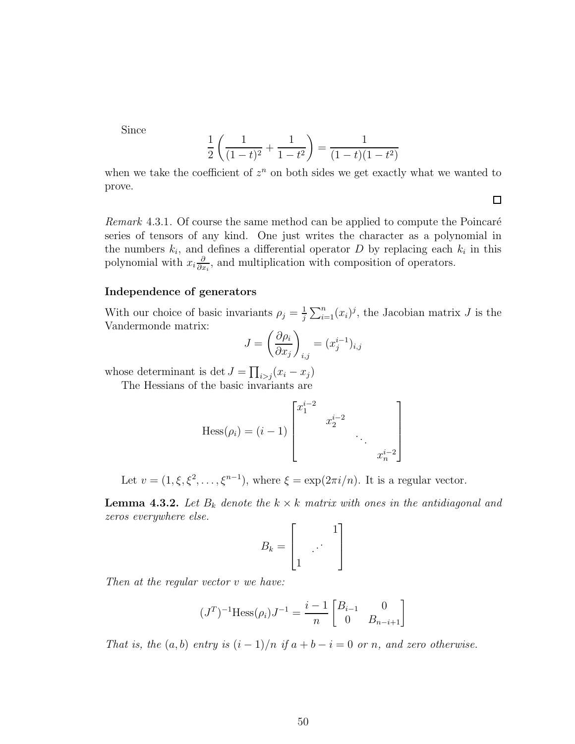Since

$$
\frac{1}{2}\left(\frac{1}{(1-t)^2} + \frac{1}{1-t^2}\right) = \frac{1}{(1-t)(1-t^2)}
$$

when we take the coefficient of  $z^n$  on both sides we get exactly what we wanted to prove.

Remark  $4.3.1$ . Of course the same method can be applied to compute the Poincaré series of tensors of any kind. One just writes the character as a polynomial in the numbers  $k_i$ , and defines a differential operator D by replacing each  $k_i$  in this polynomial with  $x_i \frac{\partial}{\partial x_i}$  $\frac{\partial}{\partial x_i}$ , and multiplication with composition of operators.

#### Independence of generators

With our choice of basic invariants  $\rho_j = \frac{1}{i}$  $\frac{1}{j}\sum_{i=1}^{n}(x_i)^j$ , the Jacobian matrix J is the Vandermonde matrix:

$$
J = \left(\frac{\partial \rho_i}{\partial x_j}\right)_{i,j} = (x_j^{i-1})_{i,j}
$$

whose determinant is det  $J = \prod_{i>j} (x_i - x_j)$ 

The Hessians of the basic invariants are

Hess
$$
(\rho_i)
$$
 =  $(i - 1)$  
$$
\begin{bmatrix} x_1^{i-2} & & & \\ & x_2^{i-2} & & \\ & & \ddots & \\ & & & x_n^{i-2} \end{bmatrix}
$$

Let  $v = (1, \xi, \xi^2, \dots, \xi^{n-1})$ , where  $\xi = \exp(2\pi i/n)$ . It is a regular vector.

<span id="page-56-0"></span>**Lemma 4.3.2.** Let  $B_k$  denote the  $k \times k$  matrix with ones in the antidiagonal and zeros everywhere else.

$$
B_k = \begin{bmatrix} 1 \\ \cdot & \cdot \\ 1 & \cdot \end{bmatrix}
$$

Then at the regular vector v we have:

$$
(JT)-1 Hess(\rho_i)J-1 = \frac{i-1}{n} \begin{bmatrix} B_{i-1} & 0\\ 0 & B_{n-i+1} \end{bmatrix}
$$

That is, the  $(a, b)$  entry is  $(i - 1)/n$  if  $a + b - i = 0$  or n, and zero otherwise.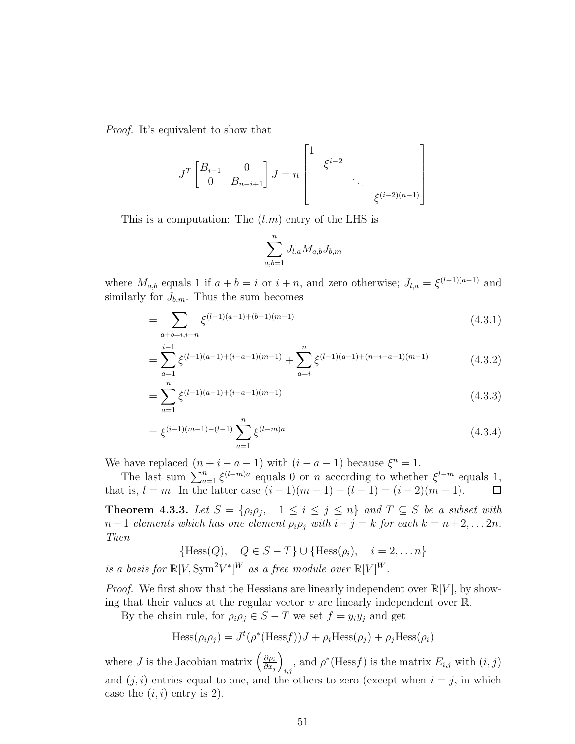Proof. It's equivalent to show that

$$
J^{T} \begin{bmatrix} B_{i-1} & 0 \\ 0 & B_{n-i+1} \end{bmatrix} J = n \begin{bmatrix} 1 & \xi^{i-2} \\ & \ddots & \\ & & \xi^{(i-2)(n-1)} \end{bmatrix}
$$

This is a computation: The  $(l.m)$  entry of the LHS is

$$
\sum_{a,b=1}^{n} J_{l,a} M_{a,b} J_{b,m}
$$

where  $M_{a,b}$  equals 1 if  $a + b = i$  or  $i + n$ , and zero otherwise;  $J_{l,a} = \xi^{(l-1)(a-1)}$  and similarly for  $J_{b,m}$ . Thus the sum becomes

$$
=\sum_{a+b=i,i+n} \xi^{(l-1)(a-1)+(b-1)(m-1)} \tag{4.3.1}
$$

$$
= \sum_{a=1}^{i-1} \xi^{(l-1)(a-1)+(i-a-1)(m-1)} + \sum_{a=i}^{n} \xi^{(l-1)(a-1)+(n+i-a-1)(m-1)}
$$
(4.3.2)

$$
=\sum_{a=1}^{n} \xi^{(l-1)(a-1)+(i-a-1)(m-1)}
$$
\n(4.3.3)

$$
= \xi^{(i-1)(m-1)-(l-1)} \sum_{a=1}^{n} \xi^{(l-m)a}
$$
\n(4.3.4)

We have replaced  $(n+i-a-1)$  with  $(i-a-1)$  because  $\xi^n = 1$ .

The last sum  $\sum_{a=1}^{n} \xi^{(l-m)a}$  equals 0 or n according to whether  $\xi^{l-m}$  equals 1, that is,  $l = m$ . In the latter case  $(i - 1)(m - 1) - (l - 1) = (i - 2)(m - 1)$ .  $\Box$ 

**Theorem 4.3.3.** Let  $S = \{\rho_i \rho_j, 1 \leq i \leq j \leq n\}$  and  $T \subseteq S$  be a subset with  $n-1$  elements which has one element  $\rho_i \rho_j$  with  $i+j=k$  for each  $k=n+2,\ldots 2n$ . Then

$$
\{\text{Hess}(Q), \quad Q \in S - T\} \cup \{\text{Hess}(\rho_i), \quad i = 2, \dots n\}
$$

is a basis for  $\mathbb{R}[V, \text{Sym}^2 V^*]^W$  as a free module over  $\mathbb{R}[V]^W$ .

*Proof.* We first show that the Hessians are linearly independent over  $\mathbb{R}[V]$ , by showing that their values at the regular vector  $v$  are linearly independent over  $\mathbb{R}$ .

By the chain rule, for  $\rho_i \rho_j \in S - T$  we set  $f = y_i y_j$  and get

$$
\text{Hess}(\rho_i \rho_j) = J^t(\rho^*(\text{Hess} f))J + \rho_i \text{Hess}(\rho_j) + \rho_j \text{Hess}(\rho_i)
$$

where *J* is the Jacobian matrix  $\left(\frac{\partial \rho_i}{\partial x_i}\right)$  $\partial x_j$  $\setminus$  $\sum_{i,j}$ , and  $\rho^*(\text{Hess} f)$  is the matrix  $E_{i,j}$  with  $(i, j)$ and  $(j, i)$  entries equal to one, and the others to zero (except when  $i = j$ , in which case the  $(i, i)$  entry is 2).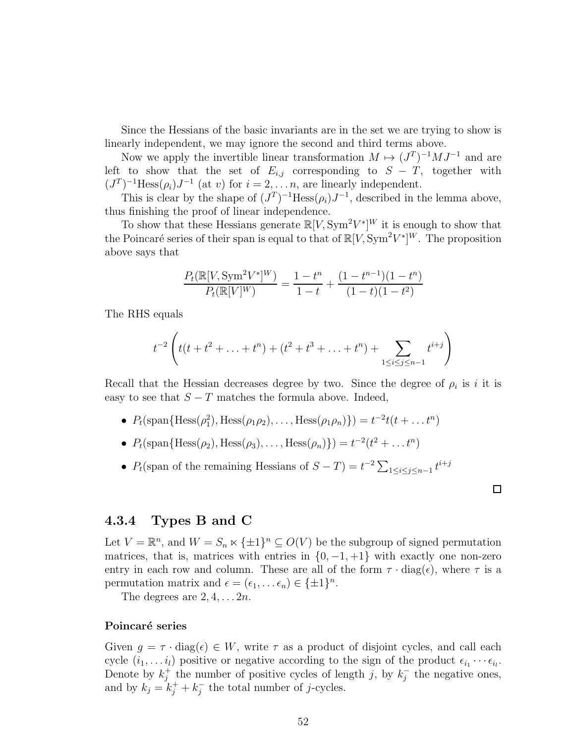Since the Hessians of the basic invariants are in the set we are trying to show is linearly independent, we may ignore the second and third terms above.

Now we apply the invertible linear transformation  $M \mapsto (J^T)^{-1}MJ^{-1}$  and are left to show that the set of  $E_{i,j}$  corresponding to  $S - T$ , together with  $(J<sup>T</sup>)<sup>-1</sup>$ Hess $(\rho_i)J<sup>-1</sup>$  (at v) for  $i = 2,... n$ , are linearly independent.

This is clear by the shape of  $(J^T)^{-1}$ Hess $(\rho_i)J^{-1}$ , described in the lemma above, thus finishing the proof of linear independence.

To show that these Hessians generate  $\mathbb{R}[V, \text{Sym}^2 V^*]^W$  it is enough to show that the Poincaré series of their span is equal to that of  $\mathbb{R}[V, \text{Sym}^2V^*]^W$ . The proposition above says that

$$
\frac{P_t(\mathbb{R}[V, \text{Sym}^2 V^*]^W)}{P_t(\mathbb{R}[V]^W)} = \frac{1 - t^n}{1 - t} + \frac{(1 - t^{n-1})(1 - t^n)}{(1 - t)(1 - t^2)}
$$

The RHS equals

$$
t^{-2}
$$
 $\left(t(t+t^{2}+\ldots+t^{n})+(t^{2}+t^{3}+\ldots+t^{n})+\sum_{1\leq i\leq j\leq n-1}t^{i+j}\right)$ 

Recall that the Hessian decreases degree by two. Since the degree of  $\rho_i$  is it is easy to see that  $S-T$  matches the formula above. Indeed,

- $P_t(\text{span}\{\text{Hess}(\rho_1^2), \text{Hess}(\rho_1 \rho_2), \dots, \text{Hess}(\rho_1 \rho_n)\}) = t^{-2}t(t + \dots t^n)$
- $P_t(\text{span}\{\text{Hess}(\rho_2), \text{Hess}(\rho_3), \dots, \text{Hess}(\rho_n)\}) = t^{-2}(t^2 + \dots t^n)$
- $P_t$ (span of the remaining Hessians of  $S T$ ) =  $t^{-2} \sum_{1 \le i \le j \le n-1} t^{i+j}$

## 4.3.4 Types B and C

Let  $V = \mathbb{R}^n$ , and  $W = S_n \ltimes {\pm 1}^n \subseteq O(V)$  be the subgroup of signed permutation matrices, that is, matrices with entries in  $\{0, -1, +1\}$  with exactly one non-zero entry in each row and column. These are all of the form  $\tau \cdot diag(\epsilon)$ , where  $\tau$  is a permutation matrix and  $\epsilon = (\epsilon_1, \dots \epsilon_n) \in {\{\pm 1\}}^n$ .

 $\Box$ 

The degrees are  $2, 4, \ldots 2n$ .

#### Poincaré series

Given  $g = \tau \cdot diag(\epsilon) \in W$ , write  $\tau$  as a product of disjoint cycles, and call each cycle  $(i_1, \ldots i_l)$  positive or negative according to the sign of the product  $\epsilon_{i_1} \cdots \epsilon_{i_l}$ . Denote by  $k_i^+$ <sup>+</sup> the number of positive cycles of length j, by  $k_j^ \overline{j}$  the negative ones, and by  $k_j = k_j^+ + k_j^-$  the total number of j-cycles.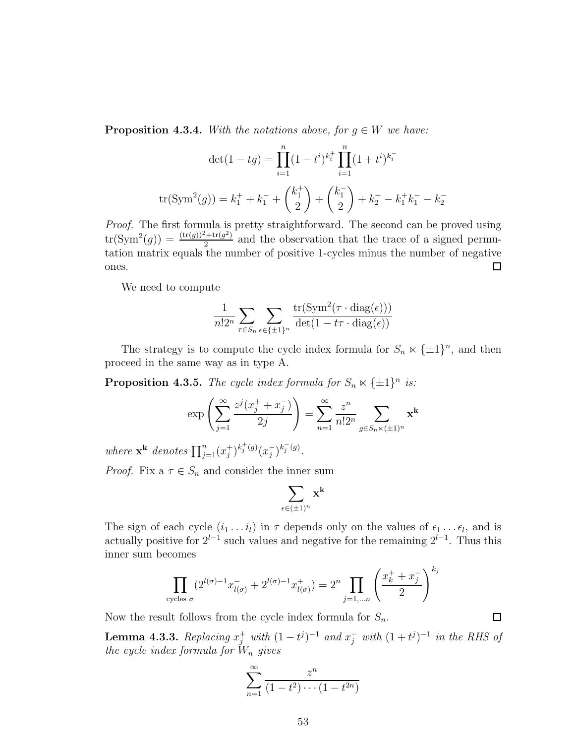**Proposition 4.3.4.** With the notations above, for  $g \in W$  we have:

$$
\det(1 - tg) = \prod_{i=1}^{n} (1 - t^i)^{k_i^+} \prod_{i=1}^{n} (1 + t^i)^{k_i^-}
$$

$$
\text{tr}(\text{Sym}^2(g)) = k_1^+ + k_1^- + {k_1^+ \choose 2} + {k_1^- \choose 2} + k_2^+ - k_1^+ k_1^- - k_2^-
$$

Proof. The first formula is pretty straightforward. The second can be proved using  $tr(Sym^{2}(g)) = \frac{(tr(g))^{2} + tr(g^{2})}{2}$  $\frac{2^{n+tr(g^2)}}{2}$  and the observation that the trace of a signed permutation matrix equals the number of positive 1-cycles minus the number of negative ones.  $\Box$ 

We need to compute

$$
\frac{1}{n!2^n} \sum_{\tau \in S_n} \sum_{\epsilon \in \{\pm 1\}^n} \frac{\text{tr}(\text{Sym}^2(\tau \cdot \text{diag}(\epsilon)))}{\text{det}(1 - t\tau \cdot \text{diag}(\epsilon))}
$$

The strategy is to compute the cycle index formula for  $S_n \ltimes {\pm 1}^n$ , and then proceed in the same way as in type A.

**Proposition 4.3.5.** The cycle index formula for  $S_n \ltimes {\pm 1}^n$  is:

$$
\exp\left(\sum_{j=1}^{\infty} \frac{z^j (x_j^+ + x_j^-)}{2j}\right) = \sum_{n=1}^{\infty} \frac{z^n}{n! 2^n} \sum_{g \in S_n \times (\pm 1)^n} \mathbf{x}^{\mathbf{k}}
$$

where  $\mathbf{x}^{\mathbf{k}}$  denotes  $\prod_{j=1}^{n}(x_j^+)$  $j^{(j)}(x_j^{-})$  $j^{-}\bigl( \int_0^{k^-_j(g)} ds \bigr)$ .

*Proof.* Fix  $a \tau \in S_n$  and consider the inner sum

$$
\sum_{\epsilon \in (\pm 1)^n} \mathbf{x}^{\mathbf{k}}
$$

The sign of each cycle  $(i_1 \ldots i_l)$  in  $\tau$  depends only on the values of  $\epsilon_1 \ldots \epsilon_l$ , and is actually positive for  $2^{l-1}$  such values and negative for the remaining  $2^{l-1}$ . Thus this inner sum becomes

$$
\prod_{\text{cycles } \sigma} (2^{l(\sigma)-1} x_{l(\sigma)}^- + 2^{l(\sigma)-1} x_{l(\sigma)}^+) = 2^n \prod_{j=1,\dots n} \left( \frac{x_k^+ + x_j^-}{2} \right)^{k_j}
$$

Now the result follows from the cycle index formula for  $S_n$ .

**Lemma 4.3.3.** Replacing  $x_j^+$  with  $(1-t^j)^{-1}$  and  $x_j^-$  with  $(1+t^j)^{-1}$  in the RHS of the cycle index formula for  $W_n$  gives

$$
\sum_{n=1}^{\infty} \frac{z^n}{(1-t^2)\cdots(1-t^{2n})}
$$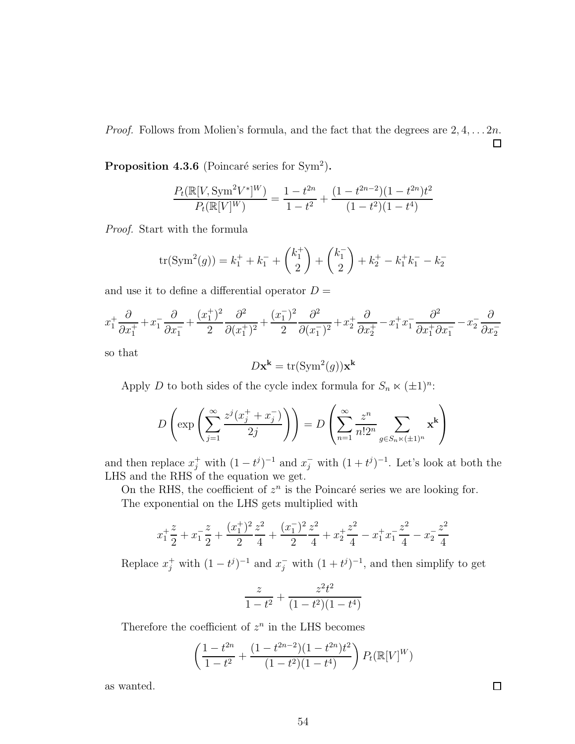*Proof.* Follows from Molien's formula, and the fact that the degrees are  $2, 4, \ldots, 2n$ . 口

**Proposition 4.3.6** (Poincaré series for Sym<sup>2</sup>).

$$
\frac{P_t(\mathbb{R}[V, \text{Sym}^2 V^*]^W)}{P_t(\mathbb{R}[V]^W)} = \frac{1 - t^{2n}}{1 - t^2} + \frac{(1 - t^{2n-2})(1 - t^{2n})t^2}{(1 - t^2)(1 - t^4)}
$$

Proof. Start with the formula

$$
\operatorname{tr}(\operatorname{Sym}^2(g)) = k_1^+ + k_1^- + \binom{k_1^+}{2} + \binom{k_1^-}{2} + k_2^+ - k_1^+k_1^- - k_2^-
$$

and use it to define a differential operator  $D =$ 

$$
x_1^+ \frac{\partial}{\partial x_1^+} + x_1^- \frac{\partial}{\partial x_1^-} + \frac{(x_1^+)^2}{2} \frac{\partial^2}{\partial (x_1^+)^2} + \frac{(x_1^-)^2}{2} \frac{\partial^2}{\partial (x_1^-)^2} + x_2^+ \frac{\partial}{\partial x_2^+} - x_1^+ x_1^- \frac{\partial^2}{\partial x_1^+ \partial x_1^-} - x_2^- \frac{\partial}{\partial x_2^-}
$$

so that

$$
D\mathbf{x}^{\mathbf{k}} = \text{tr}(\text{Sym}^2(g))\mathbf{x}^{\mathbf{k}}
$$

Apply D to both sides of the cycle index formula for  $S_n \ltimes (\pm 1)^n$ :

$$
D\left(\exp\left(\sum_{j=1}^{\infty}\frac{z^j(x_j^+ + x_j^-)}{2j}\right)\right) = D\left(\sum_{n=1}^{\infty}\frac{z^n}{n!2^n}\sum_{g\in S_n\ltimes(\pm 1)^n}\mathbf{x}^{\mathbf{k}}\right)
$$

and then replace  $x_j^+$  with  $(1-t^j)^{-1}$  and  $x_j^-$  with  $(1+t^j)^{-1}$ . Let's look at both the LHS and the RHS of the equation we get.

On the RHS, the coefficient of  $z^n$  is the Poincaré series we are looking for. The exponential on the LHS gets multiplied with

$$
x_1^2 + x_1^2 + x_1^2 + \frac{(x_1^2)^2}{2} \frac{z^2}{4} + \frac{(x_1^2)^2}{2} \frac{z^2}{4} + x_2^2 \frac{z^2}{4} - x_1^2 x_1^2 \frac{z^2}{4} - x_2^2 \frac{z^2}{4}
$$

Replace  $x_j^+$  with  $(1-t^j)^{-1}$  and  $x_j^-$  with  $(1+t^j)^{-1}$ , and then simplify to get

$$
\frac{z}{1-t^2} + \frac{z^2t^2}{(1-t^2)(1-t^4)}
$$

Therefore the coefficient of  $z^n$  in the LHS becomes

$$
\left(\frac{1-t^{2n}}{1-t^2} + \frac{(1-t^{2n-2})(1-t^{2n})t^2}{(1-t^2)(1-t^4)}\right)P_t(\mathbb{R}[V]^W)
$$

as wanted.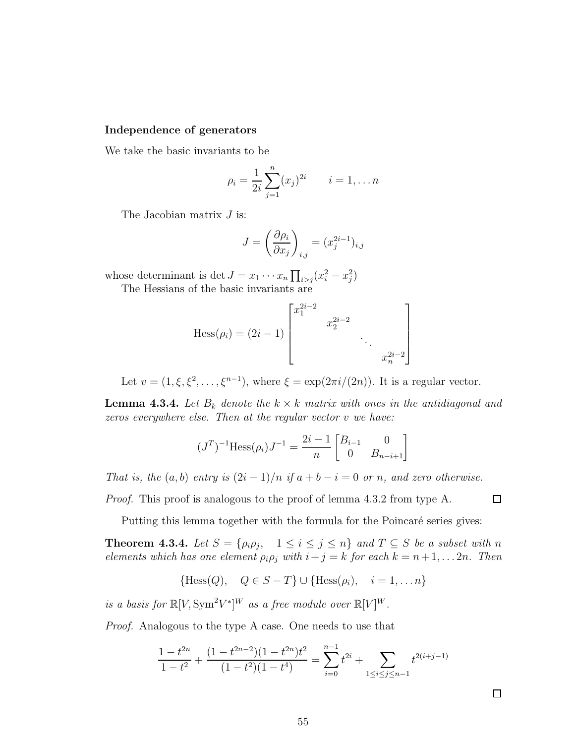#### Independence of generators

We take the basic invariants to be

$$
\rho_i = \frac{1}{2i} \sum_{j=1}^n (x_j)^{2i} \qquad i = 1, \dots n
$$

The Jacobian matrix *J* is:

$$
J = \left(\frac{\partial \rho_i}{\partial x_j}\right)_{i,j} = (x_j^{2i-1})_{i,j}
$$

whose determinant is det  $J = x_1 \cdots x_n \prod_{i > j} (x_i^2 - x_j^2)$ 

The Hessians of the basic invariants are

Hess
$$
(\rho_i)
$$
 =  $(2i - 1)$  
$$
\begin{bmatrix} x_1^{2i-2} & & & \\ & x_2^{2i-2} & & \\ & & \ddots & \\ & & & x_n^{2i-2} \end{bmatrix}
$$

Let  $v = (1, \xi, \xi^2, \dots, \xi^{n-1})$ , where  $\xi = \exp(2\pi i/(2n))$ . It is a regular vector.

**Lemma 4.3.4.** Let  $B_k$  denote the  $k \times k$  matrix with ones in the antidiagonal and zeros everywhere else. Then at the regular vector v we have:

$$
(JT)-1 Hess(\rho_i)J-1 = \frac{2i-1}{n} \begin{bmatrix} B_{i-1} & 0\\ 0 & B_{n-i+1} \end{bmatrix}
$$

That is, the  $(a, b)$  entry is  $(2i - 1)/n$  if  $a + b - i = 0$  or n, and zero otherwise.

Proof. This proof is analogous to the proof of lemma [4.3.2](#page-56-0) from type A.

Putting this lemma together with the formula for the Poincaré series gives:

**Theorem 4.3.4.** Let  $S = \{\rho_i \rho_j, 1 \leq i \leq j \leq n\}$  and  $T \subseteq S$  be a subset with n elements which has one element  $\rho_i \rho_j$  with  $i + j = k$  for each  $k = n + 1, \ldots 2n$ . Then

$$
{\text{Hess}(Q), \quad Q \in S - T} \cup {\text{Hess}(\rho_i), \quad i = 1, \dots n}
$$

is a basis for  $\mathbb{R}[V, \text{Sym}^2 V^*]^W$  as a free module over  $\mathbb{R}[V]^W$ .

Proof. Analogous to the type A case. One needs to use that

$$
\frac{1-t^{2n}}{1-t^2} + \frac{(1-t^{2n-2})(1-t^{2n})t^2}{(1-t^2)(1-t^4)} = \sum_{i=0}^{n-1} t^{2i} + \sum_{1 \le i \le j \le n-1} t^{2(i+j-1)}
$$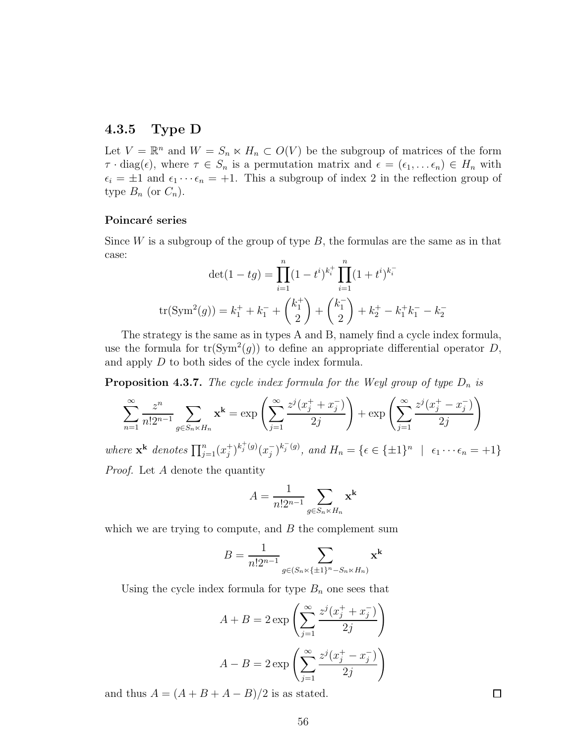## 4.3.5 Type D

Let  $V = \mathbb{R}^n$  and  $W = S_n \ltimes H_n \subset O(V)$  be the subgroup of matrices of the form  $\tau \cdot diag(\epsilon)$ , where  $\tau \in S_n$  is a permutation matrix and  $\epsilon = (\epsilon_1, \ldots \epsilon_n) \in H_n$  with  $\epsilon_i = \pm 1$  and  $\epsilon_1 \cdots \epsilon_n = +1$ . This a subgroup of index 2 in the reflection group of type  $B_n$  (or  $C_n$ ).

#### Poincaré series

Since  $W$  is a subgroup of the group of type  $B$ , the formulas are the same as in that case:

$$
\det(1 - tg) = \prod_{i=1}^{n} (1 - t^i)^{k_i^+} \prod_{i=1}^{n} (1 + t^i)^{k_i^-}
$$

$$
\text{tr}(\text{Sym}^2(g)) = k_1^+ + k_1^- + \binom{k_1^+}{2} + \binom{k_1^-}{2} + k_2^+ - k_1^+ k_1^- - k_2^-
$$

The strategy is the same as in types A and B, namely find a cycle index formula, use the formula for  $tr(Sym^2(g))$  to define an appropriate differential operator D, and apply D to both sides of the cycle index formula.

**Proposition 4.3.7.** The cycle index formula for the Weyl group of type  $D_n$  is

$$
\sum_{n=1}^{\infty} \frac{z^n}{n! 2^{n-1}} \sum_{g \in S_n \times H_n} \mathbf{x}^k = \exp\left(\sum_{j=1}^{\infty} \frac{z^j (x_j^+ + x_j^-)}{2j}\right) + \exp\left(\sum_{j=1}^{\infty} \frac{z^j (x_j^+ - x_j^-)}{2j}\right)
$$

where  $\mathbf{x}^{\mathbf{k}}$  denotes  $\prod_{j=1}^{n}(x_j^+)$  $j^{(+)k_j^{(+)}(g)}(x_j^-)$  $j^{(n)}(j^{(n)}, \text{ and } H_n = \{ \epsilon \in \{\pm 1\}^n \mid \epsilon_1 \cdots \epsilon_n = +1 \}$ Proof. Let A denote the quantity

$$
A = \frac{1}{n!2^{n-1}} \sum_{g \in S_n \times H_n} \mathbf{x}^{\mathbf{k}}
$$

which we are trying to compute, and  $B$  the complement sum

$$
B = \frac{1}{n!2^{n-1}} \sum_{g \in (S_n \ltimes \{\pm 1\}^n - S_n \ltimes H_n)} \mathbf{x}^{\mathbf{k}}
$$

Using the cycle index formula for type  $B_n$  one sees that

$$
A + B = 2 \exp\left(\sum_{j=1}^{\infty} \frac{z^j (x_j^+ + x_j^-)}{2j}\right)
$$

$$
A - B = 2 \exp\left(\sum_{j=1}^{\infty} \frac{z^j (x_j^+ - x_j^-)}{2j}\right)
$$

and thus  $A = (A + B + A - B)/2$  is as stated.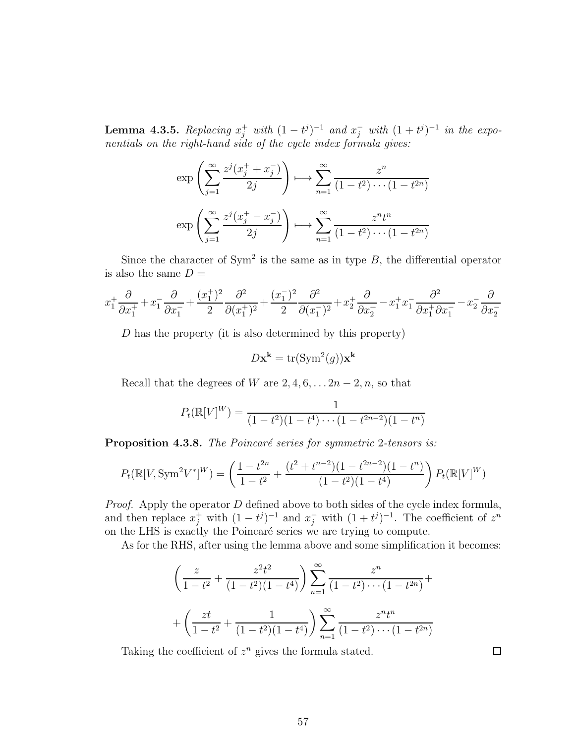**Lemma 4.3.5.** Replacing  $x_j^+$  with  $(1-t^j)^{-1}$  and  $x_j^-$  with  $(1+t^j)^{-1}$  in the exponentials on the right-hand side of the cycle index formula gives:

$$
\exp\left(\sum_{j=1}^{\infty} \frac{z^j (x_j^+ + x_j^-)}{2j}\right) \longmapsto \sum_{n=1}^{\infty} \frac{z^n}{(1 - t^2) \cdots (1 - t^{2n})}
$$

$$
\exp\left(\sum_{j=1}^{\infty} \frac{z^j (x_j^+ - x_j^-)}{2j}\right) \longmapsto \sum_{n=1}^{\infty} \frac{z^n t^n}{(1 - t^2) \cdots (1 - t^{2n})}
$$

Since the character of  $Sym^2$  is the same as in type  $B$ , the differential operator is also the same  $D =$ 

$$
x_1^+ \frac{\partial}{\partial x_1^+} + x_1^- \frac{\partial}{\partial x_1^-} + \frac{(x_1^+)^2}{2} \frac{\partial^2}{\partial (x_1^+)^2} + \frac{(x_1^-)^2}{2} \frac{\partial^2}{\partial (x_1^-)^2} + x_2^+ \frac{\partial}{\partial x_2^+} - x_1^+ x_1^- \frac{\partial^2}{\partial x_1^+ \partial x_1^-} - x_2^- \frac{\partial}{\partial x_2^-}
$$

D has the property (it is also determined by this property)

$$
D\mathbf{x}^{\mathbf{k}} = \text{tr}(\text{Sym}^2(g))\mathbf{x}^{\mathbf{k}}
$$

Recall that the degrees of W are  $2, 4, 6, \ldots 2n-2, n$ , so that

$$
P_t(\mathbb{R}[V]^W) = \frac{1}{(1-t^2)(1-t^4)\cdots(1-t^{2n-2})(1-t^n)}
$$

**Proposition 4.3.8.** The Poincaré series for symmetric 2-tensors is:

$$
P_t(\mathbb{R}[V, \text{Sym}^2 V^*]^W) = \left(\frac{1 - t^{2n}}{1 - t^2} + \frac{(t^2 + t^{n-2})(1 - t^{2n-2})(1 - t^n)}{(1 - t^2)(1 - t^4)}\right) P_t(\mathbb{R}[V]^W)
$$

*Proof.* Apply the operator  $D$  defined above to both sides of the cycle index formula, and then replace  $x_j^+$  with  $(1-t^j)^{-1}$  and  $x_j^-$  with  $(1+t^j)^{-1}$ . The coefficient of  $z^n$ on the LHS is exactly the Poincaré series we are trying to compute.

As for the RHS, after using the lemma above and some simplification it becomes:

$$
\left(\frac{z}{1-t^2} + \frac{z^2t^2}{(1-t^2)(1-t^4)}\right) \sum_{n=1}^{\infty} \frac{z^n}{(1-t^2)\cdots(1-t^{2n})} + \left(\frac{zt}{1-t^2} + \frac{1}{(1-t^2)(1-t^4)}\right) \sum_{n=1}^{\infty} \frac{z^n t^n}{(1-t^2)\cdots(1-t^{2n})}
$$

Taking the coefficient of  $z^n$  gives the formula stated.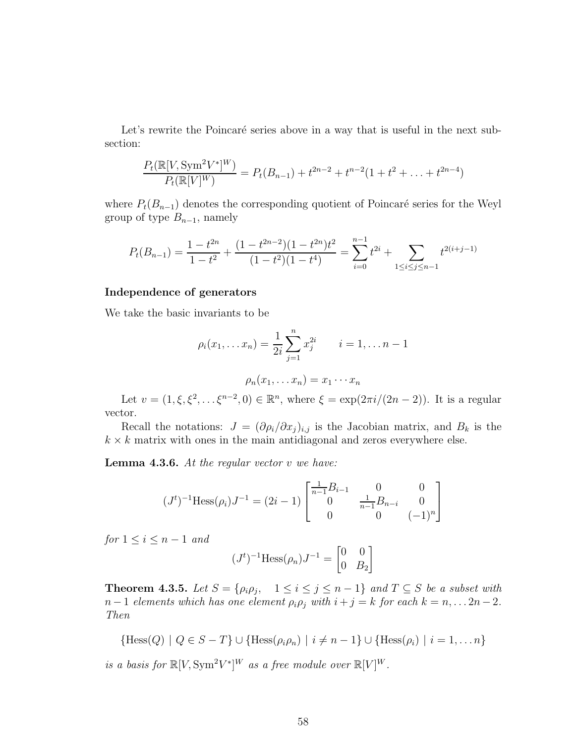Let's rewrite the Poincaré series above in a way that is useful in the next subsection:

$$
\frac{P_t(\mathbb{R}[V, \text{Sym}^2 V^*]^W)}{P_t(\mathbb{R}[V]^W)} = P_t(B_{n-1}) + t^{2n-2} + t^{n-2}(1 + t^2 + \dots + t^{2n-4})
$$

where  $P_t(B_{n-1})$  denotes the corresponding quotient of Poincaré series for the Weyl group of type  $B_{n-1}$ , namely

$$
P_t(B_{n-1}) = \frac{1 - t^{2n}}{1 - t^2} + \frac{(1 - t^{2n-2})(1 - t^{2n})t^2}{(1 - t^2)(1 - t^4)} = \sum_{i=0}^{n-1} t^{2i} + \sum_{1 \le i \le j \le n-1} t^{2(i+j-1)}
$$

#### Independence of generators

We take the basic invariants to be

$$
\rho_i(x_1, \dots x_n) = \frac{1}{2i} \sum_{j=1}^n x_j^{2i} \qquad i = 1, \dots n-1
$$

$$
\rho_n(x_1, \dots x_n) = x_1 \cdots x_n
$$

Let  $v = (1, \xi, \xi^2, \dots, \xi^{n-2}, 0) \in \mathbb{R}^n$ , where  $\xi = \exp(2\pi i/(2n-2))$ . It is a regular vector.

Recall the notations:  $J = (\partial \rho_i/\partial x_j)_{i,j}$  is the Jacobian matrix, and  $B_k$  is the  $k \times k$  matrix with ones in the main antidiagonal and zeros everywhere else.

**Lemma 4.3.6.** At the regular vector  $v$  we have:

$$
(Jt)-1 Hess(\rhoi)J-1 = (2i - 1) \begin{bmatrix} \frac{1}{n-1}B_{i-1} & 0 & 0\\ 0 & \frac{1}{n-1}B_{n-i} & 0\\ 0 & 0 & (-1)^{n} \end{bmatrix}
$$

 $for 1 \leq i \leq n-1$  and

$$
(Jt)-1 Hess(\rho_n)J-1 = \begin{bmatrix} 0 & 0 \\ 0 & B_2 \end{bmatrix}
$$

**Theorem 4.3.5.** Let  $S = \{\rho_i \rho_j, \quad 1 \leq i \leq j \leq n-1\}$  and  $T \subseteq S$  be a subset with  $n-1$  elements which has one element  $\rho_i \rho_j$  with  $i+j=k$  for each  $k=n,\ldots 2n-2$ . Then

$$
\{ \text{Hess}(Q) \mid Q \in S - T \} \cup \{ \text{Hess}(\rho_i \rho_n) \mid i \neq n - 1 \} \cup \{ \text{Hess}(\rho_i) \mid i = 1, \dots n \}
$$

is a basis for  $\mathbb{R}[V, \text{Sym}^2 V^*]^W$  as a free module over  $\mathbb{R}[V]^W$ .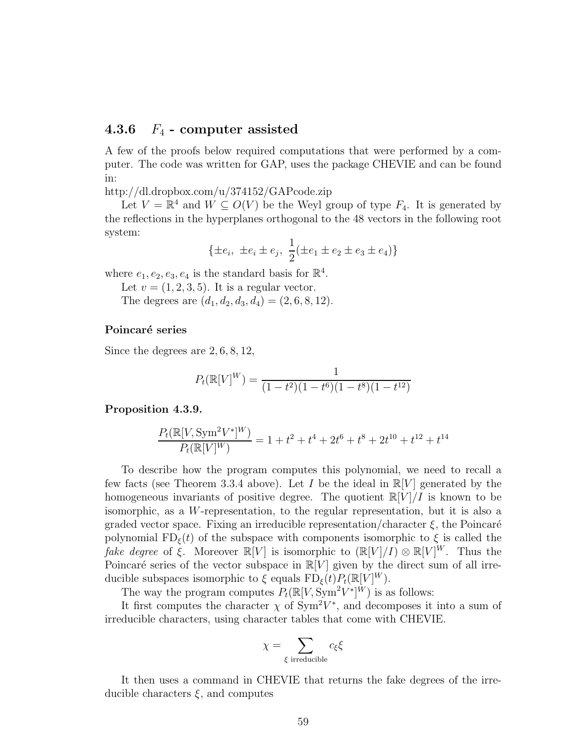## 4.3.6  $F_4$  - computer assisted

A few of the proofs below required computations that were performed by a computer. The code was written for GAP, uses the package CHEVIE and can be found in:

<http://dl.dropbox.com/u/374152/GAPcode.zip>

Let  $V = \mathbb{R}^4$  and  $W \subseteq O(V)$  be the Weyl group of type  $F_4$ . It is generated by the reflections in the hyperplanes orthogonal to the 48 vectors in the following root system:

$$
\{\pm e_i, \ \pm e_i \pm e_j, \ \frac{1}{2}(\pm e_1 \pm e_2 \pm e_3 \pm e_4)\}\
$$

where  $e_1, e_2, e_3, e_4$  is the standard basis for  $\mathbb{R}^4$ .

Let  $v = (1, 2, 3, 5)$ . It is a regular vector.

The degrees are  $(d_1, d_2, d_3, d_4) = (2, 6, 8, 12).$ 

#### Poincaré series

Since the degrees are 2, 6, 8, 12,

$$
P_t(\mathbb{R}[V]^W) = \frac{1}{(1-t^2)(1-t^6)(1-t^8)(1-t^{12})}
$$

#### Proposition 4.3.9.

$$
\frac{P_t(\mathbb{R}[V, \mathrm{Sym}^2 V^*]^W)}{P_t(\mathbb{R}[V]^W)} = 1 + t^2 + t^4 + 2t^6 + t^8 + 2t^{10} + t^{12} + t^{14}
$$

To describe how the program computes this polynomial, we need to recall a few facts (see Theorem [3.3.4](#page-37-0) above). Let I be the ideal in  $\mathbb{R}[V]$  generated by the homogeneous invariants of positive degree. The quotient  $\mathbb{R}[V]/I$  is known to be isomorphic, as a W-representation, to the regular representation, but it is also a graded vector space. Fixing an irreducible representation/character  $\xi$ , the Poincaré polynomial  $FD_{\xi}(t)$  of the subspace with components isomorphic to  $\xi$  is called the fake degree of  $\xi$ . Moreover  $\mathbb{R}[V]$  is isomorphic to  $(\mathbb{R}[V]/I) \otimes \mathbb{R}[V]^W$ . Thus the Poincaré series of the vector subspace in  $\mathbb{R}[V]$  given by the direct sum of all irreducible subspaces isomorphic to  $\xi$  equals  $\text{FD}_{\xi}(t)P_{t}(\mathbb{R}[V]^{W})$ .

The way the program computes  $P_t(\mathbb{R}[V, \text{Sym}^2 V^*]^W)$  is as follows:

It first computes the character  $\chi$  of Sym<sup>2</sup>V<sup>\*</sup>, and decomposes it into a sum of irreducible characters, using character tables that come with CHEVIE.

$$
\chi = \sum_{\xi \text{ irreducible}} c_{\xi} \xi
$$

It then uses a command in CHEVIE that returns the fake degrees of the irreducible characters  $\xi$ , and computes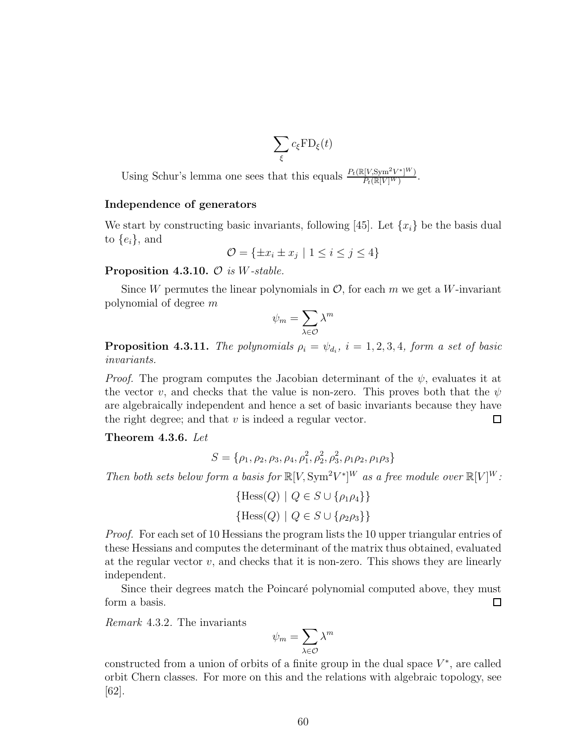$$
\sum_{\xi} c_{\xi} \text{FD}_{\xi}(t)
$$

Using Schur's lemma one sees that this equals  $\frac{P_t(\mathbb{R}[V, \text{Sym}^2 V^*]^W)}{P_t(\mathbb{R}[V]^W)}$  $\frac{P_t(V, Sym^-V^-)^{N}}{P_t(\mathbb{R}[V]^W)}$ .

#### Independence of generators

We start by constructing basic invariants, following [\[45\]](#page-72-6). Let  $\{x_i\}$  be the basis dual to  $\{e_i\}$ , and

$$
\mathcal{O} = \{ \pm x_i \pm x_j \mid 1 \le i \le j \le 4 \}
$$

#### **Proposition 4.3.10.**  $\mathcal{O}$  is *W*-stable.

Since W permutes the linear polynomials in  $\mathcal{O}$ , for each m we get a W-invariant polynomial of degree m

$$
\psi_m = \sum_{\lambda \in \mathcal{O}} \lambda^m
$$

**Proposition 4.3.11.** The polynomials  $\rho_i = \psi_{d_i}$ ,  $i = 1, 2, 3, 4$ , form a set of basic invariants.

*Proof.* The program computes the Jacobian determinant of the  $\psi$ , evaluates it at the vector v, and checks that the value is non-zero. This proves both that the  $\psi$ are algebraically independent and hence a set of basic invariants because they have the right degree; and that  $v$  is indeed a regular vector.  $\Box$ 

Theorem 4.3.6. Let

$$
S = \{\rho_1, \rho_2, \rho_3, \rho_4, \rho_1^2, \rho_2^2, \rho_3^2, \rho_1 \rho_2, \rho_1 \rho_3\}
$$

Then both sets below form a basis for  $\mathbb{R}[V, \text{Sym}^2 V^*]^W$  as a free module over  $\mathbb{R}[V]^W$ :

$$
\{\text{Hess}(Q) \mid Q \in S \cup \{\rho_1 \rho_4\}\}\
$$

$$
\{\text{Hess}(Q) \mid Q \in S \cup \{\rho_2 \rho_3\}\}\
$$

*Proof.* For each set of 10 Hessians the program lists the 10 upper triangular entries of these Hessians and computes the determinant of the matrix thus obtained, evaluated at the regular vector  $v$ , and checks that it is non-zero. This shows they are linearly independent.

Since their degrees match the Poincaré polynomial computed above, they must form a basis.  $\Box$ 

Remark 4.3.2. The invariants

$$
\psi_m = \sum_{\lambda \in \mathcal{O}} \lambda^m
$$

constructed from a union of orbits of a finite group in the dual space  $V^*$ , are called orbit Chern classes. For more on this and the relations with algebraic topology, see [\[62\]](#page-73-1).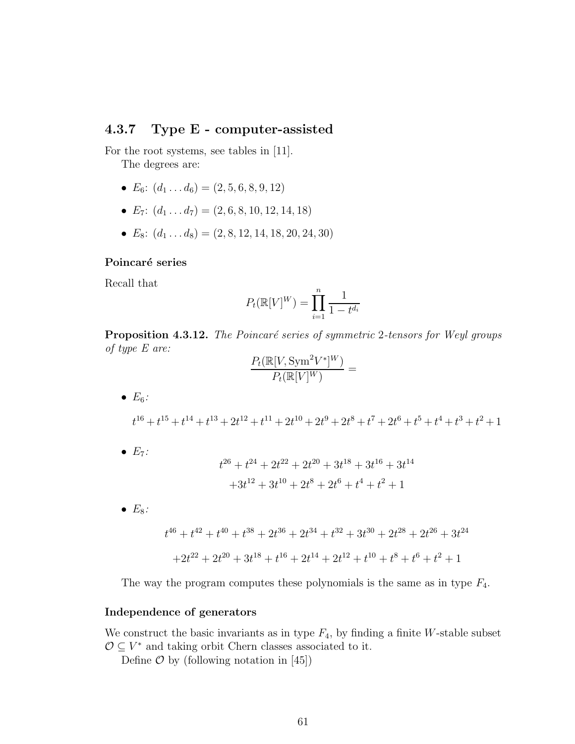## 4.3.7 Type E - computer-assisted

For the root systems, see tables in [\[11\]](#page-70-5).

The degrees are:

- $E_6$ :  $(d_1 \ldots d_6) = (2, 5, 6, 8, 9, 12)$
- $E_7$ :  $(d_1 \ldots d_7) = (2, 6, 8, 10, 12, 14, 18)$
- $E_8$ :  $(d_1 \dots d_8) = (2, 8, 12, 14, 18, 20, 24, 30)$

#### Poincaré series

Recall that

$$
P_t(\mathbb{R}[V]^W) = \prod_{i=1}^n \frac{1}{1 - t^{d_i}}
$$

Proposition 4.3.12. The Poincaré series of symmetric 2-tensors for Weyl groups of type E are:

$$
\frac{P_t(\mathbb{R}[V,\mathrm{Sym}^2V^*]^W)}{P_t(\mathbb{R}[V]^W)} =
$$

•  $E_6$ :

$$
t^{16} + t^{15} + t^{14} + t^{13} + 2t^{12} + t^{11} + 2t^{10} + 2t^9 + 2t^8 + t^7 + 2t^6 + t^5 + t^4 + t^3 + t^2 + 1
$$

 $\bullet$   $E_7$ :

$$
t^{26} + t^{24} + 2t^{22} + 2t^{20} + 3t^{18} + 3t^{16} + 3t^{14}
$$

$$
+3t^{12} + 3t^{10} + 2t^8 + 2t^6 + t^4 + t^2 + 1
$$

 $\bullet$   $E_8$ :

$$
t^{46} + t^{42} + t^{40} + t^{38} + 2t^{36} + 2t^{34} + t^{32} + 3t^{30} + 2t^{28} + 2t^{26} + 3t^{24}
$$

$$
+ 2t^{22} + 2t^{20} + 3t^{18} + t^{16} + 2t^{14} + 2t^{12} + t^{10} + t^8 + t^6 + t^2 + 1
$$

The way the program computes these polynomials is the same as in type  $F_4$ .

#### Independence of generators

We construct the basic invariants as in type  $F_4$ , by finding a finite W-stable subset  $\mathcal{O} \subseteq V^*$  and taking orbit Chern classes associated to it.

Define  $\mathcal O$  by (following notation in [\[45\]](#page-72-6))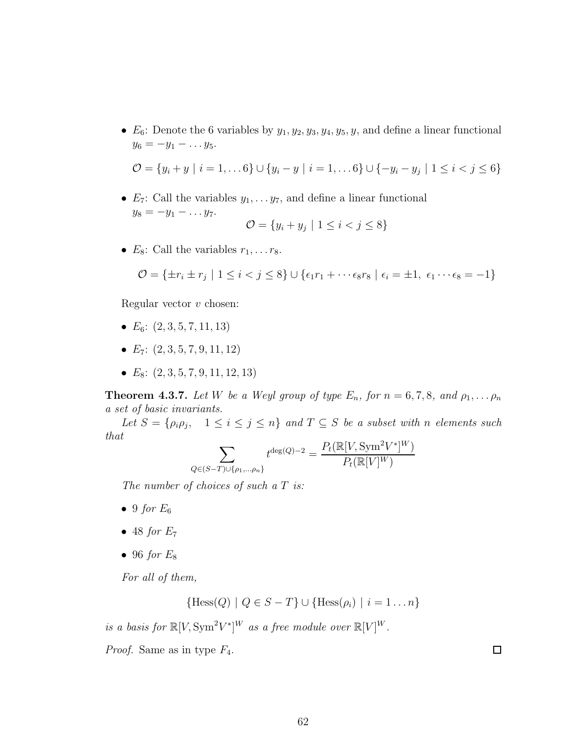•  $E_6$ : Denote the 6 variables by  $y_1, y_2, y_3, y_4, y_5, y$ , and define a linear functional  $y_6 = -y_1 - \ldots y_5$ .

$$
\mathcal{O} = \{y_i + y \mid i = 1, \dots 6\} \cup \{y_i - y \mid i = 1, \dots 6\} \cup \{-y_i - y_j \mid 1 \leq i < j \leq 6\}
$$

•  $E_7$ : Call the variables  $y_1, \ldots y_7$ , and define a linear functional  $y_8 = -y_1 - \ldots y_7.$  $\sigma = \begin{bmatrix} 1 & 1 & y \\ y & y & z \end{bmatrix}$ 

$$
\mathcal{O} = \{y_i + y_j \mid 1 \leq i < j \leq 8\}
$$

•  $E_8$ : Call the variables  $r_1, \ldots r_8$ .

$$
\mathcal{O} = \{ \pm r_i \pm r_j \mid 1 \leq i < j \leq 8 \} \cup \{ \epsilon_1 r_1 + \cdots + \epsilon_8 r_8 \mid \epsilon_i = \pm 1, \epsilon_1 \cdots \epsilon_8 = -1 \}
$$

Regular vector  $v$  chosen:

- $E_6$ :  $(2, 3, 5, 7, 11, 13)$
- $E_7$ :  $(2, 3, 5, 7, 9, 11, 12)$
- $E_8$ :  $(2, 3, 5, 7, 9, 11, 12, 13)$

**Theorem 4.3.7.** Let W be a Weyl group of type  $E_n$ , for  $n = 6, 7, 8$ , and  $\rho_1, \ldots, \rho_n$ a set of basic invariants.

Let  $S = \{\rho_i \rho_j, \quad 1 \leq i \leq j \leq n\}$  and  $T \subseteq S$  be a subset with n elements such that

$$
\sum_{Q \in (S-T) \cup \{\rho_1, \dots, \rho_n\}} t^{\deg(Q)-2} = \frac{P_t(\mathbb{R}[V, \text{Sym}^2 V^*]^W)}{P_t(\mathbb{R}[V]^W)}
$$

The number of choices of such a T is:

- 9 for  $E_6$
- $\bullet$  48 for  $E_7$
- 96 for  $E_8$

For all of them,

$$
{\rm Hess}(Q) | Q \in S - T} \cup {\rm Hess}(\rho_i) | i = 1 ... n
$$

is a basis for  $\mathbb{R}[V, \text{Sym}^2 V^*]^W$  as a free module over  $\mathbb{R}[V]^W$ .

*Proof.* Same as in type  $F_4$ .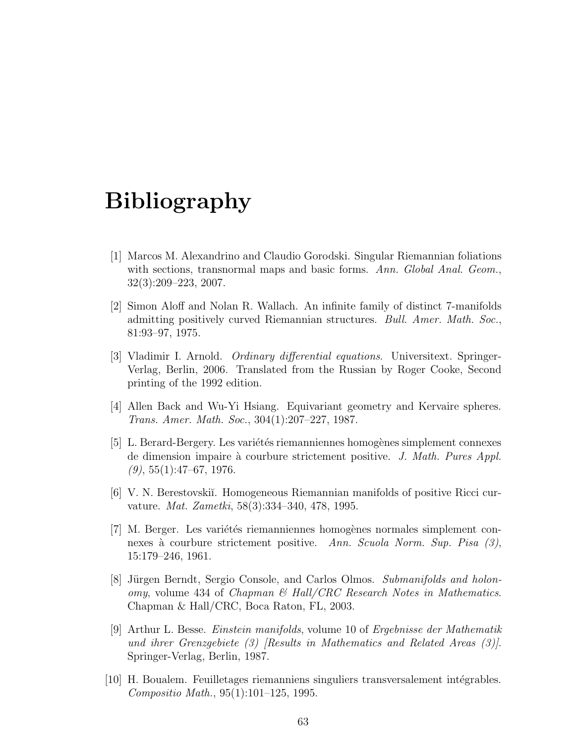# Bibliography

- [1] Marcos M. Alexandrino and Claudio Gorodski. Singular Riemannian foliations with sections, transnormal maps and basic forms. Ann. Global Anal. Geom., 32(3):209–223, 2007.
- [2] Simon Aloff and Nolan R. Wallach. An infinite family of distinct 7-manifolds admitting positively curved Riemannian structures. Bull. Amer. Math. Soc., 81:93–97, 1975.
- [3] Vladimir I. Arnold. Ordinary differential equations. Universitext. Springer-Verlag, Berlin, 2006. Translated from the Russian by Roger Cooke, Second printing of the 1992 edition.
- [4] Allen Back and Wu-Yi Hsiang. Equivariant geometry and Kervaire spheres. Trans. Amer. Math. Soc., 304(1):207–227, 1987.
- [5] L. Berard-Bergery. Les variétés riemanniennes homogènes simplement connexes de dimension impaire à courbure strictement positive. J. Math. Pures Appl.  $(9)$ , 55 $(1)$ :47–67, 1976.
- [6] V. N. Berestovski˘ı. Homogeneous Riemannian manifolds of positive Ricci curvature. Mat. Zametki, 58(3):334–340, 478, 1995.
- [7] M. Berger. Les variétés riemanniennes homogènes normales simplement connexes à courbure strictement positive. Ann. Scuola Norm. Sup. Pisa  $(3)$ , 15:179–246, 1961.
- [8] Jürgen Berndt, Sergio Console, and Carlos Olmos. Submanifolds and holonomy, volume 434 of Chapman & Hall/CRC Research Notes in Mathematics. Chapman & Hall/CRC, Boca Raton, FL, 2003.
- [9] Arthur L. Besse. Einstein manifolds, volume 10 of Ergebnisse der Mathematik und ihrer Grenzgebiete (3) [Results in Mathematics and Related Areas (3)]. Springer-Verlag, Berlin, 1987.
- [10] H. Boualem. Feuilletages riemanniens singuliers transversalement intégrables. Compositio Math., 95(1):101–125, 1995.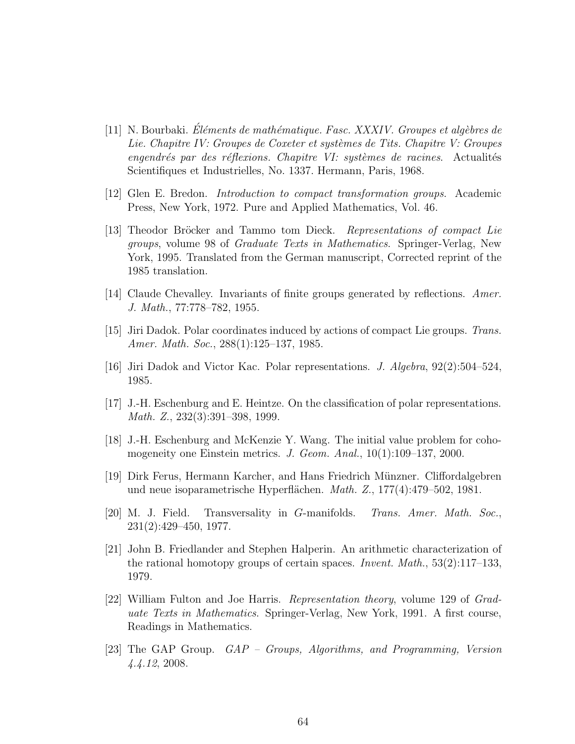- <span id="page-70-5"></span> $[11]$  N. Bourbaki. Éléments de mathématique. Fasc. XXXIV. Groupes et algèbres de Lie. Chapitre IV: Groupes de Coxeter et systèmes de Tits. Chapitre V: Groupes  $e$ ngendrés par des réflexions. Chapitre VI: systèmes de racines. Actualités Scientifiques et Industrielles, No. 1337. Hermann, Paris, 1968.
- <span id="page-70-0"></span>[12] Glen E. Bredon. Introduction to compact transformation groups. Academic Press, New York, 1972. Pure and Applied Mathematics, Vol. 46.
- [13] Theodor Bröcker and Tammo tom Dieck. Representations of compact Lie groups, volume 98 of Graduate Texts in Mathematics. Springer-Verlag, New York, 1995. Translated from the German manuscript, Corrected reprint of the 1985 translation.
- <span id="page-70-4"></span><span id="page-70-1"></span>[14] Claude Chevalley. Invariants of finite groups generated by reflections. Amer. J. Math., 77:778–782, 1955.
- [15] Jiri Dadok. Polar coordinates induced by actions of compact Lie groups. Trans. Amer. Math. Soc., 288(1):125–137, 1985.
- [16] Jiri Dadok and Victor Kac. Polar representations. J. Algebra, 92(2):504–524, 1985.
- [17] J.-H. Eschenburg and E. Heintze. On the classification of polar representations. Math. Z., 232(3):391–398, 1999.
- [18] J.-H. Eschenburg and McKenzie Y. Wang. The initial value problem for cohomogeneity one Einstein metrics. J. Geom. Anal., 10(1):109–137, 2000.
- [19] Dirk Ferus, Hermann Karcher, and Hans Friedrich M¨unzner. Cliffordalgebren und neue isoparametrische Hyperflächen.  $Math. Z., 177(4):479-502, 1981.$
- <span id="page-70-2"></span>[20] M. J. Field. Transversality in G-manifolds. Trans. Amer. Math. Soc., 231(2):429–450, 1977.
- [21] John B. Friedlander and Stephen Halperin. An arithmetic characterization of the rational homotopy groups of certain spaces. Invent. Math., 53(2):117–133, 1979.
- <span id="page-70-3"></span>[22] William Fulton and Joe Harris. Representation theory, volume 129 of Graduate Texts in Mathematics. Springer-Verlag, New York, 1991. A first course, Readings in Mathematics.
- [23] The GAP Group. GAP Groups, Algorithms, and Programming, Version 4.4.12, 2008.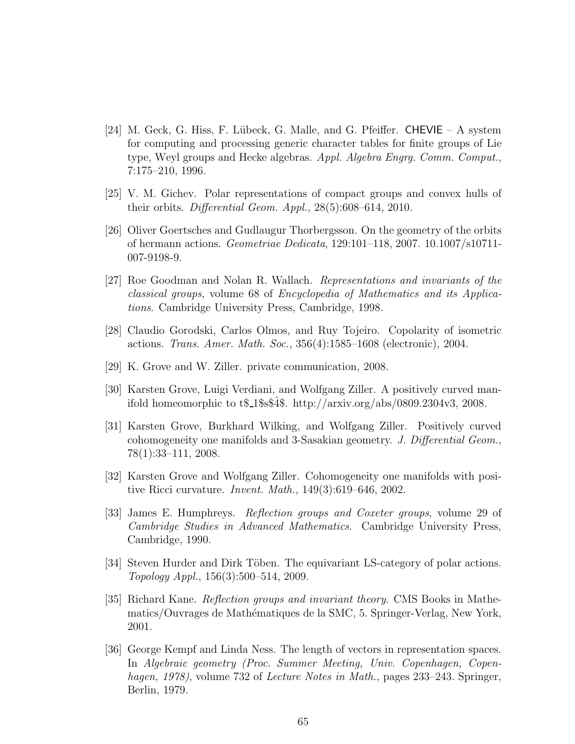- [24] M. Geck, G. Hiss, F. Lübeck, G. Malle, and G. Pfeiffer. CHEVIE A system for computing and processing generic character tables for finite groups of Lie type, Weyl groups and Hecke algebras. Appl. Algebra Engrg. Comm. Comput., 7:175–210, 1996.
- [25] V. M. Gichev. Polar representations of compact groups and convex hulls of their orbits. Differential Geom. Appl., 28(5):608–614, 2010.
- [26] Oliver Goertsches and Gudlaugur Thorbergsson. On the geometry of the orbits of hermann actions. Geometriae Dedicata, 129:101–118, 2007. 10.1007/s10711- 007-9198-9.
- <span id="page-71-0"></span>[27] Roe Goodman and Nolan R. Wallach. Representations and invariants of the classical groups, volume 68 of Encyclopedia of Mathematics and its Applications. Cambridge University Press, Cambridge, 1998.
- [28] Claudio Gorodski, Carlos Olmos, and Ruy Tojeiro. Copolarity of isometric actions. Trans. Amer. Math. Soc., 356(4):1585–1608 (electronic), 2004.
- [29] K. Grove and W. Ziller. private communication, 2008.
- [30] Karsten Grove, Luigi Verdiani, and Wolfgang Ziller. A positively curved manifold homeomorphic to  $t\$  1\\$s\$4\$. http://arxiv.org/abs/0809.2304v3, 2008.
- [31] Karsten Grove, Burkhard Wilking, and Wolfgang Ziller. Positively curved cohomogeneity one manifolds and 3-Sasakian geometry. J. Differential Geom., 78(1):33–111, 2008.
- [32] Karsten Grove and Wolfgang Ziller. Cohomogeneity one manifolds with positive Ricci curvature. Invent. Math., 149(3):619–646, 2002.
- [33] James E. Humphreys. Reflection groups and Coxeter groups, volume 29 of Cambridge Studies in Advanced Mathematics. Cambridge University Press, Cambridge, 1990.
- [34] Steven Hurder and Dirk Töben. The equivariant LS-category of polar actions. Topology Appl., 156(3):500–514, 2009.
- <span id="page-71-1"></span>[35] Richard Kane. Reflection groups and invariant theory. CMS Books in Mathematics/Ouvrages de Mathématiques de la SMC, 5. Springer-Verlag, New York, 2001.
- [36] George Kempf and Linda Ness. The length of vectors in representation spaces. In Algebraic geometry (Proc. Summer Meeting, Univ. Copenhagen, Copenhagen, 1978), volume 732 of Lecture Notes in Math., pages 233–243. Springer, Berlin, 1979.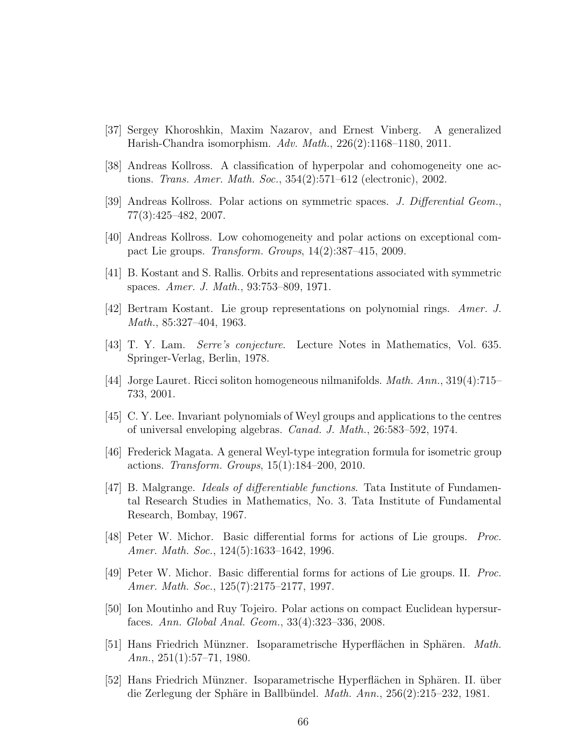- [37] Sergey Khoroshkin, Maxim Nazarov, and Ernest Vinberg. A generalized Harish-Chandra isomorphism. Adv. Math., 226(2):1168–1180, 2011.
- [38] Andreas Kollross. A classification of hyperpolar and cohomogeneity one actions. Trans. Amer. Math. Soc., 354(2):571–612 (electronic), 2002.
- [39] Andreas Kollross. Polar actions on symmetric spaces. J. Differential Geom., 77(3):425–482, 2007.
- [40] Andreas Kollross. Low cohomogeneity and polar actions on exceptional compact Lie groups. Transform. Groups, 14(2):387–415, 2009.
- [41] B. Kostant and S. Rallis. Orbits and representations associated with symmetric spaces. Amer. J. Math., 93:753–809, 1971.
- [42] Bertram Kostant. Lie group representations on polynomial rings. Amer. J. Math., 85:327–404, 1963.
- [43] T. Y. Lam. Serre's conjecture. Lecture Notes in Mathematics, Vol. 635. Springer-Verlag, Berlin, 1978.
- [44] Jorge Lauret. Ricci soliton homogeneous nilmanifolds. *Math. Ann.*, 319(4):715– 733, 2001.
- [45] C. Y. Lee. Invariant polynomials of Weyl groups and applications to the centres of universal enveloping algebras. Canad. J. Math., 26:583–592, 1974.
- [46] Frederick Magata. A general Weyl-type integration formula for isometric group actions. Transform. Groups, 15(1):184–200, 2010.
- [47] B. Malgrange. Ideals of differentiable functions. Tata Institute of Fundamental Research Studies in Mathematics, No. 3. Tata Institute of Fundamental Research, Bombay, 1967.
- [48] Peter W. Michor. Basic differential forms for actions of Lie groups. Proc. Amer. Math. Soc., 124(5):1633–1642, 1996.
- [49] Peter W. Michor. Basic differential forms for actions of Lie groups. II. Proc. Amer. Math. Soc., 125(7):2175–2177, 1997.
- [50] Ion Moutinho and Ruy Tojeiro. Polar actions on compact Euclidean hypersurfaces. Ann. Global Anal. Geom., 33(4):323–336, 2008.
- [51] Hans Friedrich Münzner. Isoparametrische Hyperflächen in Sphären. Math. Ann.,  $251(1):57-71$ , 1980.
- [52] Hans Friedrich Münzner. Isoparametrische Hyperflächen in Sphären. II. über die Zerlegung der Sphäre in Ballbündel.  $Math. Ann.$ ,  $256(2):215-232, 1981.$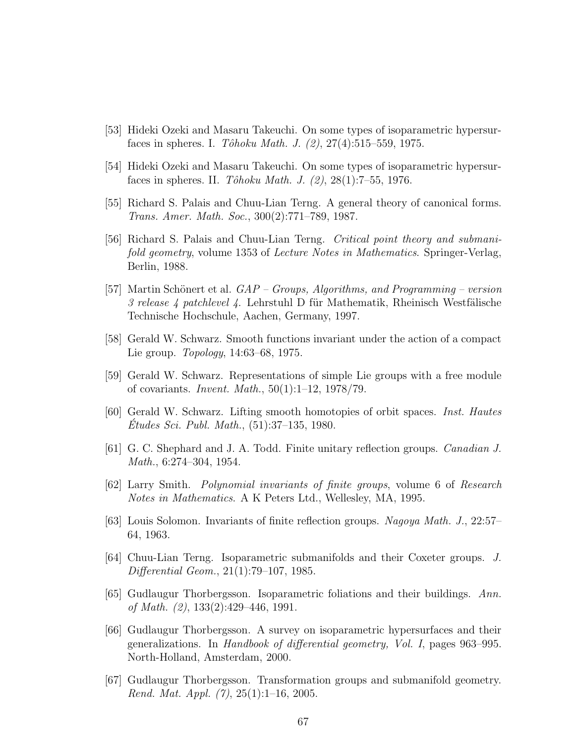- [53] Hideki Ozeki and Masaru Takeuchi. On some types of isoparametric hypersurfaces in spheres. I. Tôhoku Math. J.  $(2), 27(4):515-559, 1975.$
- [54] Hideki Ozeki and Masaru Takeuchi. On some types of isoparametric hypersurfaces in spheres. II.  $T\hat{o}hoku Math. J. (2), 28(1):7-55, 1976.$
- [55] Richard S. Palais and Chuu-Lian Terng. A general theory of canonical forms. Trans. Amer. Math. Soc., 300(2):771–789, 1987.
- [56] Richard S. Palais and Chuu-Lian Terng. Critical point theory and submanifold geometry, volume 1353 of Lecture Notes in Mathematics. Springer-Verlag, Berlin, 1988.
- [57] Martin Schönert et al.  $GAP Groups$ , Algorithms, and Programming version  $\beta$  release  $\beta$  patchlevel  $\beta$ . Lehrstuhl D für Mathematik, Rheinisch Westfälische Technische Hochschule, Aachen, Germany, 1997.
- [58] Gerald W. Schwarz. Smooth functions invariant under the action of a compact Lie group. Topology, 14:63–68, 1975.
- [59] Gerald W. Schwarz. Representations of simple Lie groups with a free module of covariants. Invent. Math., 50(1):1–12, 1978/79.
- [60] Gerald W. Schwarz. Lifting smooth homotopies of orbit spaces. Inst. Hautes Etudes Sci. Publ. Math.,  $(51):37-135, 1980.$
- [61] G. C. Shephard and J. A. Todd. Finite unitary reflection groups. Canadian J. Math., 6:274–304, 1954.
- [62] Larry Smith. Polynomial invariants of finite groups, volume 6 of Research Notes in Mathematics. A K Peters Ltd., Wellesley, MA, 1995.
- [63] Louis Solomon. Invariants of finite reflection groups. Nagoya Math. J., 22:57– 64, 1963.
- [64] Chuu-Lian Terng. Isoparametric submanifolds and their Coxeter groups. J. Differential Geom., 21(1):79–107, 1985.
- [65] Gudlaugur Thorbergsson. Isoparametric foliations and their buildings. Ann. of Math. (2), 133(2):429–446, 1991.
- [66] Gudlaugur Thorbergsson. A survey on isoparametric hypersurfaces and their generalizations. In Handbook of differential geometry, Vol. I, pages 963–995. North-Holland, Amsterdam, 2000.
- [67] Gudlaugur Thorbergsson. Transformation groups and submanifold geometry. Rend. Mat. Appl.  $(7), 25(1):1-16, 2005$ .